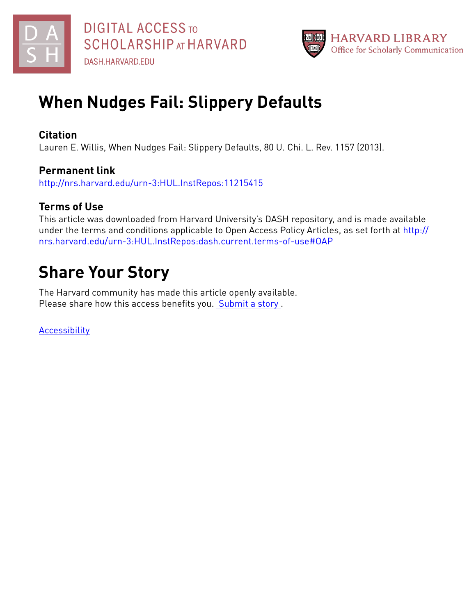



# **When Nudges Fail: Slippery Defaults**

## **Citation**

Lauren E. Willis, When Nudges Fail: Slippery Defaults, 80 U. Chi. L. Rev. 1157 (2013).

## **Permanent link**

<http://nrs.harvard.edu/urn-3:HUL.InstRepos:11215415>

## **Terms of Use**

This article was downloaded from Harvard University's DASH repository, and is made available under the terms and conditions applicable to Open Access Policy Articles, as set forth at [http://](http://nrs.harvard.edu/urn-3:HUL.InstRepos:dash.current.terms-of-use#OAP) [nrs.harvard.edu/urn-3:HUL.InstRepos:dash.current.terms-of-use#OAP](http://nrs.harvard.edu/urn-3:HUL.InstRepos:dash.current.terms-of-use#OAP)

# **Share Your Story**

The Harvard community has made this article openly available. Please share how this access benefits you. [Submit](http://osc.hul.harvard.edu/dash/open-access-feedback?handle=&title=When%20Nudges%20Fail:%20Slippery%20Defaults&community=1/7&collection=1/8&owningCollection1/8&harvardAuthors=9cb99bd4d8d98714c3f61e4b94850488&department) a story.

**[Accessibility](https://dash.harvard.edu/pages/accessibility)**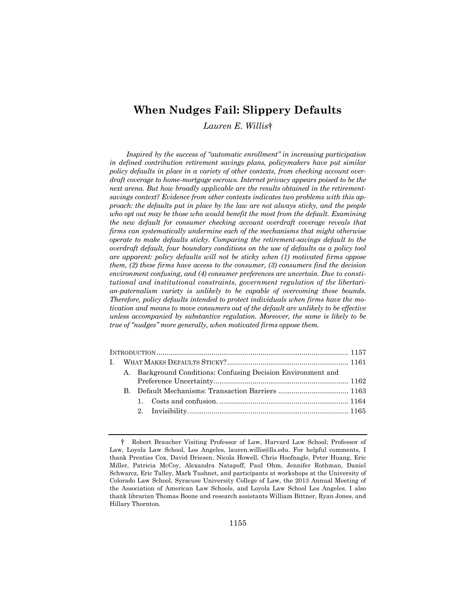### **When Nudges Fail: Slippery Defaults**

*Lauren E. Willis*†

*Inspired by the success of "automatic enrollment" in increasing participation in defined contribution retirement savings plans, policymakers have put similar policy defaults in place in a variety of other contexts, from checking account overdraft coverage to home-mortgage escrows. Internet privacy appears poised to be the next arena. But how broadly applicable are the results obtained in the retirementsavings context? Evidence from other contexts indicates two problems with this approach: the defaults put in place by the law are not always sticky, and the people who opt out may be those who would benefit the most from the default. Examining the new default for consumer checking account overdraft coverage reveals that firms can systematically undermine each of the mechanisms that might otherwise operate to make defaults sticky. Comparing the retirement-savings default to the overdraft default, four boundary conditions on the use of defaults as a policy tool are apparent: policy defaults will not be sticky when (1) motivated firms oppose them, (2) these firms have access to the consumer, (3) consumers find the decision environment confusing, and (4) consumer preferences are uncertain. Due to constitutional and institutional constraints, government regulation of the libertarian-paternalism variety is unlikely to be capable of overcoming these bounds. Therefore, policy defaults intended to protect individuals when firms have the motivation and means to move consumers out of the default are unlikely to be effective unless accompanied by substantive regulation. Moreover, the same is likely to be true of "nudges" more generally, when motivated firms oppose them.* 

|  | A. Background Conditions: Confusing Decision Environment and |  |
|--|--------------------------------------------------------------|--|
|  |                                                              |  |
|  |                                                              |  |
|  |                                                              |  |
|  |                                                              |  |
|  |                                                              |  |

<sup>†</sup> Robert Braucher Visiting Professor of Law, Harvard Law School; Professor of Law, Loyola Law School, Los Angeles, lauren.willis@lls.edu. For helpful comments, I thank Prentiss Cox, David Driesen, Nicola Howell, Chris Hoofnagle, Peter Huang, Eric Miller, Patricia McCoy, Alexandra Natapoff, Paul Ohm, Jennifer Rothman, Daniel Schwarcz, Eric Talley, Mark Tushnet, and participants at workshops at the University of Colorado Law School, Syracuse University College of Law, the 2013 Annual Meeting of the Association of American Law Schools, and Loyola Law School Los Angeles. I also thank librarian Thomas Boone and research assistants William Bittner, Ryan Jones, and Hillary Thornton.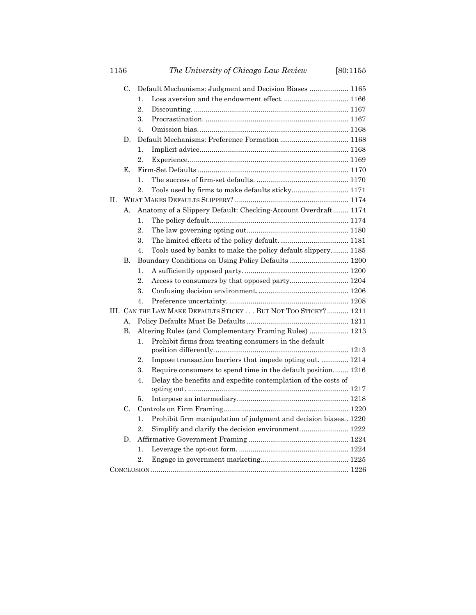| C. |                                                                |                                                                                   |  |  |
|----|----------------------------------------------------------------|-----------------------------------------------------------------------------------|--|--|
|    | 1.                                                             |                                                                                   |  |  |
|    | 2.                                                             |                                                                                   |  |  |
|    | 3.                                                             |                                                                                   |  |  |
|    | $\mathbf{4}$ .                                                 |                                                                                   |  |  |
| D. |                                                                |                                                                                   |  |  |
|    | 1.                                                             |                                                                                   |  |  |
|    | 2.                                                             |                                                                                   |  |  |
| Е. |                                                                |                                                                                   |  |  |
|    | $1_{-}$                                                        |                                                                                   |  |  |
|    | 2.                                                             | Tools used by firms to make defaults sticky 1171                                  |  |  |
|    |                                                                |                                                                                   |  |  |
| А. | Anatomy of a Slippery Default: Checking-Account Overdraft 1174 |                                                                                   |  |  |
|    | 1.                                                             |                                                                                   |  |  |
|    | 2.                                                             |                                                                                   |  |  |
|    | 3.                                                             |                                                                                   |  |  |
|    | 4.                                                             | Tools used by banks to make the policy default slippery 1185                      |  |  |
|    |                                                                | للمنادر والمتحدث والمتحدث والمستحدث والمستحدث والمتحدث والمنافس والمتحدث والمتحدث |  |  |

|    |                                                                 | $\mathbf{1}$ .   |                                                                |  |  |
|----|-----------------------------------------------------------------|------------------|----------------------------------------------------------------|--|--|
|    |                                                                 | $\overline{2}$ . | Tools used by firms to make defaults sticky 1171               |  |  |
| H. |                                                                 |                  |                                                                |  |  |
|    | А.                                                              |                  | Anatomy of a Slippery Default: Checking-Account Overdraft 1174 |  |  |
|    |                                                                 | $\mathbf{1}$ .   |                                                                |  |  |
|    |                                                                 | $\overline{2}$ . |                                                                |  |  |
|    |                                                                 | 3.               |                                                                |  |  |
|    |                                                                 | $\overline{4}$ . | Tools used by banks to make the policy default slippery 1185   |  |  |
|    | <b>B.</b>                                                       |                  |                                                                |  |  |
|    |                                                                 | $\mathbf{1}$ .   |                                                                |  |  |
|    |                                                                 | 2.               | Access to consumers by that opposed party 1204                 |  |  |
|    |                                                                 | 3.               |                                                                |  |  |
|    |                                                                 | 4.               |                                                                |  |  |
|    | III. CAN THE LAW MAKE DEFAULTS STICKY BUT NOT TOO STICKY?  1211 |                  |                                                                |  |  |
|    | А.                                                              |                  |                                                                |  |  |
|    | <b>B.</b>                                                       |                  | Altering Rules (and Complementary Framing Rules)  1213         |  |  |
|    |                                                                 | $\mathbf{1}$ .   | Prohibit firms from treating consumers in the default          |  |  |
|    |                                                                 |                  |                                                                |  |  |
|    |                                                                 | $\overline{2}$ . | Impose transaction barriers that impede opting out.  1214      |  |  |
|    |                                                                 | 3.               | Require consumers to spend time in the default position 1216   |  |  |
|    |                                                                 | 4.               | Delay the benefits and expedite contemplation of the costs of  |  |  |
|    |                                                                 |                  |                                                                |  |  |
|    |                                                                 | 5.               |                                                                |  |  |
|    | C.                                                              |                  |                                                                |  |  |
|    |                                                                 | 1.               | Prohibit firm manipulation of judgment and decision biases1220 |  |  |
|    |                                                                 | $\overline{2}$ . |                                                                |  |  |
|    | D.                                                              |                  |                                                                |  |  |
|    |                                                                 | $\mathbf{1}$ .   |                                                                |  |  |
|    |                                                                 | 2.               |                                                                |  |  |
|    |                                                                 |                  |                                                                |  |  |

1156 *The University of Chicago Law Review* [80:1155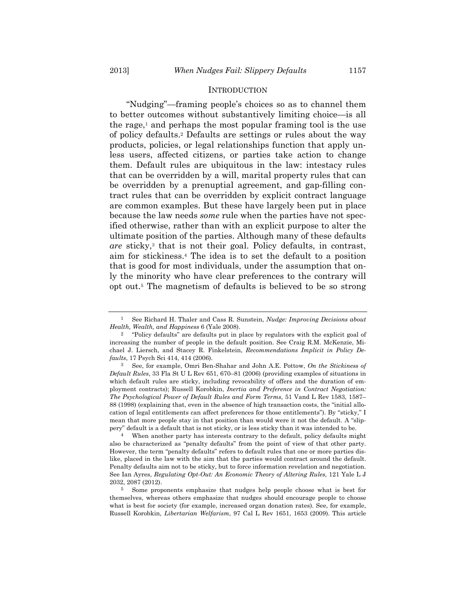#### **INTRODUCTION**

"Nudging"—framing people's choices so as to channel them to better outcomes without substantively limiting choice—is all the rage, $<sup>1</sup>$  and perhaps the most popular framing tool is the use</sup> of policy defaults.2 Defaults are settings or rules about the way products, policies, or legal relationships function that apply unless users, affected citizens, or parties take action to change them. Default rules are ubiquitous in the law: intestacy rules that can be overridden by a will, marital property rules that can be overridden by a prenuptial agreement, and gap-filling contract rules that can be overridden by explicit contract language are common examples. But these have largely been put in place because the law needs *some* rule when the parties have not specified otherwise, rather than with an explicit purpose to alter the ultimate position of the parties. Although many of these defaults *are* sticky,<sup>3</sup> that is not their goal. Policy defaults, in contrast, aim for stickiness.4 The idea is to set the default to a position that is good for most individuals, under the assumption that only the minority who have clear preferences to the contrary will opt out.5 The magnetism of defaults is believed to be so strong

<sup>1</sup> See Richard H. Thaler and Cass R. Sunstein, *Nudge: Improving Decisions about Health, Wealth, and Happiness* 6 (Yale 2008).

<sup>2 &</sup>quot;Policy defaults" are defaults put in place by regulators with the explicit goal of increasing the number of people in the default position. See Craig R.M. McKenzie, Michael J. Liersch, and Stacey R. Finkelstein, *Recommendations Implicit in Policy Defaults*, 17 Psych Sci 414, 414 (2006).

<sup>3</sup> See, for example, Omri Ben-Shahar and John A.E. Pottow, *On the Stickiness of Default Rules*, 33 Fla St U L Rev 651, 670–81 (2006) (providing examples of situations in which default rules are sticky, including revocability of offers and the duration of employment contracts); Russell Korobkin, *Inertia and Preference in Contract Negotiation: The Psychological Power of Default Rules and Form Terms*, 51 Vand L Rev 1583, 1587– 88 (1998) (explaining that, even in the absence of high transaction costs, the "initial allocation of legal entitlements can affect preferences for those entitlements"). By "sticky," I mean that more people stay in that position than would were it not the default. A "slippery" default is a default that is not sticky, or is less sticky than it was intended to be.

<sup>4</sup> When another party has interests contrary to the default, policy defaults might also be characterized as "penalty defaults" from the point of view of that other party. However, the term "penalty defaults" refers to default rules that one or more parties dislike, placed in the law with the aim that the parties would contract around the default. Penalty defaults aim not to be sticky, but to force information revelation and negotiation. See Ian Ayres, *Regulating Opt-Out: An Economic Theory of Altering Rules*, 121 Yale L J 2032, 2087 (2012).

<sup>5</sup> Some proponents emphasize that nudges help people choose what is best for themselves, whereas others emphasize that nudges should encourage people to choose what is best for society (for example, increased organ donation rates). See, for example, Russell Korobkin, *Libertarian Welfarism*, 97 Cal L Rev 1651, 1653 (2009). This article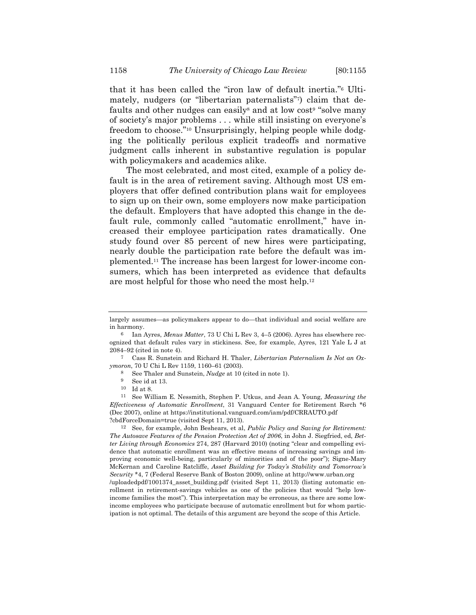that it has been called the "iron law of default inertia."6 Ultimately, nudgers (or "libertarian paternalists"<sup>7</sup>) claim that defaults and other nudges can easily<sup>8</sup> and at low cost<sup>9</sup> "solve many of society's major problems . . . while still insisting on everyone's freedom to choose."10 Unsurprisingly, helping people while dodging the politically perilous explicit tradeoffs and normative judgment calls inherent in substantive regulation is popular with policymakers and academics alike.

The most celebrated, and most cited, example of a policy default is in the area of retirement saving. Although most US employers that offer defined contribution plans wait for employees to sign up on their own, some employers now make participation the default. Employers that have adopted this change in the default rule, commonly called "automatic enrollment," have increased their employee participation rates dramatically. One study found over 85 percent of new hires were participating, nearly double the participation rate before the default was implemented.11 The increase has been largest for lower-income consumers, which has been interpreted as evidence that defaults are most helpful for those who need the most help.12

12 See, for example, John Beshears, et al, *Public Policy and Saving for Retirement: The Autosave Features of the Pension Protection Act of 2006*, in John J. Siegfried, ed, *Better Living through Economics* 274, 287 (Harvard 2010) (noting "clear and compelling evidence that automatic enrollment was an effective means of increasing savings and improving economic well-being, particularly of minorities and of the poor"); Signe-Mary McKernan and Caroline Ratcliffe, *Asset Building for Today's Stability and Tomorrow's Security* \*4, 7 (Federal Reserve Bank of Boston 2009), online at http://www.urban.org /uploadedpdf/1001374\_asset\_building.pdf (visited Sept 11, 2013) (listing automatic enrollment in retirement-savings vehicles as one of the policies that would "help lowincome families the most"). This interpretation may be erroneous, as there are some lowincome employees who participate because of automatic enrollment but for whom participation is not optimal. The details of this argument are beyond the scope of this Article.

largely assumes—as policymakers appear to do—that individual and social welfare are in harmony.

<sup>6</sup> Ian Ayres, *Menus Matter*, 73 U Chi L Rev 3, 4–5 (2006). Ayres has elsewhere recognized that default rules vary in stickiness. See, for example, Ayres, 121 Yale L J at 2084–92 (cited in note 4).

<sup>7</sup> Cass R. Sunstein and Richard H. Thaler, *Libertarian Paternalism Is Not an Oxymoron*, 70 U Chi L Rev 1159, 1160–61 (2003).

<sup>&</sup>lt;sup>8</sup> See Thaler and Sunstein, *Nudge* at 10 (cited in note 1).<br><sup>9</sup> See id at 13

See id at 13.

 $10$  Id at 8.

<sup>11</sup> See William E. Nessmith, Stephen P. Utkus, and Jean A. Young, *Measuring the Effectiveness of Automatic Enrollment*, 31 Vanguard Center for Retirement Rsrch \*6 (Dec 2007), online at https://institutional.vanguard.com/iam/pdf/CRRAUTO.pdf ?cbdForceDomain=true (visited Sept 11, 2013).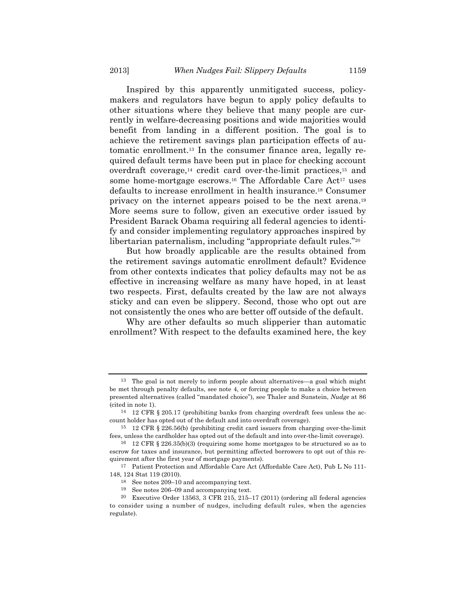Inspired by this apparently unmitigated success, policymakers and regulators have begun to apply policy defaults to other situations where they believe that many people are currently in welfare-decreasing positions and wide majorities would benefit from landing in a different position. The goal is to achieve the retirement savings plan participation effects of automatic enrollment.13 In the consumer finance area, legally required default terms have been put in place for checking account overdraft coverage,14 credit card over-the-limit practices,15 and some home-mortgage escrows.<sup>16</sup> The Affordable Care Act<sup>17</sup> uses defaults to increase enrollment in health insurance.18 Consumer privacy on the internet appears poised to be the next arena.19 More seems sure to follow, given an executive order issued by President Barack Obama requiring all federal agencies to identify and consider implementing regulatory approaches inspired by libertarian paternalism, including "appropriate default rules."20

But how broadly applicable are the results obtained from the retirement savings automatic enrollment default? Evidence from other contexts indicates that policy defaults may not be as effective in increasing welfare as many have hoped, in at least two respects. First, defaults created by the law are not always sticky and can even be slippery. Second, those who opt out are not consistently the ones who are better off outside of the default.

Why are other defaults so much slipperier than automatic enrollment? With respect to the defaults examined here, the key

<sup>13</sup> The goal is not merely to inform people about alternatives—a goal which might be met through penalty defaults, see note 4, or forcing people to make a choice between presented alternatives (called "mandated choice"), see Thaler and Sunstein, *Nudge* at 86 (cited in note 1).

<sup>14 12</sup> CFR § 205.17 (prohibiting banks from charging overdraft fees unless the account holder has opted out of the default and into overdraft coverage).

<sup>15 12</sup> CFR § 226.56(b) (prohibiting credit card issuers from charging over-the-limit fees, unless the cardholder has opted out of the default and into over-the-limit coverage).

<sup>&</sup>lt;sup>16</sup> 12 CFR § 226.35(b)(3) (requiring some home mortgages to be structured so as to escrow for taxes and insurance, but permitting affected borrowers to opt out of this requirement after the first year of mortgage payments).

<sup>17</sup> Patient Protection and Affordable Care Act (Affordable Care Act), Pub L No 111- 148, 124 Stat 119 (2010).

<sup>18</sup> See notes 209–10 and accompanying text.

<sup>19</sup> See notes 206–09 and accompanying text.

<sup>&</sup>lt;sup>20</sup> Executive Order 13563, 3 CFR 215, 215–17 (2011) (ordering all federal agencies to consider using a number of nudges, including default rules, when the agencies regulate).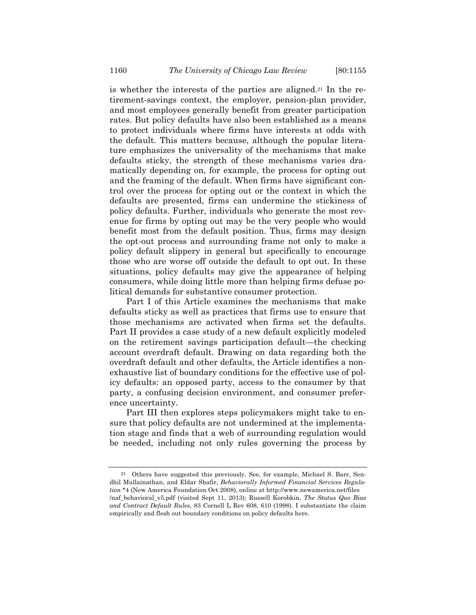is whether the interests of the parties are aligned.21 In the retirement-savings context, the employer, pension-plan provider, and most employees generally benefit from greater participation rates. But policy defaults have also been established as a means to protect individuals where firms have interests at odds with the default. This matters because, although the popular literature emphasizes the universality of the mechanisms that make defaults sticky, the strength of these mechanisms varies dramatically depending on, for example, the process for opting out and the framing of the default. When firms have significant control over the process for opting out or the context in which the defaults are presented, firms can undermine the stickiness of policy defaults. Further, individuals who generate the most revenue for firms by opting out may be the very people who would benefit most from the default position. Thus, firms may design the opt-out process and surrounding frame not only to make a policy default slippery in general but specifically to encourage those who are worse off outside the default to opt out. In these situations, policy defaults may give the appearance of helping consumers, while doing little more than helping firms defuse political demands for substantive consumer protection.

Part I of this Article examines the mechanisms that make defaults sticky as well as practices that firms use to ensure that those mechanisms are activated when firms set the defaults. Part II provides a case study of a new default explicitly modeled on the retirement savings participation default—the checking account overdraft default. Drawing on data regarding both the overdraft default and other defaults, the Article identifies a nonexhaustive list of boundary conditions for the effective use of policy defaults: an opposed party, access to the consumer by that party, a confusing decision environment, and consumer preference uncertainty.

Part III then explores steps policymakers might take to ensure that policy defaults are not undermined at the implementation stage and finds that a web of surrounding regulation would be needed, including not only rules governing the process by

<sup>21</sup> Others have suggested this previously. See, for example, Michael S. Barr, Sendhil Mullainathan, and Eldar Shafir, *Behaviorally Informed Financial Services Regulation* \*4 (New America Foundation Oct 2008), online at http://www.newamerica.net/files /naf\_behavioral\_v5.pdf (visited Sept 11, 2013); Russell Korobkin, *The Status Quo Bias and Contract Default Rules*, 83 Cornell L Rev 608, 610 (1998). I substantiate the claim empirically and flesh out boundary conditions on policy defaults here.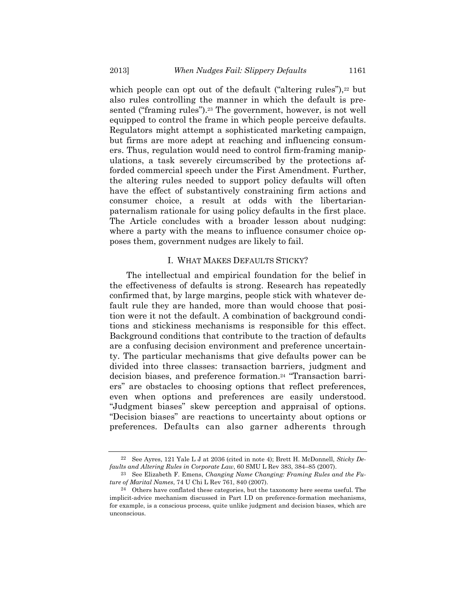which people can opt out of the default ("altering rules"), $22$  but also rules controlling the manner in which the default is presented ("framing rules").23 The government, however, is not well equipped to control the frame in which people perceive defaults. Regulators might attempt a sophisticated marketing campaign, but firms are more adept at reaching and influencing consumers. Thus, regulation would need to control firm-framing manipulations, a task severely circumscribed by the protections afforded commercial speech under the First Amendment. Further, the altering rules needed to support policy defaults will often have the effect of substantively constraining firm actions and consumer choice, a result at odds with the libertarianpaternalism rationale for using policy defaults in the first place. The Article concludes with a broader lesson about nudging: where a party with the means to influence consumer choice opposes them, government nudges are likely to fail.

#### I. WHAT MAKES DEFAULTS STICKY?

The intellectual and empirical foundation for the belief in the effectiveness of defaults is strong. Research has repeatedly confirmed that, by large margins, people stick with whatever default rule they are handed, more than would choose that position were it not the default. A combination of background conditions and stickiness mechanisms is responsible for this effect. Background conditions that contribute to the traction of defaults are a confusing decision environment and preference uncertainty. The particular mechanisms that give defaults power can be divided into three classes: transaction barriers, judgment and decision biases, and preference formation.<sup>24</sup> "Transaction barriers" are obstacles to choosing options that reflect preferences, even when options and preferences are easily understood. "Judgment biases" skew perception and appraisal of options. "Decision biases" are reactions to uncertainty about options or preferences. Defaults can also garner adherents through

<sup>22</sup> See Ayres, 121 Yale L J at 2036 (cited in note 4); Brett H. McDonnell, *Sticky Defaults and Altering Rules in Corporate Law*, 60 SMU L Rev 383, 384–85 (2007).

<sup>23</sup> See Elizabeth F. Emens, *Changing Name Changing: Framing Rules and the Future of Marital Names*, 74 U Chi L Rev 761, 840 (2007).

 $24$  Others have conflated these categories, but the taxonomy here seems useful. The implicit-advice mechanism discussed in Part I.D on preference-formation mechanisms, for example, is a conscious process, quite unlike judgment and decision biases, which are unconscious.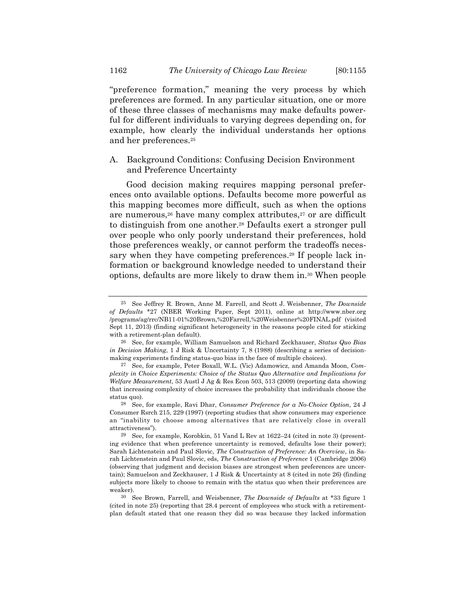"preference formation," meaning the very process by which preferences are formed. In any particular situation, one or more of these three classes of mechanisms may make defaults powerful for different individuals to varying degrees depending on, for example, how clearly the individual understands her options and her preferences.25

#### A. Background Conditions: Confusing Decision Environment and Preference Uncertainty

Good decision making requires mapping personal preferences onto available options. Defaults become more powerful as this mapping becomes more difficult, such as when the options are numerous,26 have many complex attributes,27 or are difficult to distinguish from one another.28 Defaults exert a stronger pull over people who only poorly understand their preferences, hold those preferences weakly, or cannot perform the tradeoffs necessary when they have competing preferences.<sup>29</sup> If people lack information or background knowledge needed to understand their options, defaults are more likely to draw them in.30 When people

<sup>25</sup> See Jeffrey R. Brown, Anne M. Farrell, and Scott J. Weisbenner, *The Downside of Defaults* \*27 (NBER Working Paper, Sept 2011), online at http://www.nber.org /programs/ag/rrc/NB11-01%20Brown,%20Farrell,%20Weisbenner%20FINAL.pdf (visited Sept 11, 2013) (finding significant heterogeneity in the reasons people cited for sticking with a retirement-plan default).

<sup>26</sup> See, for example, William Samuelson and Richard Zeckhauser, *Status Quo Bias in Decision Making*, 1 J Risk & Uncertainty 7, 8 (1988) (describing a series of decisionmaking experiments finding status-quo bias in the face of multiple choices).

<sup>27</sup> See, for example, Peter Boxall, W.L. (Vic) Adamowicz, and Amanda Moon, *Complexity in Choice Experiments: Choice of the Status Quo Alternative and Implications for Welfare Measurement*, 53 Austl J Ag & Res Econ 503, 513 (2009) (reporting data showing that increasing complexity of choice increases the probability that individuals choose the status quo).

<sup>28</sup> See, for example, Ravi Dhar, *Consumer Preference for a No-Choice Option*, 24 J Consumer Rsrch 215, 229 (1997) (reporting studies that show consumers may experience an "inability to choose among alternatives that are relatively close in overall attractiveness").

<sup>29</sup> See, for example, Korobkin, 51 Vand L Rev at 1622–24 (cited in note 3) (presenting evidence that when preference uncertainty is removed, defaults lose their power); Sarah Lichtenstein and Paul Slovic, *The Construction of Preference: An Overview*, in Sarah Lichtenstein and Paul Slovic, eds, *The Construction of Preference* 1 (Cambridge 2006) (observing that judgment and decision biases are strongest when preferences are uncertain); Samuelson and Zeckhauser, 1 J Risk & Uncertainty at 8 (cited in note 26) (finding subjects more likely to choose to remain with the status quo when their preferences are weaker).

<sup>30</sup> See Brown, Farrell, and Weisbenner, *The Downside of Defaults* at \*33 figure 1 (cited in note 25) (reporting that 28.4 percent of employees who stuck with a retirementplan default stated that one reason they did so was because they lacked information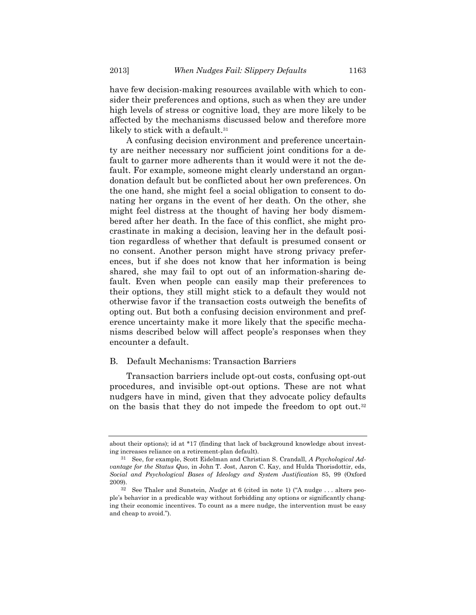have few decision-making resources available with which to consider their preferences and options, such as when they are under high levels of stress or cognitive load, they are more likely to be affected by the mechanisms discussed below and therefore more likely to stick with a default.<sup>31</sup>

A confusing decision environment and preference uncertainty are neither necessary nor sufficient joint conditions for a default to garner more adherents than it would were it not the default. For example, someone might clearly understand an organdonation default but be conflicted about her own preferences. On the one hand, she might feel a social obligation to consent to donating her organs in the event of her death. On the other, she might feel distress at the thought of having her body dismembered after her death. In the face of this conflict, she might procrastinate in making a decision, leaving her in the default position regardless of whether that default is presumed consent or no consent. Another person might have strong privacy preferences, but if she does not know that her information is being shared, she may fail to opt out of an information-sharing default. Even when people can easily map their preferences to their options, they still might stick to a default they would not otherwise favor if the transaction costs outweigh the benefits of opting out. But both a confusing decision environment and preference uncertainty make it more likely that the specific mechanisms described below will affect people's responses when they encounter a default.

#### B. Default Mechanisms: Transaction Barriers

Transaction barriers include opt-out costs, confusing opt-out procedures, and invisible opt-out options. These are not what nudgers have in mind, given that they advocate policy defaults on the basis that they do not impede the freedom to opt out.32

about their options); id at \*17 (finding that lack of background knowledge about investing increases reliance on a retirement-plan default).

<sup>31</sup> See, for example, Scott Eidelman and Christian S. Crandall, *A Psychological Advantage for the Status Quo*, in John T. Jost, Aaron C. Kay, and Hulda Thorisdottir, eds, *Social and Psychological Bases of Ideology and System Justification* 85, 99 (Oxford 2009).

<sup>32</sup> See Thaler and Sunstein, *Nudge* at 6 (cited in note 1) ("A nudge . . . alters people's behavior in a predicable way without forbidding any options or significantly changing their economic incentives. To count as a mere nudge, the intervention must be easy and cheap to avoid.").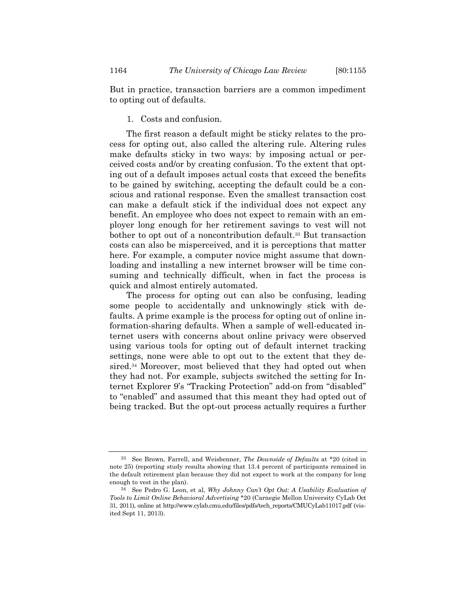But in practice, transaction barriers are a common impediment to opting out of defaults.

1. Costs and confusion.

The first reason a default might be sticky relates to the process for opting out, also called the altering rule. Altering rules make defaults sticky in two ways: by imposing actual or perceived costs and/or by creating confusion. To the extent that opting out of a default imposes actual costs that exceed the benefits to be gained by switching, accepting the default could be a conscious and rational response. Even the smallest transaction cost can make a default stick if the individual does not expect any benefit. An employee who does not expect to remain with an employer long enough for her retirement savings to vest will not bother to opt out of a noncontribution default.33 But transaction costs can also be misperceived, and it is perceptions that matter here. For example, a computer novice might assume that downloading and installing a new internet browser will be time consuming and technically difficult, when in fact the process is quick and almost entirely automated.

The process for opting out can also be confusing, leading some people to accidentally and unknowingly stick with defaults. A prime example is the process for opting out of online information-sharing defaults. When a sample of well-educated internet users with concerns about online privacy were observed using various tools for opting out of default internet tracking settings, none were able to opt out to the extent that they desired.<sup>34</sup> Moreover, most believed that they had opted out when they had not. For example, subjects switched the setting for Internet Explorer 9's "Tracking Protection" add-on from "disabled" to "enabled" and assumed that this meant they had opted out of being tracked. But the opt-out process actually requires a further

<sup>33</sup> See Brown, Farrell, and Weisbenner, *The Downside of Defaults* at \*20 (cited in note 25) (reporting study results showing that 13.4 percent of participants remained in the default retirement plan because they did not expect to work at the company for long enough to vest in the plan).

<sup>34</sup> See Pedro G. Leon, et al, *Why Johnny Can't Opt Out: A Usability Evaluation of Tools to Limit Online Behavioral Advertising* \*20 (Carnegie Mellon University CyLab Oct 31, 2011), online at http://www.cylab.cmu.edu/files/pdfs/tech\_reports/CMUCyLab11017.pdf (visited Sept 11, 2013).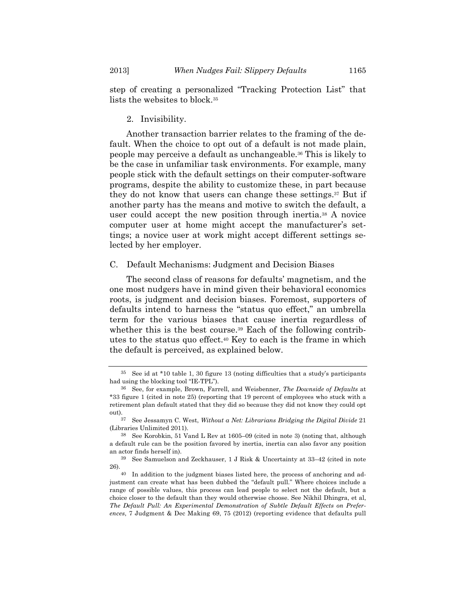step of creating a personalized "Tracking Protection List" that lists the websites to block.<sup>35</sup>

2. Invisibility.

Another transaction barrier relates to the framing of the default. When the choice to opt out of a default is not made plain, people may perceive a default as unchangeable.36 This is likely to be the case in unfamiliar task environments. For example, many people stick with the default settings on their computer-software programs, despite the ability to customize these, in part because they do not know that users can change these settings.37 But if another party has the means and motive to switch the default, a user could accept the new position through inertia.38 A novice computer user at home might accept the manufacturer's settings; a novice user at work might accept different settings selected by her employer.

#### C. Default Mechanisms: Judgment and Decision Biases

The second class of reasons for defaults' magnetism, and the one most nudgers have in mind given their behavioral economics roots, is judgment and decision biases. Foremost, supporters of defaults intend to harness the "status quo effect," an umbrella term for the various biases that cause inertia regardless of whether this is the best course.<sup>39</sup> Each of the following contributes to the status quo effect.<sup>40</sup> Key to each is the frame in which the default is perceived, as explained below.

 $35$  See id at \*10 table 1, 30 figure 13 (noting difficulties that a study's participants had using the blocking tool "IE-TPL").

<sup>36</sup> See, for example, Brown, Farrell, and Weisbenner, *The Downside of Defaults* at \*33 figure 1 (cited in note 25) (reporting that 19 percent of employees who stuck with a retirement plan default stated that they did so because they did not know they could opt out).

<sup>37</sup> See Jessamyn C. West, *Without a Net: Librarians Bridging the Digital Divide* 21 (Libraries Unlimited 2011).

<sup>38</sup> See Korobkin, 51 Vand L Rev at 1605–09 (cited in note 3) (noting that, although a default rule can be the position favored by inertia, inertia can also favor any position an actor finds herself in).

<sup>39</sup> See Samuelson and Zeckhauser, 1 J Risk & Uncertainty at 33–42 (cited in note 26).

<sup>40</sup> In addition to the judgment biases listed here, the process of anchoring and adjustment can create what has been dubbed the "default pull." Where choices include a range of possible values, this process can lead people to select not the default, but a choice closer to the default than they would otherwise choose. See Nikhil Dhingra, et al, *The Default Pull: An Experimental Demonstration of Subtle Default Effects on Preferences*, 7 Judgment & Dec Making 69, 75 (2012) (reporting evidence that defaults pull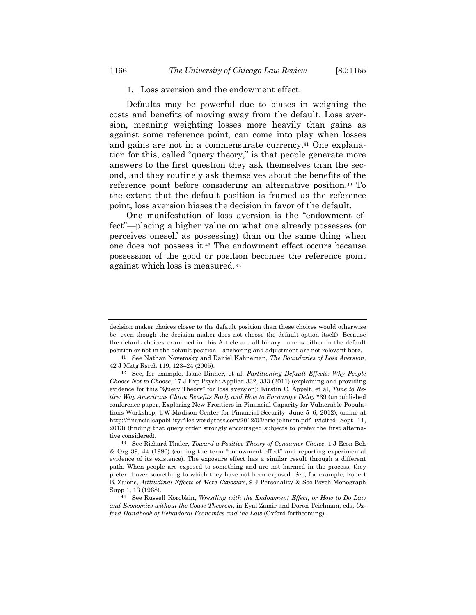#### 1. Loss aversion and the endowment effect.

Defaults may be powerful due to biases in weighing the costs and benefits of moving away from the default. Loss aversion, meaning weighting losses more heavily than gains as against some reference point, can come into play when losses and gains are not in a commensurate currency.41 One explanation for this, called "query theory," is that people generate more answers to the first question they ask themselves than the second, and they routinely ask themselves about the benefits of the reference point before considering an alternative position.42 To the extent that the default position is framed as the reference point, loss aversion biases the decision in favor of the default.

One manifestation of loss aversion is the "endowment effect"—placing a higher value on what one already possesses (or perceives oneself as possessing) than on the same thing when one does not possess it.43 The endowment effect occurs because possession of the good or position becomes the reference point against which loss is measured. 44

decision maker choices closer to the default position than these choices would otherwise be, even though the decision maker does not choose the default option itself). Because the default choices examined in this Article are all binary—one is either in the default position or not in the default position—anchoring and adjustment are not relevant here.

<sup>41</sup> See Nathan Novemsky and Daniel Kahneman, *The Boundaries of Loss Aversion*, 42 J Mktg Rsrch 119, 123–24 (2005).

<sup>42</sup> See, for example, Isaac Dinner, et al, *Partitioning Default Effects: Why People Choose Not to Choose*, 17 J Exp Psych: Applied 332, 333 (2011) (explaining and providing evidence for this "Query Theory" for loss aversion); Kirstin C. Appelt, et al, *Time to Retire: Why Americans Claim Benefits Early and How to Encourage Delay* \*39 (unpublished conference paper, Exploring New Frontiers in Financial Capacity for Vulnerable Populations Workshop, UW-Madison Center for Financial Security, June 5–6, 2012), online at http://financialcapability.files.wordpress.com/2012/03/eric-johnson.pdf (visited Sept 11, 2013) (finding that query order strongly encouraged subjects to prefer the first alternative considered).

<sup>43</sup> See Richard Thaler, *Toward a Positive Theory of Consumer Choice*, 1 J Econ Beh & Org 39, 44 (1980) (coining the term "endowment effect" and reporting experimental evidence of its existence). The exposure effect has a similar result through a different path. When people are exposed to something and are not harmed in the process, they prefer it over something to which they have not been exposed. See, for example, Robert B. Zajonc, *Attitudinal Effects of Mere Exposure*, 9 J Personality & Soc Psych Monograph Supp 1, 13 (1968).

<sup>44</sup> See Russell Korobkin, *Wrestling with the Endowment Effect, or How to Do Law and Economics without the Coase Theorem*, in Eyal Zamir and Doron Teichman, eds, *Oxford Handbook of Behavioral Economics and the Law* (Oxford forthcoming).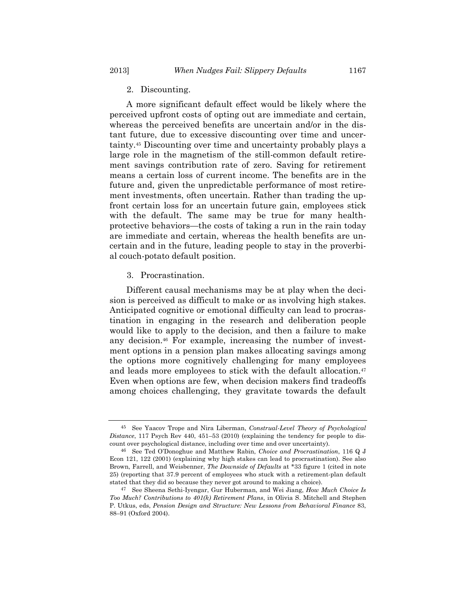A more significant default effect would be likely where the perceived upfront costs of opting out are immediate and certain, whereas the perceived benefits are uncertain and/or in the distant future, due to excessive discounting over time and uncertainty.45 Discounting over time and uncertainty probably plays a large role in the magnetism of the still-common default retirement savings contribution rate of zero. Saving for retirement means a certain loss of current income. The benefits are in the future and, given the unpredictable performance of most retirement investments, often uncertain. Rather than trading the upfront certain loss for an uncertain future gain, employees stick with the default. The same may be true for many healthprotective behaviors—the costs of taking a run in the rain today are immediate and certain, whereas the health benefits are uncertain and in the future, leading people to stay in the proverbial couch-potato default position.

#### 3. Procrastination.

Different causal mechanisms may be at play when the decision is perceived as difficult to make or as involving high stakes. Anticipated cognitive or emotional difficulty can lead to procrastination in engaging in the research and deliberation people would like to apply to the decision, and then a failure to make any decision.46 For example, increasing the number of investment options in a pension plan makes allocating savings among the options more cognitively challenging for many employees and leads more employees to stick with the default allocation.<sup>47</sup> Even when options are few, when decision makers find tradeoffs among choices challenging, they gravitate towards the default

<sup>45</sup> See Yaacov Trope and Nira Liberman, *Construal-Level Theory of Psychological Distance*, 117 Psych Rev 440, 451–53 (2010) (explaining the tendency for people to discount over psychological distance, including over time and over uncertainty).

<sup>46</sup> See Ted O'Donoghue and Matthew Rabin, *Choice and Procrastination*, 116 Q J Econ 121, 122 (2001) (explaining why high stakes can lead to procrastination). See also Brown, Farrell, and Weisbenner, *The Downside of Defaults* at \*33 figure 1 (cited in note 25) (reporting that 37.9 percent of employees who stuck with a retirement-plan default stated that they did so because they never got around to making a choice).

<sup>47</sup> See Sheena Sethi-Iyengar, Gur Huberman, and Wei Jiang, *How Much Choice Is Too Much? Contributions to 401(k) Retirement Plans*, in Olivia S. Mitchell and Stephen P. Utkus, eds, *Pension Design and Structure: New Lessons from Behavioral Finance* 83, 88–91 (Oxford 2004).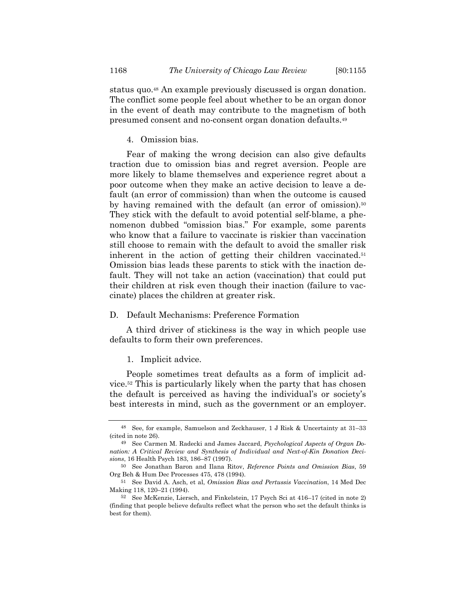status quo.48 An example previously discussed is organ donation. The conflict some people feel about whether to be an organ donor in the event of death may contribute to the magnetism of both presumed consent and no-consent organ donation defaults.49

#### 4. Omission bias.

Fear of making the wrong decision can also give defaults traction due to omission bias and regret aversion. People are more likely to blame themselves and experience regret about a poor outcome when they make an active decision to leave a default (an error of commission) than when the outcome is caused by having remained with the default (an error of omission).<sup>50</sup> They stick with the default to avoid potential self-blame, a phenomenon dubbed "omission bias." For example, some parents who know that a failure to vaccinate is riskier than vaccination still choose to remain with the default to avoid the smaller risk inherent in the action of getting their children vaccinated.<sup>51</sup> Omission bias leads these parents to stick with the inaction default. They will not take an action (vaccination) that could put their children at risk even though their inaction (failure to vaccinate) places the children at greater risk.

#### D. Default Mechanisms: Preference Formation

A third driver of stickiness is the way in which people use defaults to form their own preferences.

#### 1. Implicit advice.

People sometimes treat defaults as a form of implicit advice.52 This is particularly likely when the party that has chosen the default is perceived as having the individual's or society's best interests in mind, such as the government or an employer.

<sup>48</sup> See, for example, Samuelson and Zeckhauser, 1 J Risk & Uncertainty at 31–33 (cited in note 26).

<sup>49</sup> See Carmen M. Radecki and James Jaccard, *Psychological Aspects of Organ Donation: A Critical Review and Synthesis of Individual and Next-of-Kin Donation Decisions*, 16 Health Psych 183, 186–87 (1997).

<sup>50</sup> See Jonathan Baron and Ilana Ritov, *Reference Points and Omission Bias*, 59 Org Beh & Hum Dec Processes 475, 478 (1994).

<sup>51</sup> See David A. Asch, et al, *Omission Bias and Pertussis Vaccination*, 14 Med Dec Making 118, 120–21 (1994).

<sup>52</sup> See McKenzie, Liersch, and Finkelstein, 17 Psych Sci at 416–17 (cited in note 2) (finding that people believe defaults reflect what the person who set the default thinks is best for them).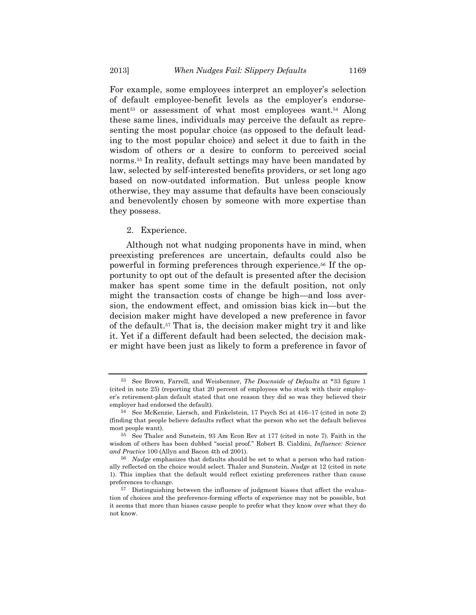For example, some employees interpret an employer's selection of default employee-benefit levels as the employer's endorsement<sup>53</sup> or assessment of what most employees want.<sup>54</sup> Along these same lines, individuals may perceive the default as representing the most popular choice (as opposed to the default leading to the most popular choice) and select it due to faith in the wisdom of others or a desire to conform to perceived social norms.55 In reality, default settings may have been mandated by law, selected by self-interested benefits providers, or set long ago based on now-outdated information. But unless people know otherwise, they may assume that defaults have been consciously and benevolently chosen by someone with more expertise than they possess.

#### 2. Experience.

Although not what nudging proponents have in mind, when preexisting preferences are uncertain, defaults could also be powerful in forming preferences through experience.56 If the opportunity to opt out of the default is presented after the decision maker has spent some time in the default position, not only might the transaction costs of change be high—and loss aversion, the endowment effect, and omission bias kick in—but the decision maker might have developed a new preference in favor of the default.57 That is, the decision maker might try it and like it. Yet if a different default had been selected, the decision maker might have been just as likely to form a preference in favor of

<sup>53</sup> See Brown, Farrell, and Weisbenner, *The Downside of Defaults* at \*33 figure 1 (cited in note 25) (reporting that 20 percent of employees who stuck with their employer's retirement-plan default stated that one reason they did so was they believed their employer had endorsed the default).

<sup>54</sup> See McKenzie, Liersch, and Finkelstein, 17 Psych Sci at 416–17 (cited in note 2) (finding that people believe defaults reflect what the person who set the default believes most people want).

<sup>55</sup> See Thaler and Sunstein, 93 Am Econ Rev at 177 (cited in note 7). Faith in the wisdom of others has been dubbed "social proof." Robert B. Cialdini, *Influence: Science and Practice* 100 (Allyn and Bacon 4th ed 2001).

<sup>56</sup> *Nudge* emphasizes that defaults should be set to what a person who had rationally reflected on the choice would select. Thaler and Sunstein, *Nudge* at 12 (cited in note 1). This implies that the default would reflect existing preferences rather than cause preferences to change.

<sup>57</sup> Distinguishing between the influence of judgment biases that affect the evaluation of choices and the preference-forming effects of experience may not be possible, but it seems that more than biases cause people to prefer what they know over what they do not know.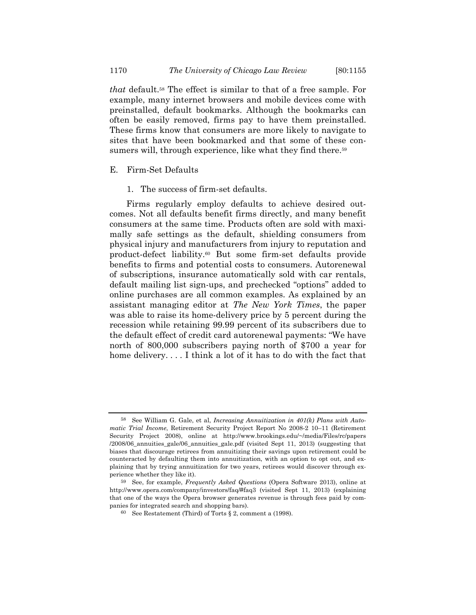*that* default.58 The effect is similar to that of a free sample. For example, many internet browsers and mobile devices come with preinstalled, default bookmarks. Although the bookmarks can often be easily removed, firms pay to have them preinstalled. These firms know that consumers are more likely to navigate to sites that have been bookmarked and that some of these consumers will, through experience, like what they find there.<sup>59</sup>

#### E. Firm-Set Defaults

1. The success of firm-set defaults.

Firms regularly employ defaults to achieve desired outcomes. Not all defaults benefit firms directly, and many benefit consumers at the same time. Products often are sold with maximally safe settings as the default, shielding consumers from physical injury and manufacturers from injury to reputation and product-defect liability.60 But some firm-set defaults provide benefits to firms and potential costs to consumers. Autorenewal of subscriptions, insurance automatically sold with car rentals, default mailing list sign-ups, and prechecked "options" added to online purchases are all common examples. As explained by an assistant managing editor at *The New York Times*, the paper was able to raise its home-delivery price by 5 percent during the recession while retaining 99.99 percent of its subscribers due to the default effect of credit card autorenewal payments: "We have north of 800,000 subscribers paying north of \$700 a year for home delivery. . . . I think a lot of it has to do with the fact that

<sup>58</sup> See William G. Gale, et al, *Increasing Annuitization in 401(k) Plans with Automatic Trial Income*, Retirement Security Project Report No 2008-2 10–11 (Retirement Security Project 2008), online at http://www.brookings.edu/~/media/Files/rc/papers /2008/06\_annuities\_gale/06\_annuities\_gale.pdf (visited Sept 11, 2013) (suggesting that biases that discourage retirees from annuitizing their savings upon retirement could be counteracted by defaulting them into annuitization, with an option to opt out, and explaining that by trying annuitization for two years, retirees would discover through experience whether they like it).

<sup>59</sup> See, for example, *Frequently Asked Questions* (Opera Software 2013), online at http://www.opera.com/company/investors/faq/#faq3 (visited Sept 11, 2013) (explaining that one of the ways the Opera browser generates revenue is through fees paid by companies for integrated search and shopping bars).

<sup>&</sup>lt;sup>60</sup> See Restatement (Third) of Torts  $\S 2$ , comment a (1998).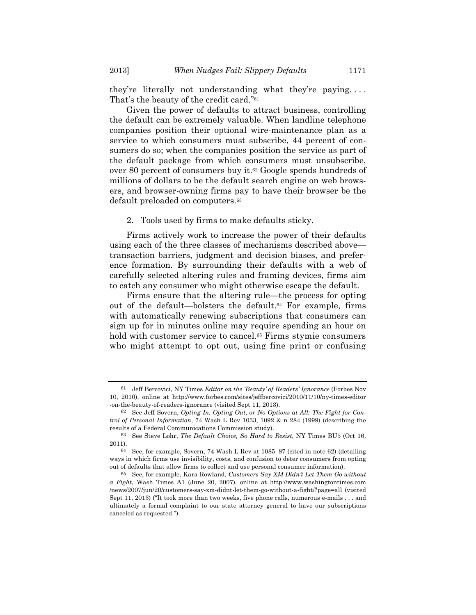they're literally not understanding what they're paying. . . . That's the beauty of the credit card."61

Given the power of defaults to attract business, controlling the default can be extremely valuable. When landline telephone companies position their optional wire-maintenance plan as a service to which consumers must subscribe, 44 percent of consumers do so; when the companies position the service as part of the default package from which consumers must unsubscribe, over 80 percent of consumers buy it.62 Google spends hundreds of millions of dollars to be the default search engine on web browsers, and browser-owning firms pay to have their browser be the default preloaded on computers.63

2. Tools used by firms to make defaults sticky.

Firms actively work to increase the power of their defaults using each of the three classes of mechanisms described above transaction barriers, judgment and decision biases, and preference formation. By surrounding their defaults with a web of carefully selected altering rules and framing devices, firms aim to catch any consumer who might otherwise escape the default.

Firms ensure that the altering rule—the process for opting out of the default—bolsters the default.64 For example, firms with automatically renewing subscriptions that consumers can sign up for in minutes online may require spending an hour on hold with customer service to cancel.<sup>65</sup> Firms stymie consumers who might attempt to opt out, using fine print or confusing

<sup>61</sup> Jeff Bercovici, NY Times *Editor on the 'Beauty' of Readers' Ignorance* (Forbes Nov 10, 2010), online at http://www.forbes.com/sites/jeffbercovici/2010/11/10/ny-times-editor -on-the-beauty-of-readers-ignorance (visited Sept 11, 2013).

<sup>62</sup> See Jeff Sovern, *Opting In, Opting Out, or No Options at All: The Fight for Control of Personal Information*, 74 Wash L Rev 1033, 1092 & n 284 (1999) (describing the results of a Federal Communications Commission study).

<sup>63</sup> See Steve Lohr, *The Default Choice, So Hard to Resist*, NY Times BU5 (Oct 16, 2011).

<sup>64</sup> See, for example, Sovern, 74 Wash L Rev at 1085–87 (cited in note 62) (detailing ways in which firms use invisibility, costs, and confusion to deter consumers from opting out of defaults that allow firms to collect and use personal consumer information).

<sup>65</sup> See, for example, Kara Rowland, *Customers Say XM Didn't Let Them Go without a Fight*, Wash Times A1 (June 20, 2007), online at http://www.washingtontimes.com /news/2007/jun/20/customers-say-xm-didnt-let-them-go-without-a-fight/?page=all (visited Sept 11, 2013) ("It took more than two weeks, five phone calls, numerous e-mails . . . and ultimately a formal complaint to our state attorney general to have our subscriptions canceled as requested.").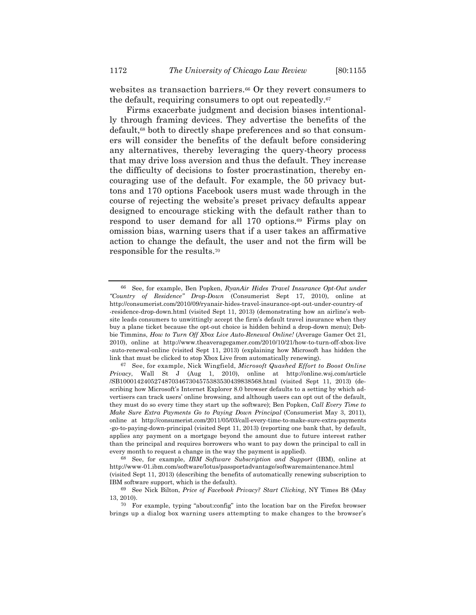websites as transaction barriers.<sup>66</sup> Or they revert consumers to the default, requiring consumers to opt out repeatedly.67

Firms exacerbate judgment and decision biases intentionally through framing devices. They advertise the benefits of the default,68 both to directly shape preferences and so that consumers will consider the benefits of the default before considering any alternatives, thereby leveraging the query-theory process that may drive loss aversion and thus the default. They increase the difficulty of decisions to foster procrastination, thereby encouraging use of the default. For example, the 50 privacy buttons and 170 options Facebook users must wade through in the course of rejecting the website's preset privacy defaults appear designed to encourage sticking with the default rather than to respond to user demand for all 170 options.69 Firms play on omission bias, warning users that if a user takes an affirmative action to change the default, the user and not the firm will be responsible for the results.70

<sup>66</sup> See, for example, Ben Popken, *RyanAir Hides Travel Insurance Opt-Out under "Country of Residence" Drop-Down* (Consumerist Sept 17, 2010), online at http://consumerist.com/2010/09/ryanair-hides-travel-insurance-opt-out-under-country-of -residence-drop-down.html (visited Sept 11, 2013) (demonstrating how an airline's website leads consumers to unwittingly accept the firm's default travel insurance when they buy a plane ticket because the opt-out choice is hidden behind a drop-down menu); Debbie Timmins, *How to Turn Off Xbox Live Auto-Renewal Online!* (Average Gamer Oct 21, 2010), online at http://www.theaveragegamer.com/2010/10/21/how-to-turn-off-xbox-live -auto-renewal-online (visited Sept 11, 2013) (explaining how Microsoft has hidden the link that must be clicked to stop Xbox Live from automatically renewing).

<sup>67</sup> See, for example, Nick Wingfield, *Microsoft Quashed Effort to Boost Online Privacy*, Wall St J (Aug 1, 2010), online at http://online.wsj.com/article /SB10001424052748703467304575383530439838568.html (visited Sept 11, 2013) (describing how Microsoft's Internet Explorer 8.0 browser defaults to a setting by which advertisers can track users' online browsing, and although users can opt out of the default, they must do so every time they start up the software); Ben Popken, *Call Every Time to Make Sure Extra Payments Go to Paying Down Principal* (Consumerist May 3, 2011), online at http://consumerist.com/2011/05/03/call-every-time-to-make-sure-extra-payments -go-to-paying-down-principal (visited Sept 11, 2013) (reporting one bank that, by default, applies any payment on a mortgage beyond the amount due to future interest rather than the principal and requires borrowers who want to pay down the principal to call in every month to request a change in the way the payment is applied).

<sup>68</sup> See, for example, *IBM Software Subscription and Support* (IBM), online at http://www-01.ibm.com/software/lotus/passportadvantage/softwaremaintenance.html (visited Sept 11, 2013) (describing the benefits of automatically renewing subscription to IBM software support, which is the default).

<sup>69</sup> See Nick Bilton, *Price of Facebook Privacy? Start Clicking*, NY Times B8 (May 13, 2010).

<sup>70</sup> For example, typing "about:config" into the location bar on the Firefox browser brings up a dialog box warning users attempting to make changes to the browser's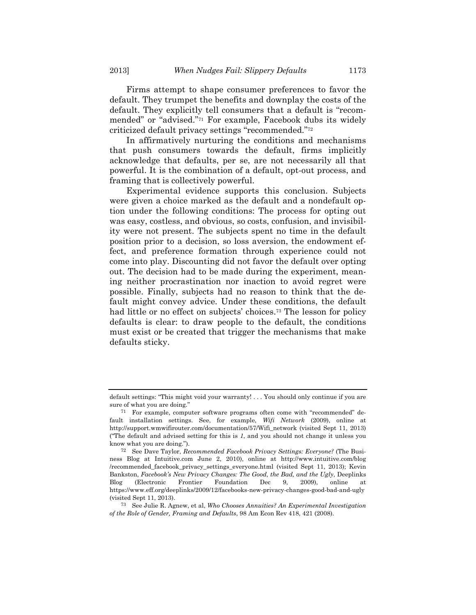Firms attempt to shape consumer preferences to favor the default. They trumpet the benefits and downplay the costs of the default. They explicitly tell consumers that a default is "recommended" or "advised."71 For example, Facebook dubs its widely criticized default privacy settings "recommended."72

In affirmatively nurturing the conditions and mechanisms that push consumers towards the default, firms implicitly acknowledge that defaults, per se, are not necessarily all that powerful. It is the combination of a default, opt-out process, and framing that is collectively powerful.

Experimental evidence supports this conclusion. Subjects were given a choice marked as the default and a nondefault option under the following conditions: The process for opting out was easy, costless, and obvious, so costs, confusion, and invisibility were not present. The subjects spent no time in the default position prior to a decision, so loss aversion, the endowment effect, and preference formation through experience could not come into play. Discounting did not favor the default over opting out. The decision had to be made during the experiment, meaning neither procrastination nor inaction to avoid regret were possible. Finally, subjects had no reason to think that the default might convey advice. Under these conditions, the default had little or no effect on subjects' choices.<sup>73</sup> The lesson for policy defaults is clear: to draw people to the default, the conditions must exist or be created that trigger the mechanisms that make defaults sticky.

default settings: "This might void your warranty! . . . You should only continue if you are sure of what you are doing."

<sup>71</sup> For example, computer software programs often come with "recommended" default installation settings. See, for example, *Wifi Network* (2009), online at http://support.wmwifirouter.com/documentation/57/Wifi\_network (visited Sept 11, 2013) ("The default and advised setting for this is *1*, and you should not change it unless you know what you are doing.").

<sup>72</sup> See Dave Taylor, *Recommended Facebook Privacy Settings: Everyone?* (The Business Blog at Intuitive.com June 2, 2010), online at http://www.intuitive.com/blog /recommended\_facebook\_privacy\_settings\_everyone.html (visited Sept 11, 2013); Kevin Bankston, *Facebook's New Privacy Changes: The Good, the Bad, and the Ugly*, Deeplinks Blog (Electronic Frontier Foundation Dec 9, 2009), online at https://www.eff.org/deeplinks/2009/12/facebooks-new-privacy-changes-good-bad-and-ugly (visited Sept 11, 2013).

<sup>73</sup> See Julie R. Agnew, et al, *Who Chooses Annuities? An Experimental Investigation of the Role of Gender, Framing and Defaults*, 98 Am Econ Rev 418, 421 (2008).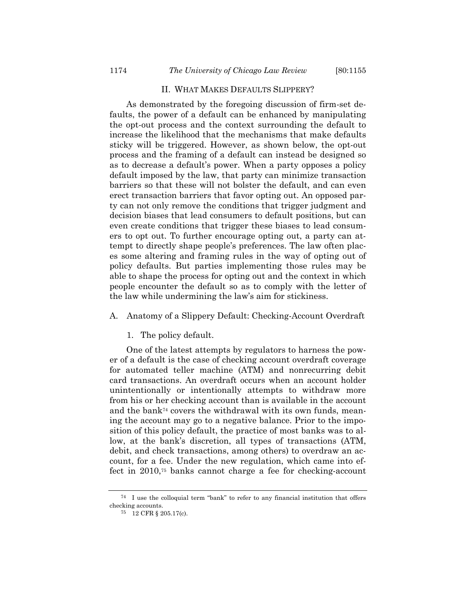#### II. WHAT MAKES DEFAULTS SLIPPERY?

As demonstrated by the foregoing discussion of firm-set defaults, the power of a default can be enhanced by manipulating the opt-out process and the context surrounding the default to increase the likelihood that the mechanisms that make defaults sticky will be triggered. However, as shown below, the opt-out process and the framing of a default can instead be designed so as to decrease a default's power. When a party opposes a policy default imposed by the law, that party can minimize transaction barriers so that these will not bolster the default, and can even erect transaction barriers that favor opting out. An opposed party can not only remove the conditions that trigger judgment and decision biases that lead consumers to default positions, but can even create conditions that trigger these biases to lead consumers to opt out. To further encourage opting out, a party can attempt to directly shape people's preferences. The law often places some altering and framing rules in the way of opting out of policy defaults. But parties implementing those rules may be able to shape the process for opting out and the context in which people encounter the default so as to comply with the letter of the law while undermining the law's aim for stickiness.

#### A. Anatomy of a Slippery Default: Checking-Account Overdraft

1. The policy default.

One of the latest attempts by regulators to harness the power of a default is the case of checking account overdraft coverage for automated teller machine (ATM) and nonrecurring debit card transactions. An overdraft occurs when an account holder unintentionally or intentionally attempts to withdraw more from his or her checking account than is available in the account and the bank74 covers the withdrawal with its own funds, meaning the account may go to a negative balance. Prior to the imposition of this policy default, the practice of most banks was to allow, at the bank's discretion, all types of transactions (ATM, debit, and check transactions, among others) to overdraw an account, for a fee. Under the new regulation, which came into effect in 2010,75 banks cannot charge a fee for checking-account

<sup>74</sup> I use the colloquial term "bank" to refer to any financial institution that offers checking accounts.

<sup>75 12</sup> CFR § 205.17(c).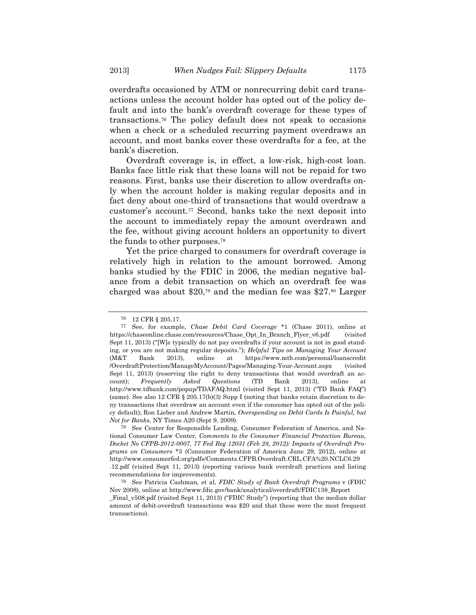overdrafts occasioned by ATM or nonrecurring debit card transactions unless the account holder has opted out of the policy default and into the bank's overdraft coverage for these types of transactions.76 The policy default does not speak to occasions when a check or a scheduled recurring payment overdraws an account, and most banks cover these overdrafts for a fee, at the bank's discretion.

Overdraft coverage is, in effect, a low-risk, high-cost loan. Banks face little risk that these loans will not be repaid for two reasons. First, banks use their discretion to allow overdrafts only when the account holder is making regular deposits and in fact deny about one-third of transactions that would overdraw a customer's account.77 Second, banks take the next deposit into the account to immediately repay the amount overdrawn and the fee, without giving account holders an opportunity to divert the funds to other purposes.78

Yet the price charged to consumers for overdraft coverage is relatively high in relation to the amount borrowed. Among banks studied by the FDIC in 2006, the median negative balance from a debit transaction on which an overdraft fee was charged was about \$20,79 and the median fee was \$27.80 Larger

<sup>76 12</sup> CFR § 205.17.

<sup>77</sup> See, for example, *Chase Debit Card Coverage* \*1 (Chase 2011), online at https://chaseonline.chase.com/resources/Chase\_Opt\_In\_Branch\_Flyer\_v6.pdf (visited Sept 11, 2013) ("[W]e typically do not pay overdrafts if your account is not in good standing, or you are not making regular deposits."); *Helpful Tips on Managing Your Account* (M&T Bank 2013), online at https://www.mtb.com/personal/loanscredit /OverdraftProtection/ManageMyAccount/Pages/Managing-Your-Account.aspx (visited Sept 11, 2013) (reserving the right to deny transactions that would overdraft an account); *Frequently Asked Questions* (TD Bank 2013), online at http://www.tdbank.com/popup/TDAFAQ.html (visited Sept 11, 2013) ("TD Bank FAQ") (same). See also 12 CFR  $\S 205.17(b)(3)$  Supp I (noting that banks retain discretion to deny transactions that overdraw an account even if the consumer has opted out of the policy default); Ron Lieber and Andrew Martin, *Overspending on Debit Cards Is Painful, but Not for Banks*, NY Times A20 (Sept 9, 2009).

<sup>78</sup> See Center for Responsible Lending, Consumer Federation of America, and National Consumer Law Center, *Comments to the Consumer Financial Protection Bureau, Docket No CFPB-2012-0007, 77 Fed Reg 12031 (Feb 28, 2012): Impacts of Overdraft Programs on Consumers* \*3 (Consumer Federation of America June 29, 2012), online at http://www.consumerfed.org/pdfs/Comments.CFPB.Overdraft.CRL.CFA%20.NCLC6.29 .12.pdf (visited Sept 11, 2013) (reporting various bank overdraft practices and listing recommendations for improvements).

<sup>79</sup> See Patricia Cashman, et al, *FDIC Study of Bank Overdraft Programs* v (FDIC Nov 2008), online at http://www.fdic.gov/bank/analytical/overdraft/FDIC138\_Report

\_Final\_v508.pdf (visited Sept 11, 2013) ("FDIC Study") (reporting that the median dollar amount of debit-overdraft transactions was \$20 and that these were the most frequent transactions).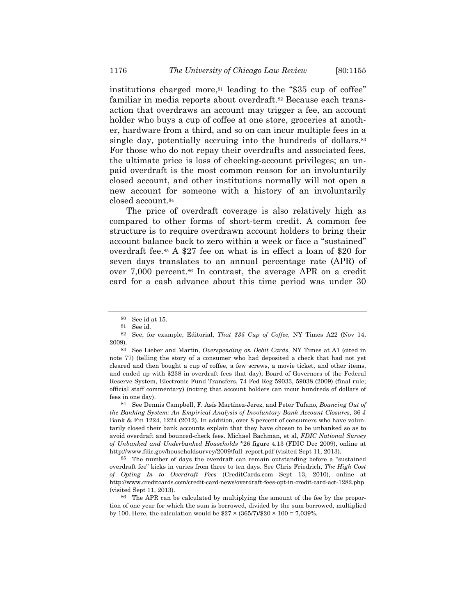institutions charged more,  $81$  leading to the "\$35 cup of coffee" familiar in media reports about overdraft.82 Because each transaction that overdraws an account may trigger a fee, an account holder who buys a cup of coffee at one store, groceries at another, hardware from a third, and so on can incur multiple fees in a single day, potentially accruing into the hundreds of dollars.<sup>83</sup> For those who do not repay their overdrafts and associated fees, the ultimate price is loss of checking-account privileges; an unpaid overdraft is the most common reason for an involuntarily closed account, and other institutions normally will not open a new account for someone with a history of an involuntarily closed account.84

The price of overdraft coverage is also relatively high as compared to other forms of short-term credit. A common fee structure is to require overdrawn account holders to bring their account balance back to zero within a week or face a "sustained" overdraft fee.85 A \$27 fee on what is in effect a loan of \$20 for seven days translates to an annual percentage rate (APR) of over 7,000 percent.86 In contrast, the average APR on a credit card for a cash advance about this time period was under 30

84 See Dennis Campbell, F. Asís Martínez-Jerez, and Peter Tufano, *Bouncing Out of the Banking System: An Empirical Analysis of Involuntary Bank Account Closures*, 36 J Bank & Fin 1224, 1224 (2012). In addition, over 8 percent of consumers who have voluntarily closed their bank accounts explain that they have chosen to be unbanked so as to avoid overdraft and bounced-check fees. Michael Bachman, et al, *FDIC National Survey of Unbanked and Underbanked Households* \*26 figure 4.13 (FDIC Dec 2009), online at http://www.fdic.gov/householdsurvey/2009/full\_report.pdf (visited Sept 11, 2013).

85 The number of days the overdraft can remain outstanding before a "sustained overdraft fee" kicks in varies from three to ten days. See Chris Friedrich, *The High Cost of Opting In to Overdraft Fees* (CreditCards.com Sept 13, 2010), online at http://www.creditcards.com/credit-card-news/overdraft-fees-opt-in-credit-card-act-1282.php (visited Sept 11, 2013).

86 The APR can be calculated by multiplying the amount of the fee by the proportion of one year for which the sum is borrowed, divided by the sum borrowed, multiplied by 100. Here, the calculation would be  $$27 \times (365/7)/$20 \times 100 = 7,039\%$ .

<sup>80</sup> See id at 15.

 $81$  See id.

<sup>82</sup> See, for example, Editorial, *That \$35 Cup of Coffee*, NY Times A22 (Nov 14, 2009).

<sup>83</sup> See Lieber and Martin, *Overspending on Debit Cards*, NY Times at A1 (cited in note 77) (telling the story of a consumer who had deposited a check that had not yet cleared and then bought a cup of coffee, a few screws, a movie ticket, and other items, and ended up with \$238 in overdraft fees that day); Board of Governors of the Federal Reserve System, Electronic Fund Transfers, 74 Fed Reg 59033, 59038 (2009) (final rule; official staff commentary) (noting that account holders can incur hundreds of dollars of fees in one day).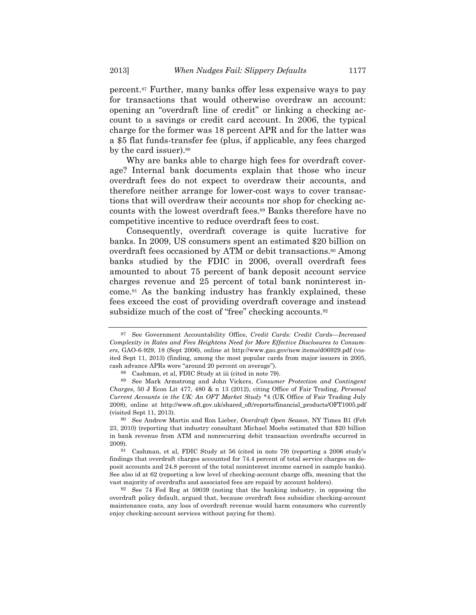percent.87 Further, many banks offer less expensive ways to pay for transactions that would otherwise overdraw an account: opening an "overdraft line of credit" or linking a checking account to a savings or credit card account. In 2006, the typical charge for the former was 18 percent APR and for the latter was a \$5 flat funds-transfer fee (plus, if applicable, any fees charged by the card issuer).<sup>88</sup>

Why are banks able to charge high fees for overdraft coverage? Internal bank documents explain that those who incur overdraft fees do not expect to overdraw their accounts, and therefore neither arrange for lower-cost ways to cover transactions that will overdraw their accounts nor shop for checking accounts with the lowest overdraft fees.89 Banks therefore have no competitive incentive to reduce overdraft fees to cost.

Consequently, overdraft coverage is quite lucrative for banks. In 2009, US consumers spent an estimated \$20 billion on overdraft fees occasioned by ATM or debit transactions.90 Among banks studied by the FDIC in 2006, overall overdraft fees amounted to about 75 percent of bank deposit account service charges revenue and 25 percent of total bank noninterest income.91 As the banking industry has frankly explained, these fees exceed the cost of providing overdraft coverage and instead subsidize much of the cost of "free" checking accounts.<sup>92</sup>

<sup>87</sup> See Government Accountability Office, *Credit Cards: Credit Cards—Increased Complexity in Rates and Fees Heightens Need for More Effective Disclosures to Consumers*, GAO-6-929, 18 (Sept 2006), online at http://www.gao.gov/new.items/d06929.pdf (visited Sept 11, 2013) (finding, among the most popular cards from major issuers in 2005, cash advance APRs were "around 20 percent on average").

<sup>88</sup> Cashman, et al, FDIC Study at iii (cited in note 79).

<sup>89</sup> See Mark Armstrong and John Vickers, *Consumer Protection and Contingent Charges*, 50 J Econ Lit 477, 480 & n 13 (2012), citing Office of Fair Trading, *Personal Current Accounts in the UK: An OFT Market Study* \*4 (UK Office of Fair Trading July 2008), online at http://www.oft.gov.uk/shared\_oft/reports/financial\_products/OFT1005.pdf (visited Sept 11, 2013).

<sup>90</sup> See Andrew Martin and Ron Lieber, *Overdraft Open Season*, NY Times B1 (Feb 23, 2010) (reporting that industry consultant Michael Moebs estimated that \$20 billion in bank revenue from ATM and nonrecurring debit transaction overdrafts occurred in 2009).

<sup>91</sup> Cashman, et al, FDIC Study at 56 (cited in note 79) (reporting a 2006 study's findings that overdraft charges accounted for 74.4 percent of total service charges on deposit accounts and 24.8 percent of the total noninterest income earned in sample banks). See also id at 62 (reporting a low level of checking-account charge offs, meaning that the vast majority of overdrafts and associated fees are repaid by account holders).

 $92$  See 74 Fed Reg at 59039 (noting that the banking industry, in opposing the overdraft policy default, argued that, because overdraft fees subsidize checking-account maintenance costs, any loss of overdraft revenue would harm consumers who currently enjoy checking-account services without paying for them).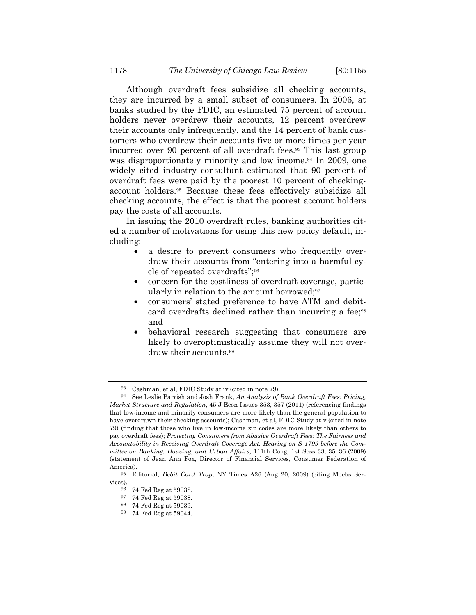Although overdraft fees subsidize all checking accounts, they are incurred by a small subset of consumers. In 2006, at banks studied by the FDIC, an estimated 75 percent of account holders never overdrew their accounts, 12 percent overdrew their accounts only infrequently, and the 14 percent of bank customers who overdrew their accounts five or more times per year incurred over 90 percent of all overdraft fees.93 This last group was disproportionately minority and low income.<sup>94</sup> In 2009, one widely cited industry consultant estimated that 90 percent of overdraft fees were paid by the poorest 10 percent of checkingaccount holders.95 Because these fees effectively subsidize all checking accounts, the effect is that the poorest account holders pay the costs of all accounts.

In issuing the 2010 overdraft rules, banking authorities cited a number of motivations for using this new policy default, including:

- a desire to prevent consumers who frequently overdraw their accounts from "entering into a harmful cycle of repeated overdrafts";96
- concern for the costliness of overdraft coverage, particularly in relation to the amount borrowed;<sup>97</sup>
- consumers' stated preference to have ATM and debitcard overdrafts declined rather than incurring a fee;<sup>98</sup> and
- behavioral research suggesting that consumers are likely to overoptimistically assume they will not overdraw their accounts.99

<sup>93</sup> Cashman, et al, FDIC Study at iv (cited in note 79).

<sup>94</sup> See Leslie Parrish and Josh Frank, *An Analysis of Bank Overdraft Fees: Pricing, Market Structure and Regulation*, 45 J Econ Issues 353, 357 (2011) (referencing findings that low-income and minority consumers are more likely than the general population to have overdrawn their checking accounts); Cashman, et al, FDIC Study at v (cited in note 79) (finding that those who live in low-income zip codes are more likely than others to pay overdraft fees); *Protecting Consumers from Abusive Overdraft Fees: The Fairness and Accountability in Receiving Overdraft Coverage Act, Hearing on S 1799 before the Committee on Banking, Housing, and Urban Affairs*, 111th Cong, 1st Sess 33, 35–36 (2009) (statement of Jean Ann Fox, Director of Financial Services, Consumer Federation of America).

<sup>95</sup> Editorial, *Debit Card Trap*, NY Times A26 (Aug 20, 2009) (citing Moebs Services).

<sup>96 74</sup> Fed Reg at 59038.

<sup>97 74</sup> Fed Reg at 59038.

<sup>98 74</sup> Fed Reg at 59039.

<sup>99 74</sup> Fed Reg at 59044.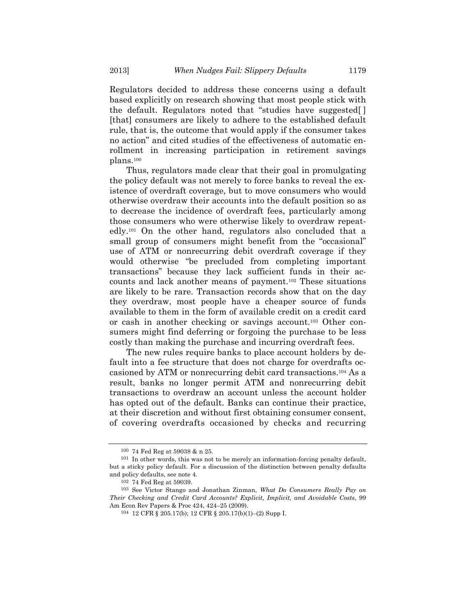Regulators decided to address these concerns using a default based explicitly on research showing that most people stick with the default. Regulators noted that "studies have suggested[ ] [that] consumers are likely to adhere to the established default rule, that is, the outcome that would apply if the consumer takes no action" and cited studies of the effectiveness of automatic enrollment in increasing participation in retirement savings plans.100

Thus, regulators made clear that their goal in promulgating the policy default was not merely to force banks to reveal the existence of overdraft coverage, but to move consumers who would otherwise overdraw their accounts into the default position so as to decrease the incidence of overdraft fees, particularly among those consumers who were otherwise likely to overdraw repeatedly.101 On the other hand, regulators also concluded that a small group of consumers might benefit from the "occasional" use of ATM or nonrecurring debit overdraft coverage if they would otherwise "be precluded from completing important transactions" because they lack sufficient funds in their accounts and lack another means of payment.102 These situations are likely to be rare. Transaction records show that on the day they overdraw, most people have a cheaper source of funds available to them in the form of available credit on a credit card or cash in another checking or savings account.103 Other consumers might find deferring or forgoing the purchase to be less costly than making the purchase and incurring overdraft fees.

The new rules require banks to place account holders by default into a fee structure that does not charge for overdrafts occasioned by ATM or nonrecurring debit card transactions.104 As a result, banks no longer permit ATM and nonrecurring debit transactions to overdraw an account unless the account holder has opted out of the default. Banks can continue their practice, at their discretion and without first obtaining consumer consent, of covering overdrafts occasioned by checks and recurring

<sup>100 74</sup> Fed Reg at 59038 & n 25.

<sup>101</sup> In other words, this was not to be merely an information-forcing penalty default, but a sticky policy default. For a discussion of the distinction between penalty defaults and policy defaults, see note 4.

<sup>102 74</sup> Fed Reg at 59039. 103 See Victor Stango and Jonathan Zinman, *What Do Consumers Really Pay on Their Checking and Credit Card Accounts? Explicit, Implicit, and Avoidable Costs*, 99 Am Econ Rev Papers & Proc 424, 424–25 (2009).<br><sup>104</sup> 12 CFR § 205.17(b); 12 CFR § 205.17(b)(1)–(2) Supp I.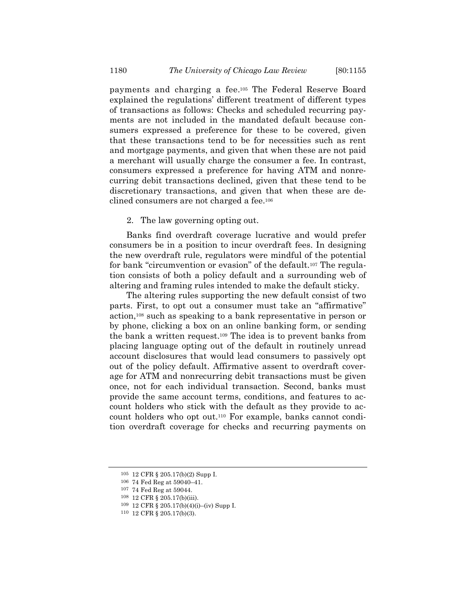payments and charging a fee.105 The Federal Reserve Board explained the regulations' different treatment of different types of transactions as follows: Checks and scheduled recurring payments are not included in the mandated default because consumers expressed a preference for these to be covered, given that these transactions tend to be for necessities such as rent and mortgage payments, and given that when these are not paid a merchant will usually charge the consumer a fee. In contrast, consumers expressed a preference for having ATM and nonrecurring debit transactions declined, given that these tend to be discretionary transactions, and given that when these are declined consumers are not charged a fee.106

2. The law governing opting out.

Banks find overdraft coverage lucrative and would prefer consumers be in a position to incur overdraft fees. In designing the new overdraft rule, regulators were mindful of the potential for bank "circumvention or evasion" of the default.107 The regulation consists of both a policy default and a surrounding web of altering and framing rules intended to make the default sticky.

The altering rules supporting the new default consist of two parts. First, to opt out a consumer must take an "affirmative" action,108 such as speaking to a bank representative in person or by phone, clicking a box on an online banking form, or sending the bank a written request.109 The idea is to prevent banks from placing language opting out of the default in routinely unread account disclosures that would lead consumers to passively opt out of the policy default. Affirmative assent to overdraft coverage for ATM and nonrecurring debit transactions must be given once, not for each individual transaction. Second, banks must provide the same account terms, conditions, and features to account holders who stick with the default as they provide to account holders who opt out.110 For example, banks cannot condition overdraft coverage for checks and recurring payments on

<sup>105 12</sup> CFR § 205.17(b)(2) Supp I.

<sup>106 74</sup> Fed Reg at 59040–41. 107 74 Fed Reg at 59044.

<sup>108 12</sup> CFR § 205.17(b)(iii).

<sup>109 12</sup> CFR § 205.17(b)(4)(i)–(iv) Supp I. 110 12 CFR § 205.17(b)(3).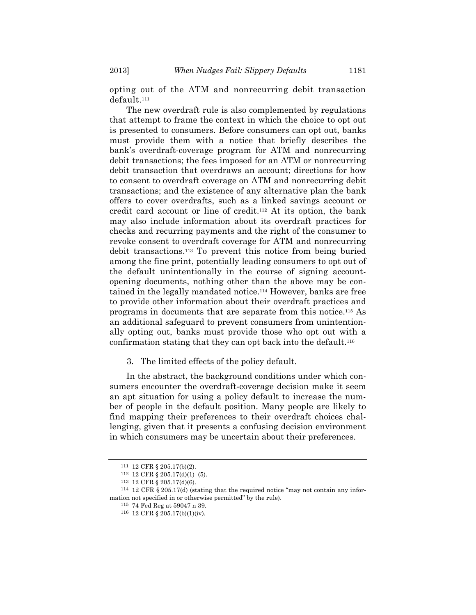opting out of the ATM and nonrecurring debit transaction default.111

The new overdraft rule is also complemented by regulations that attempt to frame the context in which the choice to opt out is presented to consumers. Before consumers can opt out, banks must provide them with a notice that briefly describes the bank's overdraft-coverage program for ATM and nonrecurring debit transactions; the fees imposed for an ATM or nonrecurring debit transaction that overdraws an account; directions for how to consent to overdraft coverage on ATM and nonrecurring debit transactions; and the existence of any alternative plan the bank offers to cover overdrafts, such as a linked savings account or credit card account or line of credit.112 At its option, the bank may also include information about its overdraft practices for checks and recurring payments and the right of the consumer to revoke consent to overdraft coverage for ATM and nonrecurring debit transactions.113 To prevent this notice from being buried among the fine print, potentially leading consumers to opt out of the default unintentionally in the course of signing accountopening documents, nothing other than the above may be contained in the legally mandated notice.114 However, banks are free to provide other information about their overdraft practices and programs in documents that are separate from this notice.115 As an additional safeguard to prevent consumers from unintentionally opting out, banks must provide those who opt out with a confirmation stating that they can opt back into the default.116

3. The limited effects of the policy default.

In the abstract, the background conditions under which consumers encounter the overdraft-coverage decision make it seem an apt situation for using a policy default to increase the number of people in the default position. Many people are likely to find mapping their preferences to their overdraft choices challenging, given that it presents a confusing decision environment in which consumers may be uncertain about their preferences.

<sup>111 12</sup> CFR § 205.17(b)(2).

<sup>112 12</sup> CFR § 205.17(d)(1)–(5).

<sup>&</sup>lt;sup>113</sup> 12 CFR § 205.17(d)(6). 114 12 CFR § 205.17(d) (stating that the required notice "may not contain any information not specified in or otherwise permitted" by the rule).

<sup>115 74</sup> Fed Reg at 59047 n 39. 116 12 CFR § 205.17(b)(1)(iv).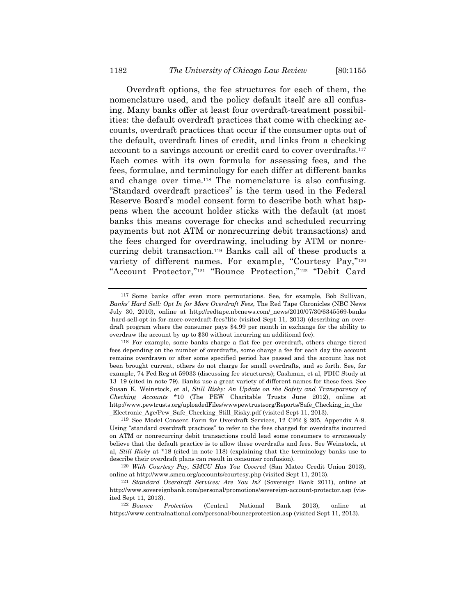Overdraft options, the fee structures for each of them, the nomenclature used, and the policy default itself are all confusing. Many banks offer at least four overdraft-treatment possibilities: the default overdraft practices that come with checking accounts, overdraft practices that occur if the consumer opts out of the default, overdraft lines of credit, and links from a checking account to a savings account or credit card to cover overdrafts.117 Each comes with its own formula for assessing fees, and the fees, formulae, and terminology for each differ at different banks and change over time.118 The nomenclature is also confusing. "Standard overdraft practices" is the term used in the Federal Reserve Board's model consent form to describe both what happens when the account holder sticks with the default (at most banks this means coverage for checks and scheduled recurring payments but not ATM or nonrecurring debit transactions) and the fees charged for overdrawing, including by ATM or nonrecurring debit transaction.119 Banks call all of these products a variety of different names. For example, "Courtesy Pay,"120 "Account Protector,"121 "Bounce Protection,"122 "Debit Card

<sup>117</sup> Some banks offer even more permutations. See, for example, Bob Sullivan, *Banks' Hard Sell: Opt In for More Overdraft Fees*, The Red Tape Chronicles (NBC News July 30, 2010), online at http://redtape.nbcnews.com/\_news/2010/07/30/6345569-banks -hard-sell-opt-in-for-more-overdraft-fees?lite (visited Sept 11, 2013) (describing an overdraft program where the consumer pays \$4.99 per month in exchange for the ability to overdraw the account by up to \$30 without incurring an additional fee).

<sup>118</sup> For example, some banks charge a flat fee per overdraft, others charge tiered fees depending on the number of overdrafts, some charge a fee for each day the account remains overdrawn or after some specified period has passed and the account has not been brought current, others do not charge for small overdrafts, and so forth. See, for example, 74 Fed Reg at 59033 (discussing fee structures); Cashman, et al, FDIC Study at 13–19 (cited in note 79). Banks use a great variety of different names for these fees. See Susan K. Weinstock, et al, *Still Risky: An Update on the Safety and Transparency of Checking Accounts* \*10 (The PEW Charitable Trusts June 2012), online at http://www.pewtrusts.org/uploadedFiles/wwwpewtrustsorg/Reports/Safe\_Checking\_in\_the \_Electronic\_Age/Pew\_Safe\_Checking\_Still\_Risky.pdf (visited Sept 11, 2013).

<sup>119</sup> See Model Consent Form for Overdraft Services, 12 CFR § 205, Appendix A-9. Using "standard overdraft practices" to refer to the fees charged for overdrafts incurred on ATM or nonrecurring debit transactions could lead some consumers to erroneously believe that the default practice is to allow these overdrafts and fees. See Weinstock, et al, *Still Risky* at \*18 (cited in note 118) (explaining that the terminology banks use to describe their overdraft plans can result in consumer confusion).

<sup>120</sup> *With Courtesy Pay, SMCU Has You Covered* (San Mateo Credit Union 2013), online at http://www.smcu.org/accounts/courtesy.php (visited Sept 11, 2013).

<sup>121</sup> *Standard Overdraft Services: Are You In?* (Sovereign Bank 2011), online at http://www.sovereignbank.com/personal/promotions/sovereign-account-protector.asp (visited Sept 11, 2013).

<sup>122</sup> *Bounce Protection* (Central National Bank 2013), online at https://www.centralnational.com/personal/bounceprotection.asp (visited Sept 11, 2013).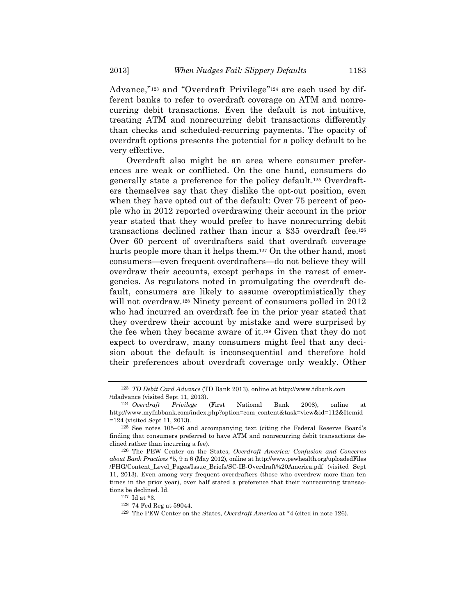Advance,"<sup>123</sup> and "Overdraft Privilege"<sup>124</sup> are each used by different banks to refer to overdraft coverage on ATM and nonrecurring debit transactions. Even the default is not intuitive, treating ATM and nonrecurring debit transactions differently than checks and scheduled-recurring payments. The opacity of overdraft options presents the potential for a policy default to be very effective.

Overdraft also might be an area where consumer preferences are weak or conflicted. On the one hand, consumers do generally state a preference for the policy default.125 Overdrafters themselves say that they dislike the opt-out position, even when they have opted out of the default: Over 75 percent of people who in 2012 reported overdrawing their account in the prior year stated that they would prefer to have nonrecurring debit transactions declined rather than incur a \$35 overdraft fee.126 Over 60 percent of overdrafters said that overdraft coverage hurts people more than it helps them.<sup>127</sup> On the other hand, most consumers—even frequent overdrafters—do not believe they will overdraw their accounts, except perhaps in the rarest of emergencies. As regulators noted in promulgating the overdraft default, consumers are likely to assume overoptimistically they will not overdraw.<sup>128</sup> Ninety percent of consumers polled in 2012 who had incurred an overdraft fee in the prior year stated that they overdrew their account by mistake and were surprised by the fee when they became aware of it.129 Given that they do not expect to overdraw, many consumers might feel that any decision about the default is inconsequential and therefore hold their preferences about overdraft coverage only weakly. Other

<sup>123</sup> *TD Debit Card Advance* (TD Bank 2013), online at http://www.tdbank.com /tdadvance (visited Sept 11, 2013).

<sup>124</sup> *Overdraft Privilege* (First National Bank 2008), online at http://www.myfnbbank.com/index.php?option=com\_content&task=view&id=112&Itemid =124 (visited Sept 11, 2013).

<sup>125</sup> See notes 105–06 and accompanying text (citing the Federal Reserve Board's finding that consumers preferred to have ATM and nonrecurring debit transactions declined rather than incurring a fee).

<sup>126</sup> The PEW Center on the States, *Overdraft America: Confusion and Concerns about Bank Practices* \*5, 9 n 6 (May 2012), online at http://www.pewhealth.org/uploadedFiles /PHG/Content\_Level\_Pages/Issue\_Briefs/SC-IB-Overdraft%20America.pdf (visited Sept 11, 2013). Even among very frequent overdrafters (those who overdrew more than ten times in the prior year), over half stated a preference that their nonrecurring transactions be declined. Id.

<sup>127</sup> Id at \*3.

<sup>128 74</sup> Fed Reg at 59044. 129 The PEW Center on the States, *Overdraft America* at \*4 (cited in note 126).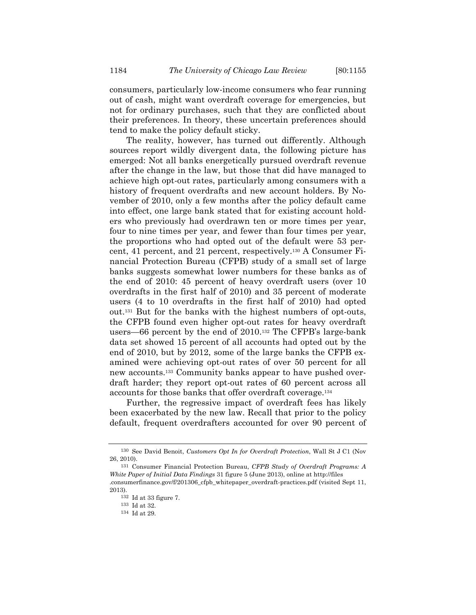consumers, particularly low-income consumers who fear running out of cash, might want overdraft coverage for emergencies, but not for ordinary purchases, such that they are conflicted about their preferences. In theory, these uncertain preferences should tend to make the policy default sticky.

The reality, however, has turned out differently. Although sources report wildly divergent data, the following picture has emerged: Not all banks energetically pursued overdraft revenue after the change in the law, but those that did have managed to achieve high opt-out rates, particularly among consumers with a history of frequent overdrafts and new account holders. By November of 2010, only a few months after the policy default came into effect, one large bank stated that for existing account holders who previously had overdrawn ten or more times per year, four to nine times per year, and fewer than four times per year, the proportions who had opted out of the default were 53 percent, 41 percent, and 21 percent, respectively.130 A Consumer Financial Protection Bureau (CFPB) study of a small set of large banks suggests somewhat lower numbers for these banks as of the end of 2010: 45 percent of heavy overdraft users (over 10 overdrafts in the first half of 2010) and 35 percent of moderate users (4 to 10 overdrafts in the first half of 2010) had opted out.131 But for the banks with the highest numbers of opt-outs, the CFPB found even higher opt-out rates for heavy overdraft users—66 percent by the end of 2010.132 The CFPB's large-bank data set showed 15 percent of all accounts had opted out by the end of 2010, but by 2012, some of the large banks the CFPB examined were achieving opt-out rates of over 50 percent for all new accounts.133 Community banks appear to have pushed overdraft harder; they report opt-out rates of 60 percent across all accounts for those banks that offer overdraft coverage.134

Further, the regressive impact of overdraft fees has likely been exacerbated by the new law. Recall that prior to the policy default, frequent overdrafters accounted for over 90 percent of

<sup>130</sup> See David Benoit, *Customers Opt In for Overdraft Protection*, Wall St J C1 (Nov 26, 2010).

<sup>131</sup> Consumer Financial Protection Bureau, *CFPB Study of Overdraft Programs: A White Paper of Initial Data Findings* 31 figure 5 (June 2013), online at http://files .consumerfinance.gov/f/201306\_cfpb\_whitepaper\_overdraft-practices.pdf (visited Sept 11, 2013).

<sup>132</sup> Id at 33 figure 7.

<sup>133</sup> Id at 32. 134 Id at 29.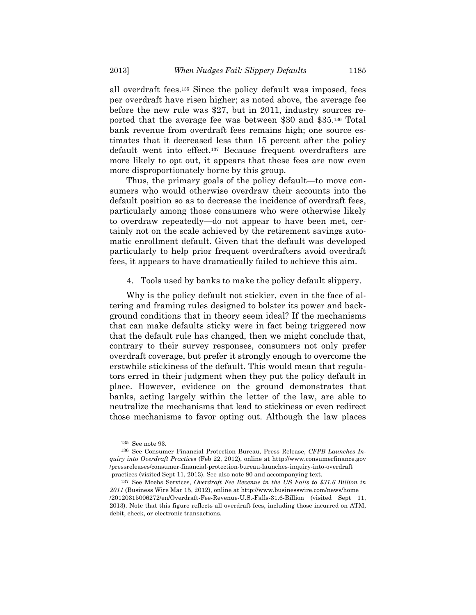all overdraft fees.135 Since the policy default was imposed, fees per overdraft have risen higher; as noted above, the average fee before the new rule was \$27, but in 2011, industry sources reported that the average fee was between \$30 and \$35.136 Total bank revenue from overdraft fees remains high; one source estimates that it decreased less than 15 percent after the policy default went into effect.137 Because frequent overdrafters are more likely to opt out, it appears that these fees are now even more disproportionately borne by this group.

Thus, the primary goals of the policy default—to move consumers who would otherwise overdraw their accounts into the default position so as to decrease the incidence of overdraft fees, particularly among those consumers who were otherwise likely to overdraw repeatedly—do not appear to have been met, certainly not on the scale achieved by the retirement savings automatic enrollment default. Given that the default was developed particularly to help prior frequent overdrafters avoid overdraft fees, it appears to have dramatically failed to achieve this aim.

4. Tools used by banks to make the policy default slippery.

Why is the policy default not stickier, even in the face of altering and framing rules designed to bolster its power and background conditions that in theory seem ideal? If the mechanisms that can make defaults sticky were in fact being triggered now that the default rule has changed, then we might conclude that, contrary to their survey responses, consumers not only prefer overdraft coverage, but prefer it strongly enough to overcome the erstwhile stickiness of the default. This would mean that regulators erred in their judgment when they put the policy default in place. However, evidence on the ground demonstrates that banks, acting largely within the letter of the law, are able to neutralize the mechanisms that lead to stickiness or even redirect those mechanisms to favor opting out. Although the law places

<sup>135</sup> See note 93.

<sup>136</sup> See Consumer Financial Protection Bureau, Press Release, *CFPB Launches Inquiry into Overdraft Practices* (Feb 22, 2012), online at http://www.consumerfinance.gov /pressreleases/consumer-financial-protection-bureau-launches-inquiry-into-overdraft -practices (visited Sept 11, 2013). See also note 80 and accompanying text.

<sup>137</sup> See Moebs Services, *Overdraft Fee Revenue in the US Falls to \$31.6 Billion in 2011* (Business Wire Mar 15, 2012), online at http://www.businesswire.com/news/home /20120315006272/en/Overdraft-Fee-Revenue-U.S.-Falls-31.6-Billion (visited Sept 11, 2013). Note that this figure reflects all overdraft fees, including those incurred on ATM, debit, check, or electronic transactions.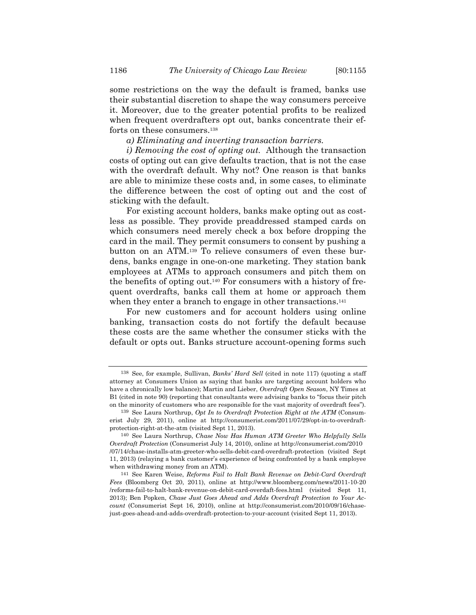some restrictions on the way the default is framed, banks use their substantial discretion to shape the way consumers perceive it. Moreover, due to the greater potential profits to be realized when frequent overdrafters opt out, banks concentrate their efforts on these consumers.<sup>138</sup>

*a) Eliminating and inverting transaction barriers.*

*i) Removing the cost of opting out.* Although the transaction costs of opting out can give defaults traction, that is not the case with the overdraft default. Why not? One reason is that banks are able to minimize these costs and, in some cases, to eliminate the difference between the cost of opting out and the cost of sticking with the default.

For existing account holders, banks make opting out as costless as possible. They provide preaddressed stamped cards on which consumers need merely check a box before dropping the card in the mail. They permit consumers to consent by pushing a button on an ATM.139 To relieve consumers of even these burdens, banks engage in one-on-one marketing. They station bank employees at ATMs to approach consumers and pitch them on the benefits of opting out.140 For consumers with a history of frequent overdrafts, banks call them at home or approach them when they enter a branch to engage in other transactions.<sup>141</sup>

For new customers and for account holders using online banking, transaction costs do not fortify the default because these costs are the same whether the consumer sticks with the default or opts out. Banks structure account-opening forms such

<sup>138</sup> See, for example, Sullivan, *Banks' Hard Sell* (cited in note 117) (quoting a staff attorney at Consumers Union as saying that banks are targeting account holders who have a chronically low balance); Martin and Lieber, *Overdraft Open Season*, NY Times at B1 (cited in note 90) (reporting that consultants were advising banks to "focus their pitch on the minority of customers who are responsible for the vast majority of overdraft fees").

<sup>139</sup> See Laura Northrup, *Opt In to Overdraft Protection Right at the ATM* (Consumerist July 29, 2011), online at http://consumerist.com/2011/07/29/opt-in-to-overdraftprotection-right-at-the-atm (visited Sept 11, 2013).

<sup>140</sup> See Laura Northrup, *Chase Now Has Human ATM Greeter Who Helpfully Sells Overdraft Protection* (Consumerist July 14, 2010), online at http://consumerist.com/2010 /07/14/chase-installs-atm-greeter-who-sells-debit-card-overdraft-protection (visited Sept 11, 2013) (relaying a bank customer's experience of being confronted by a bank employee when withdrawing money from an ATM).

<sup>141</sup> See Karen Weise, *Reforms Fail to Halt Bank Revenue on Debit-Card Overdraft Fees* (Bloomberg Oct 20, 2011), online at http://www.bloomberg.com/news/2011-10-20 /reforms-fail-to-halt-bank-revenue-on-debit-card-overdaft-fees.html (visited Sept 11, 2013); Ben Popken, *Chase Just Goes Ahead and Adds Overdraft Protection to Your Account* (Consumerist Sept 16, 2010), online at http://consumerist.com/2010/09/16/chasejust-goes-ahead-and-adds-overdraft-protection-to-your-account (visited Sept 11, 2013).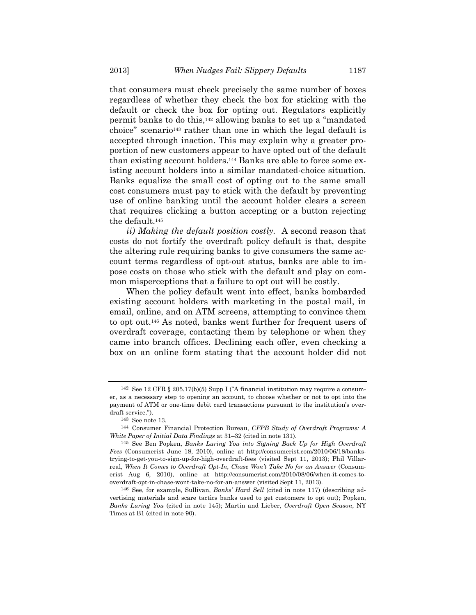that consumers must check precisely the same number of boxes regardless of whether they check the box for sticking with the default or check the box for opting out. Regulators explicitly permit banks to do this,142 allowing banks to set up a "mandated choice" scenario143 rather than one in which the legal default is accepted through inaction. This may explain why a greater proportion of new customers appear to have opted out of the default than existing account holders.144 Banks are able to force some existing account holders into a similar mandated-choice situation. Banks equalize the small cost of opting out to the same small cost consumers must pay to stick with the default by preventing use of online banking until the account holder clears a screen that requires clicking a button accepting or a button rejecting the default.145

*ii) Making the default position costly.* A second reason that costs do not fortify the overdraft policy default is that, despite the altering rule requiring banks to give consumers the same account terms regardless of opt-out status, banks are able to impose costs on those who stick with the default and play on common misperceptions that a failure to opt out will be costly.

When the policy default went into effect, banks bombarded existing account holders with marketing in the postal mail, in email, online, and on ATM screens, attempting to convince them to opt out.146 As noted, banks went further for frequent users of overdraft coverage, contacting them by telephone or when they came into branch offices. Declining each offer, even checking a box on an online form stating that the account holder did not

<sup>142</sup> See 12 CFR § 205.17(b)(5) Supp I ("A financial institution may require a consumer, as a necessary step to opening an account, to choose whether or not to opt into the payment of ATM or one-time debit card transactions pursuant to the institution's overdraft service.").

<sup>143</sup> See note 13.

<sup>144</sup> Consumer Financial Protection Bureau, *CFPB Study of Overdraft Programs: A White Paper of Initial Data Findings* at 31–32 (cited in note 131).

<sup>145</sup> See Ben Popken, *Banks Luring You into Signing Back Up for High Overdraft Fees* (Consumerist June 18, 2010), online at http://consumerist.com/2010/06/18/bankstrying-to-get-you-to-sign-up-for-high-overdraft-fees (visited Sept 11, 2013); Phil Villarreal, *When It Comes to Overdraft Opt-In, Chase Won't Take No for an Answer* (Consumerist Aug 6, 2010), online at http://consumerist.com/2010/08/06/when-it-comes-tooverdraft-opt-in-chase-wont-take-no-for-an-answer (visited Sept 11, 2013).

<sup>146</sup> See, for example, Sullivan, *Banks' Hard Sell* (cited in note 117) (describing advertising materials and scare tactics banks used to get customers to opt out); Popken, *Banks Luring You* (cited in note 145); Martin and Lieber, *Overdraft Open Season*, NY Times at B1 (cited in note 90).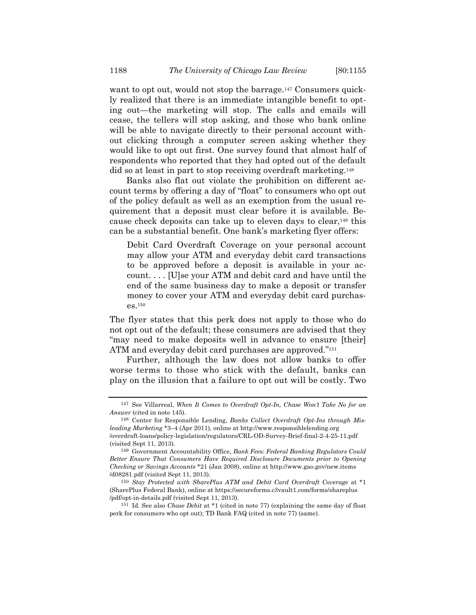want to opt out, would not stop the barrage.<sup>147</sup> Consumers quickly realized that there is an immediate intangible benefit to opting out—the marketing will stop. The calls and emails will cease, the tellers will stop asking, and those who bank online will be able to navigate directly to their personal account without clicking through a computer screen asking whether they would like to opt out first. One survey found that almost half of respondents who reported that they had opted out of the default did so at least in part to stop receiving overdraft marketing.148

Banks also flat out violate the prohibition on different account terms by offering a day of "float" to consumers who opt out of the policy default as well as an exemption from the usual requirement that a deposit must clear before it is available. Because check deposits can take up to eleven days to clear,149 this can be a substantial benefit. One bank's marketing flyer offers:

Debit Card Overdraft Coverage on your personal account may allow your ATM and everyday debit card transactions to be approved before a deposit is available in your account. . . . [U]se your ATM and debit card and have until the end of the same business day to make a deposit or transfer money to cover your ATM and everyday debit card purchases.150

The flyer states that this perk does not apply to those who do not opt out of the default; these consumers are advised that they "may need to make deposits well in advance to ensure [their] ATM and everyday debit card purchases are approved."<sup>151</sup>

Further, although the law does not allow banks to offer worse terms to those who stick with the default, banks can play on the illusion that a failure to opt out will be costly. Two

150 *Stay Protected with SharePlus ATM and Debit Card Overdraft Coverage* at \*1 (SharePlus Federal Bank), online at https://secureforms.c3vault1.com/forms/shareplus /pdf/opt-in-details.pdf (visited Sept 11, 2013).

<sup>147</sup> See Villarreal, *When It Comes to Overdraft Opt-In, Chase Won't Take No for an Answer* (cited in note 145).

<sup>148</sup> Center for Responsible Lending, *Banks Collect Overdraft Opt-Ins through Misleading Marketing* \*3–4 (Apr 2011), online at http://www.responsiblelending.org /overdraft-loans/policy-legislation/regulators/CRL-OD-Survey-Brief-final-2-4-25-11.pdf (visited Sept 11, 2013).

<sup>149</sup> Government Accountability Office, *Bank Fees: Federal Banking Regulators Could Better Ensure That Consumers Have Required Disclosure Documents prior to Opening Checking or Savings Accounts* \*21 (Jan 2008), online at http://www.gao.gov/new.items /d08281.pdf (visited Sept 11, 2013).

<sup>151</sup> Id. See also *Chase Debit* at \*1 (cited in note 77) (explaining the same day of float perk for consumers who opt out); TD Bank FAQ (cited in note 77) (same).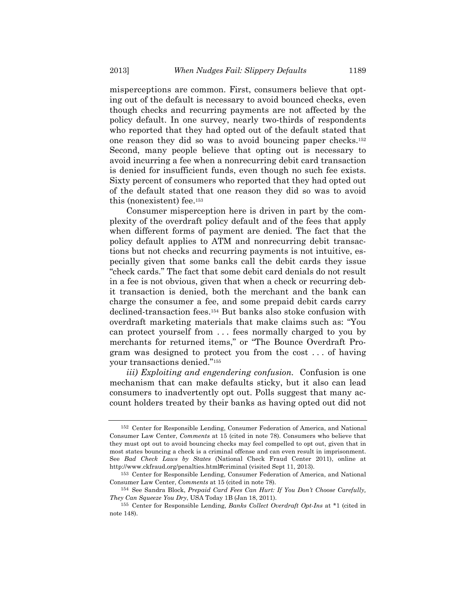misperceptions are common. First, consumers believe that opting out of the default is necessary to avoid bounced checks, even though checks and recurring payments are not affected by the policy default. In one survey, nearly two-thirds of respondents who reported that they had opted out of the default stated that one reason they did so was to avoid bouncing paper checks.152 Second, many people believe that opting out is necessary to avoid incurring a fee when a nonrecurring debit card transaction is denied for insufficient funds, even though no such fee exists. Sixty percent of consumers who reported that they had opted out of the default stated that one reason they did so was to avoid this (nonexistent) fee.153

Consumer misperception here is driven in part by the complexity of the overdraft policy default and of the fees that apply when different forms of payment are denied. The fact that the policy default applies to ATM and nonrecurring debit transactions but not checks and recurring payments is not intuitive, especially given that some banks call the debit cards they issue "check cards." The fact that some debit card denials do not result in a fee is not obvious, given that when a check or recurring debit transaction is denied, both the merchant and the bank can charge the consumer a fee, and some prepaid debit cards carry declined-transaction fees.154 But banks also stoke confusion with overdraft marketing materials that make claims such as: "You can protect yourself from . . . fees normally charged to you by merchants for returned items," or "The Bounce Overdraft Program was designed to protect you from the cost . . . of having your transactions denied."155

*iii) Exploiting and engendering confusion.* Confusion is one mechanism that can make defaults sticky, but it also can lead consumers to inadvertently opt out. Polls suggest that many account holders treated by their banks as having opted out did not

<sup>152</sup> Center for Responsible Lending, Consumer Federation of America, and National Consumer Law Center, *Comments* at 15 (cited in note 78). Consumers who believe that they must opt out to avoid bouncing checks may feel compelled to opt out, given that in most states bouncing a check is a criminal offense and can even result in imprisonment. See *Bad Check Laws by States* (National Check Fraud Center 2011), online at http://www.ckfraud.org/penalties.html#criminal (visited Sept 11, 2013).

<sup>153</sup> Center for Responsible Lending, Consumer Federation of America, and National Consumer Law Center, *Comments* at 15 (cited in note 78).

<sup>154</sup> See Sandra Block, *Prepaid Card Fees Can Hurt: If You Don't Choose Carefully, They Can Squeeze You Dry*, USA Today 1B (Jan 18, 2011).

<sup>155</sup> Center for Responsible Lending, *Banks Collect Overdraft Opt-Ins* at \*1 (cited in note 148).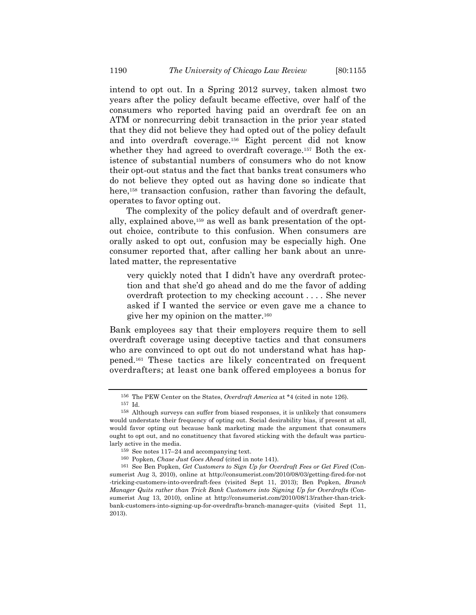intend to opt out. In a Spring 2012 survey, taken almost two years after the policy default became effective, over half of the consumers who reported having paid an overdraft fee on an ATM or nonrecurring debit transaction in the prior year stated that they did not believe they had opted out of the policy default and into overdraft coverage.156 Eight percent did not know whether they had agreed to overdraft coverage.<sup>157</sup> Both the existence of substantial numbers of consumers who do not know their opt-out status and the fact that banks treat consumers who do not believe they opted out as having done so indicate that here,<sup>158</sup> transaction confusion, rather than favoring the default, operates to favor opting out.

The complexity of the policy default and of overdraft generally, explained above,159 as well as bank presentation of the optout choice, contribute to this confusion. When consumers are orally asked to opt out, confusion may be especially high. One consumer reported that, after calling her bank about an unrelated matter, the representative

very quickly noted that I didn't have any overdraft protection and that she'd go ahead and do me the favor of adding overdraft protection to my checking account . . . . She never asked if I wanted the service or even gave me a chance to give her my opinion on the matter.160

Bank employees say that their employers require them to sell overdraft coverage using deceptive tactics and that consumers who are convinced to opt out do not understand what has happened.161 These tactics are likely concentrated on frequent overdrafters; at least one bank offered employees a bonus for

<sup>156</sup> The PEW Center on the States, *Overdraft America* at \*4 (cited in note 126).

<sup>157</sup> Id.

<sup>158</sup> Although surveys can suffer from biased responses, it is unlikely that consumers would understate their frequency of opting out. Social desirability bias, if present at all, would favor opting out because bank marketing made the argument that consumers ought to opt out, and no constituency that favored sticking with the default was particularly active in the media.

<sup>159</sup> See notes 117–24 and accompanying text.

<sup>160</sup> Popken, *Chase Just Goes Ahead* (cited in note 141). 161 See Ben Popken, *Get Customers to Sign Up for Overdraft Fees or Get Fired* (Consumerist Aug 3, 2010), online at http://consumerist.com/2010/08/03/getting-fired-for-not -tricking-customers-into-overdraft-fees (visited Sept 11, 2013); Ben Popken, *Branch Manager Quits rather than Trick Bank Customers into Signing Up for Overdrafts* (Consumerist Aug 13, 2010), online at http://consumerist.com/2010/08/13/rather-than-trickbank-customers-into-signing-up-for-overdrafts-branch-manager-quits (visited Sept 11, 2013).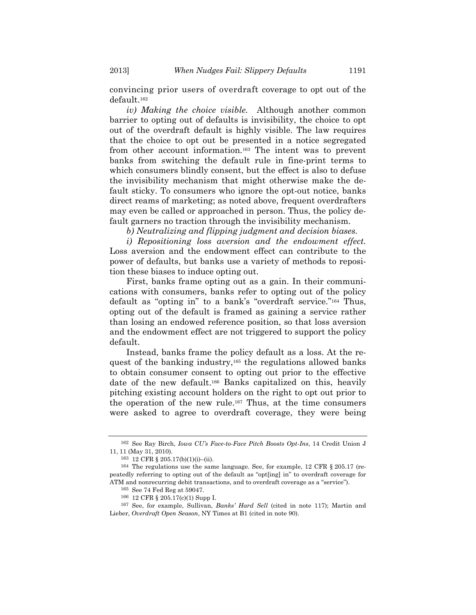convincing prior users of overdraft coverage to opt out of the default.162

*iv) Making the choice visible.* Although another common barrier to opting out of defaults is invisibility, the choice to opt out of the overdraft default is highly visible. The law requires that the choice to opt out be presented in a notice segregated from other account information.163 The intent was to prevent banks from switching the default rule in fine-print terms to which consumers blindly consent, but the effect is also to defuse the invisibility mechanism that might otherwise make the default sticky. To consumers who ignore the opt-out notice, banks direct reams of marketing; as noted above, frequent overdrafters may even be called or approached in person. Thus, the policy default garners no traction through the invisibility mechanism.

*b) Neutralizing and flipping judgment and decision biases.*

*i) Repositioning loss aversion and the endowment effect.* Loss aversion and the endowment effect can contribute to the power of defaults, but banks use a variety of methods to reposition these biases to induce opting out.

First, banks frame opting out as a gain. In their communications with consumers, banks refer to opting out of the policy default as "opting in" to a bank's "overdraft service."164 Thus, opting out of the default is framed as gaining a service rather than losing an endowed reference position, so that loss aversion and the endowment effect are not triggered to support the policy default.

Instead, banks frame the policy default as a loss. At the request of the banking industry,165 the regulations allowed banks to obtain consumer consent to opting out prior to the effective date of the new default.166 Banks capitalized on this, heavily pitching existing account holders on the right to opt out prior to the operation of the new rule.167 Thus, at the time consumers were asked to agree to overdraft coverage, they were being

<sup>162</sup> See Ray Birch, *Iowa CU's Face-to-Face Pitch Boosts Opt-Ins*, 14 Credit Union J 11, 11 (May 31, 2010).

<sup>&</sup>lt;sup>163</sup> 12 CFR § 205.17(b)(1)(i)–(ii). 164 The regulations use the same language. See, for example, 12 CFR § 205.17 (repeatedly referring to opting out of the default as "opt[ing] in" to overdraft coverage for ATM and nonrecurring debit transactions, and to overdraft coverage as a "service").

<sup>165</sup> See 74 Fed Reg at 59047.

<sup>166 12</sup> CFR § 205.17(c)(1) Supp I.

<sup>167</sup> See, for example, Sullivan, *Banks' Hard Sell* (cited in note 117); Martin and Lieber, *Overdraft Open Season*, NY Times at B1 (cited in note 90).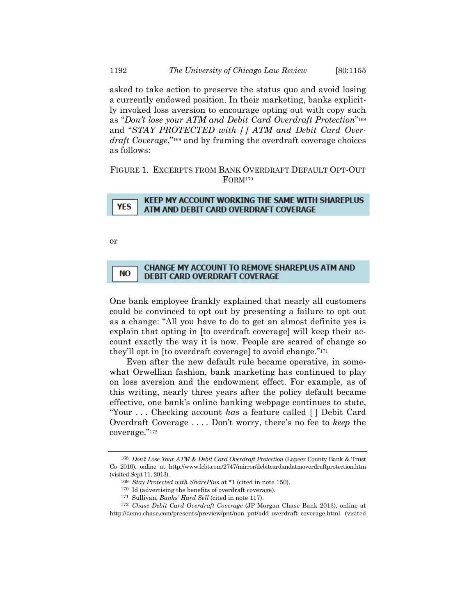asked to take action to preserve the status quo and avoid losing a currently endowed position. In their marketing, banks explicitly invoked loss aversion to encourage opting out with copy such as "*Don't lose your ATM and Debit Card Overdraft Protection*"168 and "*STAY PROTECTED with [ ] ATM and Debit Card Overdraft Coverage*,"169 and by framing the overdraft coverage choices as follows:

# FIGURE 1. EXCERPTS FROM BANK OVERDRAFT DEFAULT OPT-OUT FORM170

#### **KEEP MY ACCOUNT WORKING THE SAME WITH SHAREPLUS YES** ATM AND DEBIT CARD OVERDRAFT COVERAGE

or

#### **CHANGE MY ACCOUNT TO REMOVE SHAREPLUS ATM AND NO DEBIT CARD OVERDRAFT COVERAGE**

One bank employee frankly explained that nearly all customers could be convinced to opt out by presenting a failure to opt out as a change: "All you have to do to get an almost definite yes is explain that opting in [to overdraft coverage] will keep their account exactly the way it is now. People are scared of change so they'll opt in [to overdraft coverage] to avoid change."171

Even after the new default rule became operative, in somewhat Orwellian fashion, bank marketing has continued to play on loss aversion and the endowment effect. For example, as of this writing, nearly three years after the policy default became effective, one bank's online banking webpage continues to state, "Your . . . Checking account *has* a feature called [ ] Debit Card Overdraft Coverage . . . . Don't worry, there's no fee to *keep* the coverage."172

<sup>168</sup> *Don't Lose Your ATM & Debit Card Overdraft Protection* (Lapeer County Bank & Trust Co 2010), online at http://www.lcbt.com/2747/mirror/debitcardandatmoverdraftprotection.htm (visited Sept 11, 2013).

<sup>169</sup> *Stay Protected with SharePlus* at \*1 (cited in note 150). 170 Id (advertising the benefits of overdraft coverage).

<sup>171</sup> Sullivan, *Banks' Hard Sell* (cited in note 117).

<sup>172</sup> *Chase Debit Card Overdraft Coverage* (JP Morgan Chase Bank 2013), online at http://demo.chase.com/presents/preview/pnt/non\_pnt/add\_overdraft\_coverage.html (visited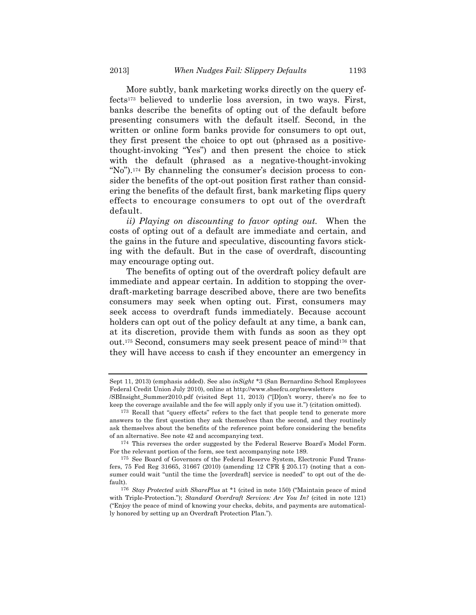More subtly, bank marketing works directly on the query effects173 believed to underlie loss aversion, in two ways. First, banks describe the benefits of opting out of the default before presenting consumers with the default itself. Second, in the written or online form banks provide for consumers to opt out, they first present the choice to opt out (phrased as a positivethought-invoking "Yes") and then present the choice to stick with the default (phrased as a negative-thought-invoking "No").174 By channeling the consumer's decision process to consider the benefits of the opt-out position first rather than considering the benefits of the default first, bank marketing flips query effects to encourage consumers to opt out of the overdraft default.

*ii) Playing on discounting to favor opting out.* When the costs of opting out of a default are immediate and certain, and the gains in the future and speculative, discounting favors sticking with the default. But in the case of overdraft, discounting may encourage opting out.

The benefits of opting out of the overdraft policy default are immediate and appear certain. In addition to stopping the overdraft-marketing barrage described above, there are two benefits consumers may seek when opting out. First, consumers may seek access to overdraft funds immediately. Because account holders can opt out of the policy default at any time, a bank can, at its discretion, provide them with funds as soon as they opt out.175 Second, consumers may seek present peace of mind176 that they will have access to cash if they encounter an emergency in

Sept 11, 2013) (emphasis added). See also *inSight* \*3 (San Bernardino School Employees Federal Credit Union July 2010), online at http://www.sbsefcu.org/newsletters

<sup>/</sup>SBInsight\_Summer2010.pdf (visited Sept 11, 2013) ("[D]on't worry, there's no fee to keep the coverage available and the fee will apply only if you use it.") (citation omitted).

<sup>173</sup> Recall that "query effects" refers to the fact that people tend to generate more answers to the first question they ask themselves than the second, and they routinely ask themselves about the benefits of the reference point before considering the benefits of an alternative. See note 42 and accompanying text.

<sup>174</sup> This reverses the order suggested by the Federal Reserve Board's Model Form. For the relevant portion of the form, see text accompanying note 189.

<sup>175</sup> See Board of Governors of the Federal Reserve System, Electronic Fund Transfers, 75 Fed Reg 31665, 31667 (2010) (amending 12 CFR  $\S$  205.17) (noting that a consumer could wait "until the time the [overdraft] service is needed" to opt out of the default).

<sup>176</sup> *Stay Protected with SharePlus* at \*1 (cited in note 150) ("Maintain peace of mind with Triple-Protection."); *Standard Overdraft Services: Are You In?* (cited in note 121) ("Enjoy the peace of mind of knowing your checks, debits, and payments are automatically honored by setting up an Overdraft Protection Plan.").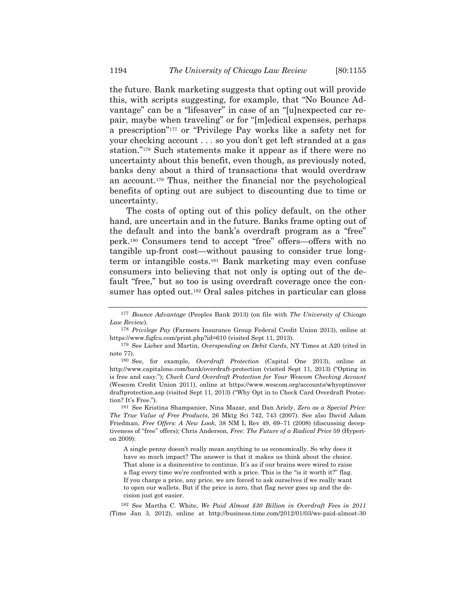the future. Bank marketing suggests that opting out will provide this, with scripts suggesting, for example, that "No Bounce Advantage" can be a "lifesaver" in case of an "[u]nexpected car repair, maybe when traveling" or for "[m]edical expenses, perhaps a prescription"177 or "Privilege Pay works like a safety net for your checking account . . . so you don't get left stranded at a gas station."178 Such statements make it appear as if there were no uncertainty about this benefit, even though, as previously noted, banks deny about a third of transactions that would overdraw an account.179 Thus, neither the financial nor the psychological benefits of opting out are subject to discounting due to time or uncertainty.

The costs of opting out of this policy default, on the other hand, are uncertain and in the future. Banks frame opting out of the default and into the bank's overdraft program as a "free" perk.180 Consumers tend to accept "free" offers—offers with no tangible up-front cost—without pausing to consider true longterm or intangible costs.181 Bank marketing may even confuse consumers into believing that not only is opting out of the default "free," but so too is using overdraft coverage once the consumer has opted out.182 Oral sales pitches in particular can gloss

<sup>177</sup> *Bounce Advantage* (Peoples Bank 2013) (on file with *The University of Chicago Law Review*).

<sup>178</sup> *Privilege Pay* (Farmers Insurance Group Federal Credit Union 2013), online at https://www.figfcu.com/print.php?id=610 (visited Sept 11, 2013).

<sup>179</sup> See Lieber and Martin, *Overspending on Debit Cards*, NY Times at A20 (cited in note 77).

<sup>180</sup> See, for example, *Overdraft Protection* (Capital One 2013), online at http://www.capitalone.com/bank/overdraft-protection (visited Sept 11, 2013) ("Opting in is free and easy."); *Check Card Overdraft Protection for Your Wescom Checking Account* (Wescom Credit Union 2011), online at https://www.wescom.org/accounts/whyoptinover draftprotection.asp (visited Sept 11, 2013) ("Why Opt in to Check Card Overdraft Protection? It's Free.").

<sup>181</sup> See Kristina Shampanier, Nina Mazar, and Dan Ariely, *Zero as a Special Price: The True Value of Free Products*, 26 Mktg Sci 742, 743 (2007). See also David Adam Friedman, *Free Offers: A New Look*, 38 NM L Rev 49, 69–71 (2008) (discussing deceptiveness of "free" offers); Chris Anderson, *Free: The Future of a Radical Price* 59 (Hyperion 2009):

A single penny doesn't really mean anything to us economically. So why does it have so much impact? The answer is that it makes us think about the choice. That alone is a disincentive to continue. It's as if our brains were wired to raise a flag every time we're confronted with a price. This is the "is it worth it?" flag. If you charge a price, any price, we are forced to ask ourselves if we really want to open our wallets. But if the price is zero, that flag never goes up and the decision just got easier.

<sup>182</sup> See Martha C. White, *We Paid Almost \$30 Billion in Overdraft Fees in 2011* (Time Jan 3, 2012), online at http://business.time.com/2012/01/03/we-paid-almost-30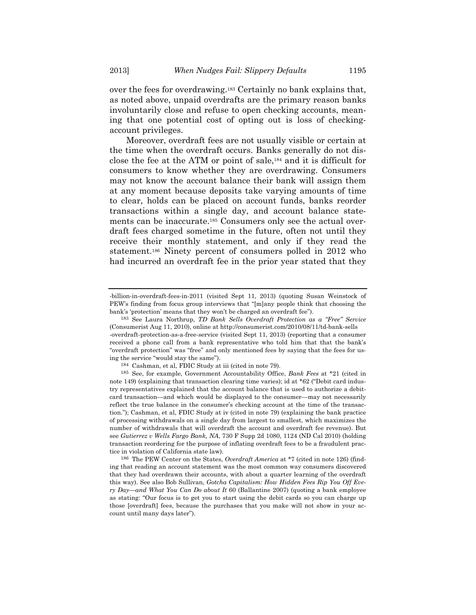over the fees for overdrawing.183 Certainly no bank explains that, as noted above, unpaid overdrafts are the primary reason banks involuntarily close and refuse to open checking accounts, meaning that one potential cost of opting out is loss of checkingaccount privileges.

Moreover, overdraft fees are not usually visible or certain at the time when the overdraft occurs. Banks generally do not disclose the fee at the ATM or point of sale,184 and it is difficult for consumers to know whether they are overdrawing. Consumers may not know the account balance their bank will assign them at any moment because deposits take varying amounts of time to clear, holds can be placed on account funds, banks reorder transactions within a single day, and account balance statements can be inaccurate.185 Consumers only see the actual overdraft fees charged sometime in the future, often not until they receive their monthly statement, and only if they read the statement.186 Ninety percent of consumers polled in 2012 who had incurred an overdraft fee in the prior year stated that they

<sup>-</sup>billion-in-overdraft-fees-in-2011 (visited Sept 11, 2013) (quoting Susan Weinstock of PEW's finding from focus group interviews that "[m]any people think that choosing the bank's 'protection' means that they won't be charged an overdraft fee").

<sup>183</sup> See Laura Northrup, *TD Bank Sells Overdraft Protection as a "Free" Service* (Consumerist Aug 11, 2010), online at http://consumerist.com/2010/08/11/td-bank-sells -overdraft-protection-as-a-free-service (visited Sept 11, 2013) (reporting that a consumer received a phone call from a bank representative who told him that that the bank's "overdraft protection" was "free" and only mentioned fees by saying that the fees for using the service "would stay the same").

<sup>184</sup> Cashman, et al, FDIC Study at iii (cited in note 79).

<sup>185</sup> See, for example, Government Accountability Office, *Bank Fees* at \*21 (cited in note 149) (explaining that transaction clearing time varies); id at \*62 ("Debit card industry representatives explained that the account balance that is used to authorize a debitcard transaction—and which would be displayed to the consumer—may not necessarily reflect the true balance in the consumer's checking account at the time of the transaction."); Cashman, et al, FDIC Study at iv (cited in note 79) (explaining the bank practice of processing withdrawals on a single day from largest to smallest, which maximizes the number of withdrawals that will overdraft the account and overdraft fee revenue). But see *Gutierrez v Wells Fargo Bank, NA*, 730 F Supp 2d 1080, 1124 (ND Cal 2010) (holding transaction reordering for the purpose of inflating overdraft fees to be a fraudulent practice in violation of California state law).

<sup>186</sup> The PEW Center on the States, *Overdraft America* at \*7 (cited in note 126) (finding that reading an account statement was the most common way consumers discovered that they had overdrawn their accounts, with about a quarter learning of the overdraft this way). See also Bob Sullivan, *Gotcha Capitalism: How Hidden Fees Rip You Off Every Day—and What You Can Do about It* 60 (Ballantine 2007) (quoting a bank employee as stating: "Our focus is to get you to start using the debit cards so you can charge up those [overdraft] fees, because the purchases that you make will not show in your account until many days later").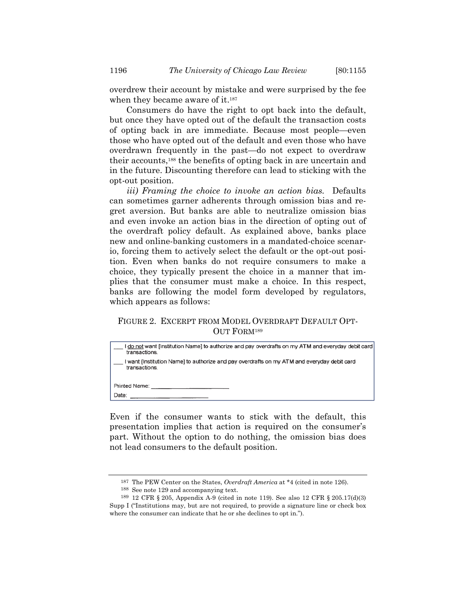overdrew their account by mistake and were surprised by the fee when they became aware of it.<sup>187</sup>

Consumers do have the right to opt back into the default, but once they have opted out of the default the transaction costs of opting back in are immediate. Because most people—even those who have opted out of the default and even those who have overdrawn frequently in the past—do not expect to overdraw their accounts,188 the benefits of opting back in are uncertain and in the future. Discounting therefore can lead to sticking with the opt-out position.

*iii) Framing the choice to invoke an action bias.* Defaults can sometimes garner adherents through omission bias and regret aversion. But banks are able to neutralize omission bias and even invoke an action bias in the direction of opting out of the overdraft policy default. As explained above, banks place new and online-banking customers in a mandated-choice scenario, forcing them to actively select the default or the opt-out position. Even when banks do not require consumers to make a choice, they typically present the choice in a manner that implies that the consumer must make a choice. In this respect, banks are following the model form developed by regulators, which appears as follows:

# FIGURE 2. EXCERPT FROM MODEL OVERDRAFT DEFAULT OPT-OUT FORM<sup>189</sup>

| I do not want finstitution Name) to authorize and pay overdrafts on my ATM and everyday debit card<br>transactions. |
|---------------------------------------------------------------------------------------------------------------------|
| I want (Institution Name) to authorize and pay overdrafts on my ATM and everyday debit card<br>transactions.        |
| Printed Name:                                                                                                       |
| Date:                                                                                                               |

Even if the consumer wants to stick with the default, this presentation implies that action is required on the consumer's part. Without the option to do nothing, the omission bias does not lead consumers to the default position.

<sup>187</sup> The PEW Center on the States, *Overdraft America* at \*4 (cited in note 126). 188 See note 129 and accompanying text.

<sup>189 12</sup> CFR § 205, Appendix A-9 (cited in note 119). See also 12 CFR § 205.17(d)(3) Supp I ("Institutions may, but are not required, to provide a signature line or check box where the consumer can indicate that he or she declines to opt in.").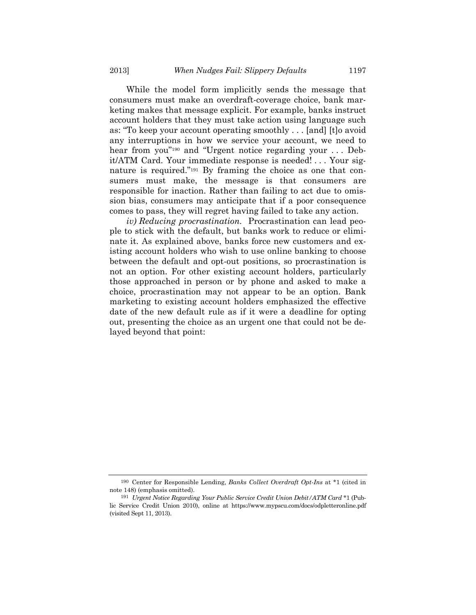While the model form implicitly sends the message that consumers must make an overdraft-coverage choice, bank marketing makes that message explicit. For example, banks instruct account holders that they must take action using language such as: "To keep your account operating smoothly . . . [and] [t]o avoid any interruptions in how we service your account, we need to hear from you"<sup>190</sup> and "Urgent notice regarding your ... Debit/ATM Card. Your immediate response is needed! . . . Your signature is required."191 By framing the choice as one that consumers must make, the message is that consumers are responsible for inaction. Rather than failing to act due to omission bias, consumers may anticipate that if a poor consequence comes to pass, they will regret having failed to take any action.

*iv) Reducing procrastination.* Procrastination can lead people to stick with the default, but banks work to reduce or eliminate it. As explained above, banks force new customers and existing account holders who wish to use online banking to choose between the default and opt-out positions, so procrastination is not an option. For other existing account holders, particularly those approached in person or by phone and asked to make a choice, procrastination may not appear to be an option. Bank marketing to existing account holders emphasized the effective date of the new default rule as if it were a deadline for opting out, presenting the choice as an urgent one that could not be delayed beyond that point:

<sup>190</sup> Center for Responsible Lending, *Banks Collect Overdraft Opt-Ins* at \*1 (cited in note 148) (emphasis omitted).

<sup>191</sup> *Urgent Notice Regarding Your Public Service Credit Union Debit/ATM Card* \*1 (Public Service Credit Union 2010), online at https://www.mypscu.com/docs/odpletteronline.pdf (visited Sept 11, 2013).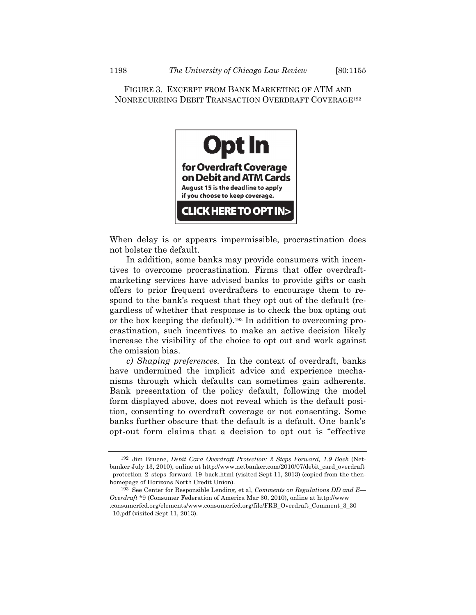# FIGURE 3. EXCERPT FROM BANK MARKETING OF ATM AND NONRECURRING DEBIT TRANSACTION OVERDRAFT COVERAGE192



When delay is or appears impermissible, procrastination does not bolster the default.

In addition, some banks may provide consumers with incentives to overcome procrastination. Firms that offer overdraftmarketing services have advised banks to provide gifts or cash offers to prior frequent overdrafters to encourage them to respond to the bank's request that they opt out of the default (regardless of whether that response is to check the box opting out or the box keeping the default).193 In addition to overcoming procrastination, such incentives to make an active decision likely increase the visibility of the choice to opt out and work against the omission bias.

*c) Shaping preferences.* In the context of overdraft, banks have undermined the implicit advice and experience mechanisms through which defaults can sometimes gain adherents. Bank presentation of the policy default, following the model form displayed above, does not reveal which is the default position, consenting to overdraft coverage or not consenting. Some banks further obscure that the default is a default. One bank's opt-out form claims that a decision to opt out is "effective

<sup>192</sup> Jim Bruene, *Debit Card Overdraft Protection: 2 Steps Forward, 1.9 Back* (Netbanker July 13, 2010), online at http://www.netbanker.com/2010/07/debit\_card\_overdraft \_protection\_2\_steps\_forward\_19\_back.html (visited Sept 11, 2013) (copied from the thenhomepage of Horizons North Credit Union).

<sup>193</sup> See Center for Responsible Lending, et al, *Comments on Regulations DD and E— Overdraft* \*9 (Consumer Federation of America Mar 30, 2010), online at http://www .consumerfed.org/elements/www.consumerfed.org/file/FRB\_Overdraft\_Comment\_3\_30 \_10.pdf (visited Sept 11, 2013).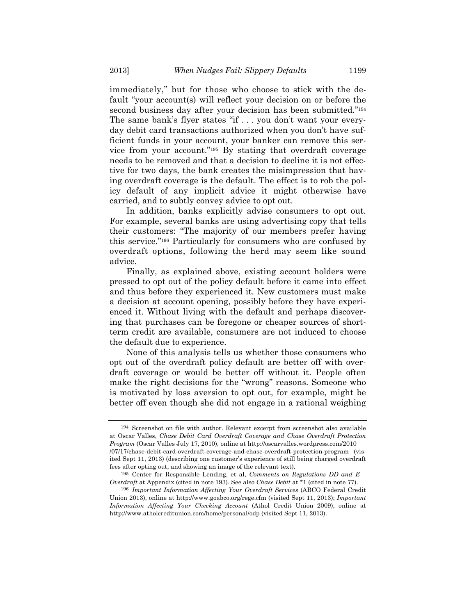immediately," but for those who choose to stick with the default "your account(s) will reflect your decision on or before the second business day after your decision has been submitted."<sup>194</sup> The same bank's flyer states "if . . . you don't want your everyday debit card transactions authorized when you don't have sufficient funds in your account, your banker can remove this service from your account."195 By stating that overdraft coverage needs to be removed and that a decision to decline it is not effective for two days, the bank creates the misimpression that having overdraft coverage is the default. The effect is to rob the policy default of any implicit advice it might otherwise have carried, and to subtly convey advice to opt out.

In addition, banks explicitly advise consumers to opt out. For example, several banks are using advertising copy that tells their customers: "The majority of our members prefer having this service."196 Particularly for consumers who are confused by overdraft options, following the herd may seem like sound advice.

Finally, as explained above, existing account holders were pressed to opt out of the policy default before it came into effect and thus before they experienced it. New customers must make a decision at account opening, possibly before they have experienced it. Without living with the default and perhaps discovering that purchases can be foregone or cheaper sources of shortterm credit are available, consumers are not induced to choose the default due to experience.

None of this analysis tells us whether those consumers who opt out of the overdraft policy default are better off with overdraft coverage or would be better off without it. People often make the right decisions for the "wrong" reasons. Someone who is motivated by loss aversion to opt out, for example, might be better off even though she did not engage in a rational weighing

<sup>194</sup> Screenshot on file with author. Relevant excerpt from screenshot also available at Oscar Valles, *Chase Debit Card Overdraft Coverage and Chase Overdraft Protection Program* (Oscar Valles July 17, 2010), online at http://oscarvalles.wordpress.com/2010 /07/17/chase-debit-card-overdraft-coverage-and-chase-overdraft-protection-program (visited Sept 11, 2013) (describing one customer's experience of still being charged overdraft fees after opting out, and showing an image of the relevant text).

<sup>195</sup> Center for Responsible Lending, et al, *Comments on Regulations DD and E— Overdraft* at Appendix (cited in note 193). See also *Chase Debit* at \*1 (cited in note 77).

<sup>196</sup> *Important Information Affecting Your Overdraft Services* (ABCO Federal Credit Union 2013), online at http://www.goabco.org/rege.cfm (visited Sept 11, 2013); *Important Information Affecting Your Checking Account* (Athol Credit Union 2009), online at http://www.atholcreditunion.com/home/personal/odp (visited Sept 11, 2013).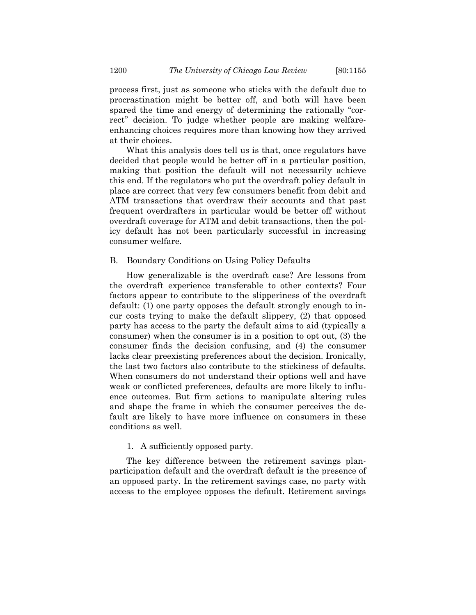process first, just as someone who sticks with the default due to procrastination might be better off, and both will have been spared the time and energy of determining the rationally "correct" decision. To judge whether people are making welfareenhancing choices requires more than knowing how they arrived at their choices.

What this analysis does tell us is that, once regulators have decided that people would be better off in a particular position, making that position the default will not necessarily achieve this end. If the regulators who put the overdraft policy default in place are correct that very few consumers benefit from debit and ATM transactions that overdraw their accounts and that past frequent overdrafters in particular would be better off without overdraft coverage for ATM and debit transactions, then the policy default has not been particularly successful in increasing consumer welfare.

## B. Boundary Conditions on Using Policy Defaults

How generalizable is the overdraft case? Are lessons from the overdraft experience transferable to other contexts? Four factors appear to contribute to the slipperiness of the overdraft default: (1) one party opposes the default strongly enough to incur costs trying to make the default slippery, (2) that opposed party has access to the party the default aims to aid (typically a consumer) when the consumer is in a position to opt out, (3) the consumer finds the decision confusing, and (4) the consumer lacks clear preexisting preferences about the decision. Ironically, the last two factors also contribute to the stickiness of defaults. When consumers do not understand their options well and have weak or conflicted preferences, defaults are more likely to influence outcomes. But firm actions to manipulate altering rules and shape the frame in which the consumer perceives the default are likely to have more influence on consumers in these conditions as well.

### 1. A sufficiently opposed party.

The key difference between the retirement savings planparticipation default and the overdraft default is the presence of an opposed party. In the retirement savings case, no party with access to the employee opposes the default. Retirement savings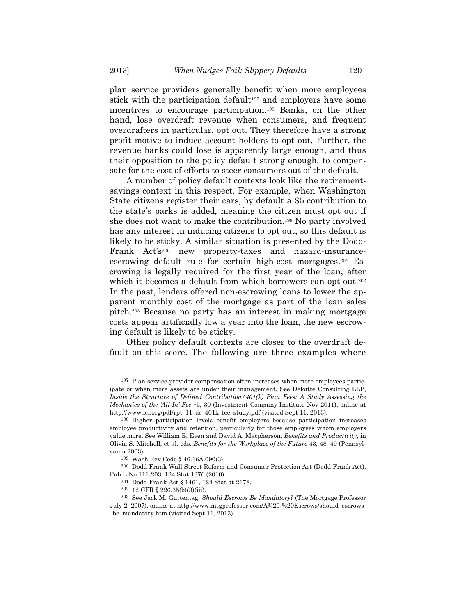plan service providers generally benefit when more employees stick with the participation default<sup>197</sup> and employers have some incentives to encourage participation.198 Banks, on the other hand, lose overdraft revenue when consumers, and frequent overdrafters in particular, opt out. They therefore have a strong profit motive to induce account holders to opt out. Further, the revenue banks could lose is apparently large enough, and thus their opposition to the policy default strong enough, to compensate for the cost of efforts to steer consumers out of the default.

A number of policy default contexts look like the retirementsavings context in this respect. For example, when Washington State citizens register their cars, by default a \$5 contribution to the state's parks is added, meaning the citizen must opt out if she does not want to make the contribution.199 No party involved has any interest in inducing citizens to opt out, so this default is likely to be sticky. A similar situation is presented by the Dodd-Frank Act's<sup>200</sup> new property-taxes and hazard-insuranceescrowing default rule for certain high-cost mortgages.201 Escrowing is legally required for the first year of the loan, after which it becomes a default from which borrowers can opt out.<sup>202</sup> In the past, lenders offered non-escrowing loans to lower the apparent monthly cost of the mortgage as part of the loan sales pitch.203 Because no party has an interest in making mortgage costs appear artificially low a year into the loan, the new escrowing default is likely to be sticky.

Other policy default contexts are closer to the overdraft default on this score. The following are three examples where

<sup>197</sup> Plan service-provider compensation often increases when more employees participate or when more assets are under their management. See Deloitte Consulting LLP, *Inside the Structure of Defined Contribution/401(k) Plan Fees: A Study Assessing the Mechanics of the 'All-In' Fee* \*5, 30 (Investment Company Institute Nov 2011), online at http://www.ici.org/pdf/rpt\_11\_dc\_401k\_fee\_study.pdf (visited Sept 11, 2013).

<sup>198</sup> Higher participation levels benefit employers because participation increases employee productivity and retention, particularly for those employees whom employers value more. See William E. Even and David A. Macpherson, *Benefits and Productivity*, in Olivia S. Mitchell, et al, eds, *Benefits for the Workplace of the Future* 43, 48–49 (Pennsylvania 2003).

<sup>&</sup>lt;sup>199</sup> Wash Rev Code § 46.16A.090(3).<br><sup>200</sup> Dodd-Frank Wall Street Reform and Consumer Protection Act (Dodd-Frank Act), Pub L No 111-203, 124 Stat 1376 (2010).

<sup>201</sup> Dodd-Frank Act § 1461, 124 Stat at 2178. 202 12 CFR § 226.35(b)(3)(iii).

<sup>203</sup> See Jack M. Guttentag, *Should Escrows Be Mandatory?* (The Mortgage Professor July 2, 2007), online at http://www.mtgprofessor.com/A%20-%20Escrows/should\_escrows \_be\_mandatory.htm (visited Sept 11, 2013).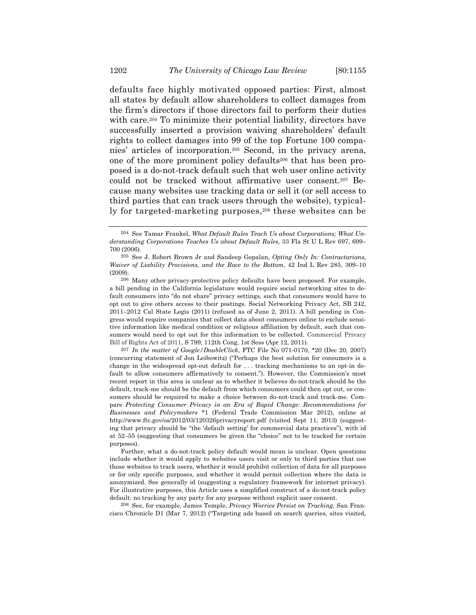defaults face highly motivated opposed parties: First, almost all states by default allow shareholders to collect damages from the firm's directors if those directors fail to perform their duties with care.<sup>204</sup> To minimize their potential liability, directors have successfully inserted a provision waiving shareholders' default rights to collect damages into 99 of the top Fortune 100 companies' articles of incorporation.205 Second, in the privacy arena, one of the more prominent policy defaults206 that has been proposed is a do-not-track default such that web user online activity could not be tracked without affirmative user consent.207 Because many websites use tracking data or sell it (or sell access to third parties that can track users through the website), typically for targeted-marketing purposes,208 these websites can be

207 *In the matter of Google/DoubleClick*, FTC File No 071-0170, \*20 (Dec 20, 2007) (concurring statement of Jon Leibowitz) ("Perhaps the best solution for consumers is a change in the widespread opt-out default for . . . tracking mechanisms to an opt-in default to allow consumers affirmatively to consent."). However, the Commission's most recent report in this area is unclear as to whether it believes do-not-track should be the default, track-me should be the default from which consumers could then opt out, or consumers should be required to make a choice between do-not-track and track-me. Compare *Protecting Consumer Privacy in an Era of Rapid Change: Recommendations for Businesses and Policymakers* \*1 (Federal Trade Commission Mar 2012), online at http://www.ftc.gov/os/2012/03/120326privacyreport.pdf (visited Sept 11, 2013) (suggesting that privacy should be "the 'default setting' for commercial data practices"), with id at 52–55 (suggesting that consumers be given the "choice" not to be tracked for certain purposes).

 Further, what a do-not-track policy default would mean is unclear. Open questions include whether it would apply to websites users visit or only to third parties that use those websites to track users, whether it would prohibit collection of data for all purposes or for only specific purposes, and whether it would permit collection where the data is anonymized. See generally id (suggesting a regulatory framework for internet privacy). For illustrative purposes, this Article uses a simplified construct of a do-not-track policy default: no tracking by any party for any purpose without explicit user consent.

208 See, for example, James Temple, *Privacy Worries Persist on Tracking*, San Francisco Chronicle D1 (Mar 7, 2012) ("Targeting ads based on search queries, sites visited,

<sup>204</sup> See Tamar Frankel, *What Default Rules Teach Us about Corporations; What Understanding Corporations Teaches Us about Default Rules*, 33 Fla St U L Rev 697, 699– 700 (2006).

<sup>205</sup> See J. Robert Brown Jr and Sandeep Gopalan, *Opting Only In: Contractarians, Waiver of Liability Provisions, and the Race to the Bottom*, 42 Ind L Rev 285, 309–10 (2009).

<sup>206</sup> Many other privacy-protective policy defaults have been proposed. For example, a bill pending in the California legislature would require social networking sites to default consumers into "do not share" privacy settings, such that consumers would have to opt out to give others access to their postings. Social Networking Privacy Act, SB 242, 2011–2012 Cal State Legis (2011) (refused as of June 2, 2011). A bill pending in Congress would require companies that collect data about consumers online to exclude sensitive information like medical condition or religious affiliation by default, such that consumers would need to opt out for this information to be collected. Commercial Privacy Bill of Rights Act of 2011, S 799, 112th Cong, 1st Sess (Apr 12, 2011).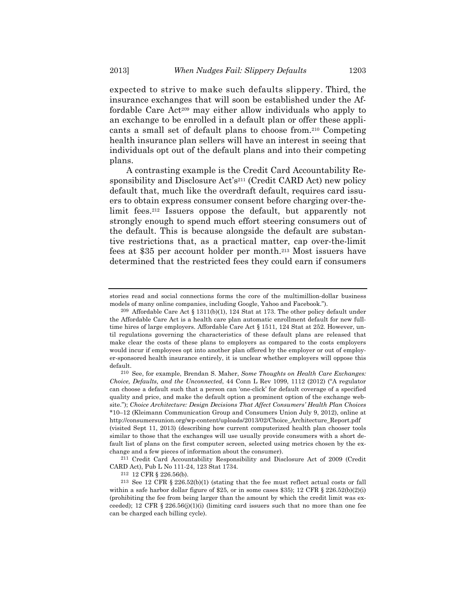expected to strive to make such defaults slippery. Third, the insurance exchanges that will soon be established under the Affordable Care Act209 may either allow individuals who apply to an exchange to be enrolled in a default plan or offer these applicants a small set of default plans to choose from.210 Competing health insurance plan sellers will have an interest in seeing that individuals opt out of the default plans and into their competing plans.

A contrasting example is the Credit Card Accountability Responsibility and Disclosure Act's<sup>211</sup> (Credit CARD Act) new policy default that, much like the overdraft default, requires card issuers to obtain express consumer consent before charging over-thelimit fees.212 Issuers oppose the default, but apparently not strongly enough to spend much effort steering consumers out of the default. This is because alongside the default are substantive restrictions that, as a practical matter, cap over-the-limit fees at \$35 per account holder per month.213 Most issuers have determined that the restricted fees they could earn if consumers

211 Credit Card Accountability Responsibility and Disclosure Act of 2009 (Credit CARD Act), Pub L No 111-24, 123 Stat 1734.

stories read and social connections forms the core of the multimillion-dollar business models of many online companies, including Google, Yahoo and Facebook.").

<sup>&</sup>lt;sup>209</sup> Affordable Care Act § 1311(b)(1), 124 Stat at 173. The other policy default under the Affordable Care Act is a health care plan automatic enrollment default for new fulltime hires of large employers. Affordable Care Act § 1511, 124 Stat at 252. However, until regulations governing the characteristics of these default plans are released that make clear the costs of these plans to employers as compared to the costs employers would incur if employees opt into another plan offered by the employer or out of employer-sponsored health insurance entirely, it is unclear whether employers will oppose this default.

<sup>210</sup> See, for example, Brendan S. Maher, *Some Thoughts on Health Care Exchanges: Choice, Defaults, and the Unconnected*, 44 Conn L Rev 1099, 1112 (2012) ("A regulator can choose a default such that a person can 'one-click' for default coverage of a specified quality and price, and make the default option a prominent option of the exchange website."); *Choice Architecture: Design Decisions That Affect Consumers' Health Plan Choices* \*10–12 (Kleimann Communication Group and Consumers Union July 9, 2012), online at http://consumersunion.org/wp-content/uploads/2013/02/Choice\_Architecture\_Report.pdf (visited Sept 11, 2013) (describing how current computerized health plan chooser tools similar to those that the exchanges will use usually provide consumers with a short default list of plans on the first computer screen, selected using metrics chosen by the exchange and a few pieces of information about the consumer).

 $212\,$  12 CFR  $\S$  226.56(b).

<sup>213</sup> See 12 CFR § 226.52(b)(1) (stating that the fee must reflect actual costs or fall within a safe harbor dollar figure of \$25, or in some cases \$35); 12 CFR  $\S 226.52(b)(2)(i)$ (prohibiting the fee from being larger than the amount by which the credit limit was exceeded); 12 CFR § 226.56(j)(1)(i) (limiting card issuers such that no more than one fee can be charged each billing cycle).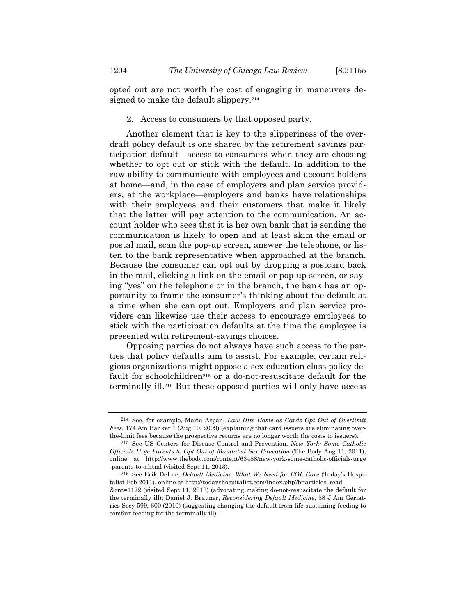opted out are not worth the cost of engaging in maneuvers designed to make the default slippery.214

2. Access to consumers by that opposed party.

Another element that is key to the slipperiness of the overdraft policy default is one shared by the retirement savings participation default—access to consumers when they are choosing whether to opt out or stick with the default. In addition to the raw ability to communicate with employees and account holders at home—and, in the case of employers and plan service providers, at the workplace—employers and banks have relationships with their employees and their customers that make it likely that the latter will pay attention to the communication. An account holder who sees that it is her own bank that is sending the communication is likely to open and at least skim the email or postal mail, scan the pop-up screen, answer the telephone, or listen to the bank representative when approached at the branch. Because the consumer can opt out by dropping a postcard back in the mail, clicking a link on the email or pop-up screen, or saying "yes" on the telephone or in the branch, the bank has an opportunity to frame the consumer's thinking about the default at a time when she can opt out. Employers and plan service providers can likewise use their access to encourage employees to stick with the participation defaults at the time the employee is presented with retirement-savings choices.

Opposing parties do not always have such access to the parties that policy defaults aim to assist. For example, certain religious organizations might oppose a sex education class policy default for schoolchildren<sup>215</sup> or a do-not-resuscitate default for the terminally ill.216 But these opposed parties will only have access

<sup>214</sup> See, for example, Maria Aspan, *Law Hits Home as Cards Opt Out of Overlimit Fees*, 174 Am Banker 1 (Aug 10, 2009) (explaining that card issuers are eliminating overthe-limit fees because the prospective returns are no longer worth the costs to issuers).

<sup>215</sup> See US Centers for Disease Control and Prevention, *New York: Some Catholic Officials Urge Parents to Opt Out of Mandated Sex Education* (The Body Aug 11, 2011), online at http://www.thebody.com/content/63488/new-york-some-catholic-officials-urge -parents-to-o.html (visited Sept 11, 2013).

<sup>216</sup> See Erik DeLue, *Default Medicine: What We Need for EOL Care* (Today's Hospitalist Feb 2011), online at http://todayshospitalist.com/index.php?b=articles\_read &cnt=1172 (visited Sept 11, 2013) (advocating making do-not-resuscitate the default for the terminally ill); Daniel J. Brauner, *Reconsidering Default Medicine*, 58 J Am Geriatrics Socy 599, 600 (2010) (suggesting changing the default from life-sustaining feeding to comfort feeding for the terminally ill).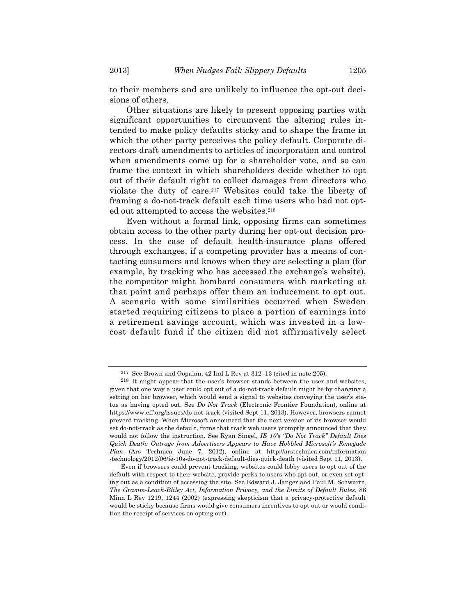to their members and are unlikely to influence the opt-out decisions of others.

Other situations are likely to present opposing parties with significant opportunities to circumvent the altering rules intended to make policy defaults sticky and to shape the frame in which the other party perceives the policy default. Corporate directors draft amendments to articles of incorporation and control when amendments come up for a shareholder vote, and so can frame the context in which shareholders decide whether to opt out of their default right to collect damages from directors who violate the duty of care.217 Websites could take the liberty of framing a do-not-track default each time users who had not opted out attempted to access the websites.218

Even without a formal link, opposing firms can sometimes obtain access to the other party during her opt-out decision process. In the case of default health-insurance plans offered through exchanges, if a competing provider has a means of contacting consumers and knows when they are selecting a plan (for example, by tracking who has accessed the exchange's website), the competitor might bombard consumers with marketing at that point and perhaps offer them an inducement to opt out. A scenario with some similarities occurred when Sweden started requiring citizens to place a portion of earnings into a retirement savings account, which was invested in a lowcost default fund if the citizen did not affirmatively select

 $217$  See Brown and Gopalan, 42 Ind L Rev at  $312-13$  (cited in note  $205$ ).

<sup>218</sup> It might appear that the user's browser stands between the user and websites, given that one way a user could opt out of a do-not-track default might be by changing a setting on her browser, which would send a signal to websites conveying the user's status as having opted out. See *Do Not Track* (Electronic Frontier Foundation), online at https://www.eff.org/issues/do-not-track (visited Sept 11, 2013). However, browsers cannot prevent tracking. When Microsoft announced that the next version of its browser would set do-not-track as the default, firms that track web users promptly announced that they would not follow the instruction. See Ryan Singel, *IE 10's "Do Not Track" Default Dies Quick Death: Outrage from Advertisers Appears to Have Hobbled Microsoft's Renegade Plan* (Ars Technica June 7, 2012), online at http://arstechnica.com/information -technology/2012/06/ie-10s-do-not-track-default-dies-quick-death (visited Sept 11, 2013).

Even if browsers could prevent tracking, websites could lobby users to opt out of the default with respect to their website, provide perks to users who opt out, or even set opting out as a condition of accessing the site. See Edward J. Janger and Paul M. Schwartz, *The Gramm-Leach-Bliley Act, Information Privacy, and the Limits of Default Rules*, 86 Minn L Rev 1219, 1244 (2002) (expressing skepticism that a privacy-protective default would be sticky because firms would give consumers incentives to opt out or would condition the receipt of services on opting out).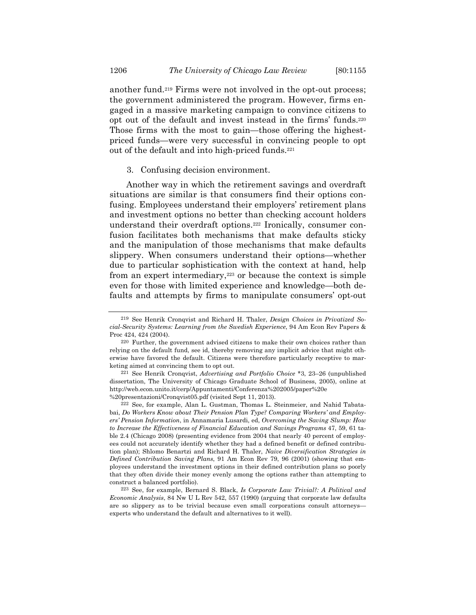another fund.219 Firms were not involved in the opt-out process; the government administered the program. However, firms engaged in a massive marketing campaign to convince citizens to opt out of the default and invest instead in the firms' funds.220 Those firms with the most to gain—those offering the highestpriced funds—were very successful in convincing people to opt out of the default and into high-priced funds.221

3. Confusing decision environment.

Another way in which the retirement savings and overdraft situations are similar is that consumers find their options confusing. Employees understand their employers' retirement plans and investment options no better than checking account holders understand their overdraft options.222 Ironically, consumer confusion facilitates both mechanisms that make defaults sticky and the manipulation of those mechanisms that make defaults slippery. When consumers understand their options—whether due to particular sophistication with the context at hand, help from an expert intermediary,<sup>223</sup> or because the context is simple even for those with limited experience and knowledge—both defaults and attempts by firms to manipulate consumers' opt-out

221 See Henrik Cronqvist, *Advertising and Portfolio Choice* \*3, 23–26 (unpublished dissertation, The University of Chicago Graduate School of Business, 2005), online at http://web.econ.unito.it/cerp/Appuntamenti/Conferenza%202005/paper%20e %20presentazioni/Cronqvist05.pdf (visited Sept 11, 2013).

<sup>219</sup> See Henrik Cronqvist and Richard H. Thaler, *Design Choices in Privatized Social-Security Systems: Learning from the Swedish Experience*, 94 Am Econ Rev Papers & Proc 424, 424 (2004).

<sup>220</sup> Further, the government advised citizens to make their own choices rather than relying on the default fund, see id, thereby removing any implicit advice that might otherwise have favored the default. Citizens were therefore particularly receptive to marketing aimed at convincing them to opt out.

<sup>222</sup> See, for example, Alan L. Gustman, Thomas L. Steinmeier, and Nahid Tabatabai, *Do Workers Know about Their Pension Plan Type? Comparing Workers' and Employers' Pension Information*, in Annamaria Lusardi, ed, *Overcoming the Saving Slump: How to Increase the Effectiveness of Financial Education and Savings Programs* 47, 59, 61 table 2.4 (Chicago 2008) (presenting evidence from 2004 that nearly 40 percent of employees could not accurately identify whether they had a defined benefit or defined contribution plan); Shlomo Benartzi and Richard H. Thaler, *Naive Diversification Strategies in Defined Contribution Saving Plans*, 91 Am Econ Rev 79, 96 (2001) (showing that employees understand the investment options in their defined contribution plans so poorly that they often divide their money evenly among the options rather than attempting to construct a balanced portfolio).

<sup>223</sup> See, for example, Bernard S. Black, *Is Corporate Law Trivial?: A Political and Economic Analysis*, 84 Nw U L Rev 542, 557 (1990) (arguing that corporate law defaults are so slippery as to be trivial because even small corporations consult attorneys experts who understand the default and alternatives to it well).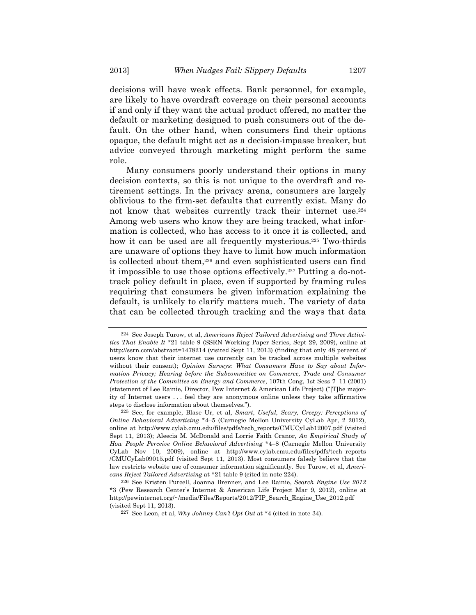decisions will have weak effects. Bank personnel, for example, are likely to have overdraft coverage on their personal accounts if and only if they want the actual product offered, no matter the default or marketing designed to push consumers out of the default. On the other hand, when consumers find their options opaque, the default might act as a decision-impasse breaker, but advice conveyed through marketing might perform the same role.

Many consumers poorly understand their options in many decision contexts, so this is not unique to the overdraft and retirement settings. In the privacy arena, consumers are largely oblivious to the firm-set defaults that currently exist. Many do not know that websites currently track their internet use.<sup>224</sup> Among web users who know they are being tracked, what information is collected, who has access to it once it is collected, and how it can be used are all frequently mysterious.<sup>225</sup> Two-thirds are unaware of options they have to limit how much information is collected about them,226 and even sophisticated users can find it impossible to use those options effectively.227 Putting a do-nottrack policy default in place, even if supported by framing rules requiring that consumers be given information explaining the default, is unlikely to clarify matters much. The variety of data that can be collected through tracking and the ways that data

<sup>224</sup> See Joseph Turow, et al, *Americans Reject Tailored Advertising and Three Activities That Enable It* \*21 table 9 (SSRN Working Paper Series, Sept 29, 2009), online at http://ssrn.com/abstract=1478214 (visited Sept 11, 2013) (finding that only 48 percent of users know that their internet use currently can be tracked across multiple websites without their consent); *Opinion Surveys: What Consumers Have to Say about Information Privacy; Hearing before the Subcommittee on Commerce, Trade and Consumer Protection of the Committee on Energy and Commerce*, 107th Cong, 1st Sess 7–11 (2001) (statement of Lee Rainie, Director, Pew Internet & American Life Project) ("[T]he majority of Internet users . . . feel they are anonymous online unless they take affirmative steps to disclose information about themselves.").

<sup>225</sup> See, for example, Blase Ur, et al, *Smart, Useful, Scary, Creepy: Perceptions of Online Behavioral Advertising* \*4–5 (Carnegie Mellon University CyLab Apr, 2 2012), online at http://www.cylab.cmu.edu/files/pdfs/tech\_reports/CMUCyLab12007.pdf (visited Sept 11, 2013); Aleecia M. McDonald and Lorrie Faith Cranor, *An Empirical Study of How People Perceive Online Behavioral Advertising* \*4–8 (Carnegie Mellon University CyLab Nov 10, 2009), online at http://www.cylab.cmu.edu/files/pdfs/tech\_reports /CMUCyLab09015.pdf (visited Sept 11, 2013). Most consumers falsely believe that the law restricts website use of consumer information significantly. See Turow, et al, *Americans Reject Tailored Advertising* at \*21 table 9 (cited in note 224).

<sup>226</sup> See Kristen Purcell, Joanna Brenner, and Lee Rainie, *Search Engine Use 2012* \*3 (Pew Research Center's Internet & American Life Project Mar 9, 2012), online at http://pewinternet.org/~/media/Files/Reports/2012/PIP\_Search\_Engine\_Use\_2012.pdf (visited Sept 11, 2013).

<sup>227</sup> See Leon, et al, *Why Johnny Can't Opt Out* at \*4 (cited in note 34).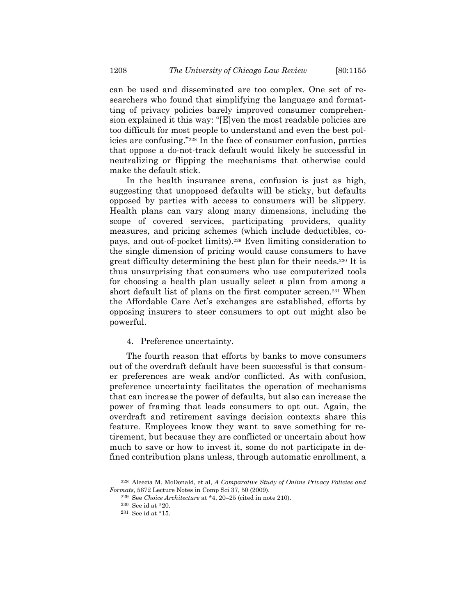can be used and disseminated are too complex. One set of researchers who found that simplifying the language and formatting of privacy policies barely improved consumer comprehension explained it this way: "[E]ven the most readable policies are too difficult for most people to understand and even the best policies are confusing."228 In the face of consumer confusion, parties that oppose a do-not-track default would likely be successful in neutralizing or flipping the mechanisms that otherwise could make the default stick.

In the health insurance arena, confusion is just as high, suggesting that unopposed defaults will be sticky, but defaults opposed by parties with access to consumers will be slippery. Health plans can vary along many dimensions, including the scope of covered services, participating providers, quality measures, and pricing schemes (which include deductibles, copays, and out-of-pocket limits).229 Even limiting consideration to the single dimension of pricing would cause consumers to have great difficulty determining the best plan for their needs.230 It is thus unsurprising that consumers who use computerized tools for choosing a health plan usually select a plan from among a short default list of plans on the first computer screen.231 When the Affordable Care Act's exchanges are established, efforts by opposing insurers to steer consumers to opt out might also be powerful.

## 4. Preference uncertainty.

The fourth reason that efforts by banks to move consumers out of the overdraft default have been successful is that consumer preferences are weak and/or conflicted. As with confusion, preference uncertainty facilitates the operation of mechanisms that can increase the power of defaults, but also can increase the power of framing that leads consumers to opt out. Again, the overdraft and retirement savings decision contexts share this feature. Employees know they want to save something for retirement, but because they are conflicted or uncertain about how much to save or how to invest it, some do not participate in defined contribution plans unless, through automatic enrollment, a

<sup>228</sup> Aleecia M. McDonald, et al, *A Comparative Study of Online Privacy Policies and Formats*, 5672 Lecture Notes in Comp Sci 37, 50 (2009).

<sup>&</sup>lt;sup>229</sup> See *Choice Architecture* at  $*$ 4, 20–25 (cited in note 210).<br><sup>230</sup> See id at  $*$ 20.

 $231$  See id at \*15.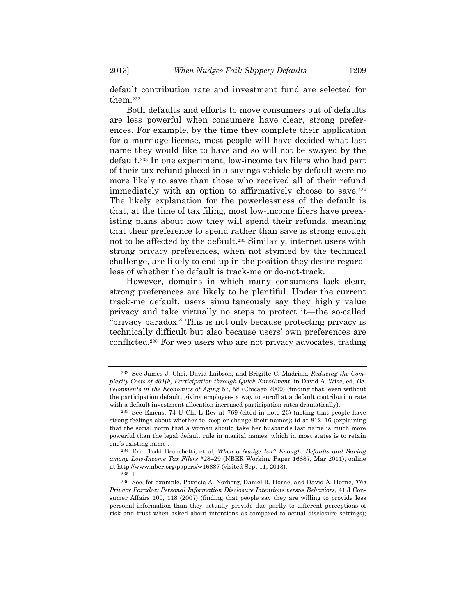default contribution rate and investment fund are selected for them.232

Both defaults and efforts to move consumers out of defaults are less powerful when consumers have clear, strong preferences. For example, by the time they complete their application for a marriage license, most people will have decided what last name they would like to have and so will not be swayed by the default.233 In one experiment, low-income tax filers who had part of their tax refund placed in a savings vehicle by default were no more likely to save than those who received all of their refund immediately with an option to affirmatively choose to save.<sup>234</sup> The likely explanation for the powerlessness of the default is that, at the time of tax filing, most low-income filers have preexisting plans about how they will spend their refunds, meaning that their preference to spend rather than save is strong enough not to be affected by the default.235 Similarly, internet users with strong privacy preferences, when not stymied by the technical challenge, are likely to end up in the position they desire regardless of whether the default is track-me or do-not-track.

However, domains in which many consumers lack clear, strong preferences are likely to be plentiful. Under the current track-me default, users simultaneously say they highly value privacy and take virtually no steps to protect it—the so-called "privacy paradox." This is not only because protecting privacy is technically difficult but also because users' own preferences are conflicted.236 For web users who are not privacy advocates, trading

<sup>232</sup> See James J. Choi, David Laibson, and Brigitte C. Madrian, *Reducing the Complexity Costs of 401(k) Participation through Quick Enrollment*, in David A. Wise, ed, *Developments in the Economics of Aging* 57, 58 (Chicago 2009) (finding that, even without the participation default, giving employees a way to enroll at a default contribution rate with a default investment allocation increased participation rates dramatically).

<sup>233</sup> See Emens, 74 U Chi L Rev at 769 (cited in note 23) (noting that people have strong feelings about whether to keep or change their names); id at 812–16 (explaining that the social norm that a woman should take her husband's last name is much more powerful than the legal default rule in marital names, which in most states is to retain one's existing name).

<sup>234</sup> Erin Todd Bronchetti, et al, *When a Nudge Isn't Enough: Defaults and Saving among Low-Income Tax Filers* \*28–29 (NBER Working Paper 16887, Mar 2011), online at http://www.nber.org/papers/w16887 (visited Sept 11, 2013).

<sup>235</sup> Id.

<sup>236</sup> See, for example, Patricia A. Norberg, Daniel R. Horne, and David A. Horne, *The Privacy Paradox: Personal Information Disclosure Intentions versus Behaviors*, 41 J Consumer Affairs 100, 118 (2007) (finding that people say they are willing to provide less personal information than they actually provide due partly to different perceptions of risk and trust when asked about intentions as compared to actual disclosure settings);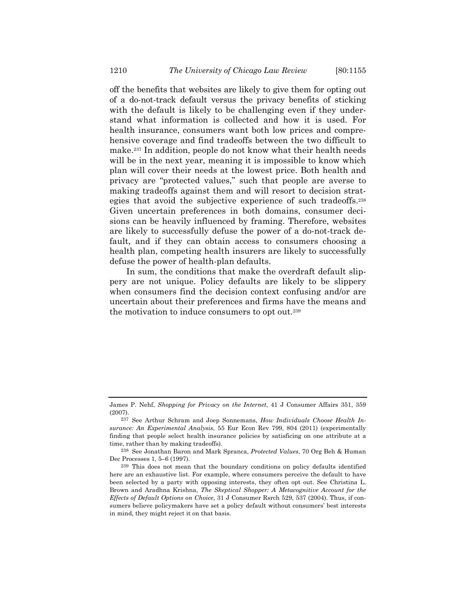off the benefits that websites are likely to give them for opting out of a do-not-track default versus the privacy benefits of sticking with the default is likely to be challenging even if they understand what information is collected and how it is used. For health insurance, consumers want both low prices and comprehensive coverage and find tradeoffs between the two difficult to make.237 In addition, people do not know what their health needs will be in the next year, meaning it is impossible to know which plan will cover their needs at the lowest price. Both health and privacy are "protected values," such that people are averse to making tradeoffs against them and will resort to decision strategies that avoid the subjective experience of such tradeoffs.238 Given uncertain preferences in both domains, consumer decisions can be heavily influenced by framing. Therefore, websites are likely to successfully defuse the power of a do-not-track default, and if they can obtain access to consumers choosing a health plan, competing health insurers are likely to successfully defuse the power of health-plan defaults.

In sum, the conditions that make the overdraft default slippery are not unique. Policy defaults are likely to be slippery when consumers find the decision context confusing and/or are uncertain about their preferences and firms have the means and the motivation to induce consumers to opt out.239

James P. Nehf, *Shopping for Privacy on the Internet*, 41 J Consumer Affairs 351, 359 (2007).

<sup>237</sup> See Arthur Schram and Joep Sonnemans, *How Individuals Choose Health Insurance: An Experimental Analysis*, 55 Eur Econ Rev 799, 804 (2011) (experimentally finding that people select health insurance policies by satisficing on one attribute at a time, rather than by making tradeoffs).

<sup>238</sup> See Jonathan Baron and Mark Spranca, *Protected Values*, 70 Org Beh & Human Dec Processes 1, 5–6 (1997).

<sup>239</sup> This does not mean that the boundary conditions on policy defaults identified here are an exhaustive list. For example, where consumers perceive the default to have been selected by a party with opposing interests, they often opt out. See Christina L. Brown and Aradhna Krishna, *The Skeptical Shopper: A Metacognitive Account for the Effects of Default Options on Choice*, 31 J Consumer Rsrch 529, 537 (2004). Thus, if consumers believe policymakers have set a policy default without consumers' best interests in mind, they might reject it on that basis.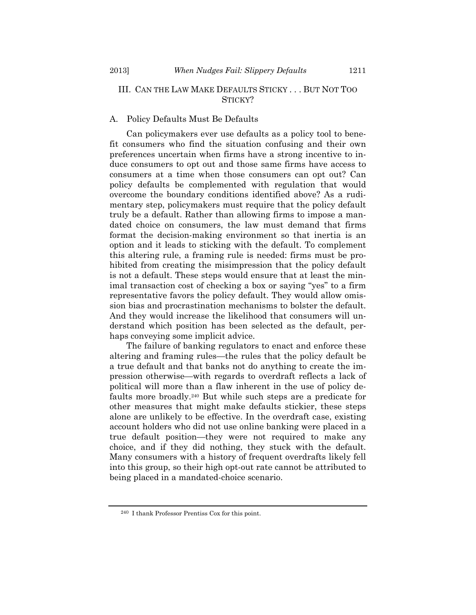## III. CAN THE LAW MAKE DEFAULTS STICKY . . . BUT NOT TOO STICKY?

## A. Policy Defaults Must Be Defaults

Can policymakers ever use defaults as a policy tool to benefit consumers who find the situation confusing and their own preferences uncertain when firms have a strong incentive to induce consumers to opt out and those same firms have access to consumers at a time when those consumers can opt out? Can policy defaults be complemented with regulation that would overcome the boundary conditions identified above? As a rudimentary step, policymakers must require that the policy default truly be a default. Rather than allowing firms to impose a mandated choice on consumers, the law must demand that firms format the decision-making environment so that inertia is an option and it leads to sticking with the default. To complement this altering rule, a framing rule is needed: firms must be prohibited from creating the misimpression that the policy default is not a default. These steps would ensure that at least the minimal transaction cost of checking a box or saying "yes" to a firm representative favors the policy default. They would allow omission bias and procrastination mechanisms to bolster the default. And they would increase the likelihood that consumers will understand which position has been selected as the default, perhaps conveying some implicit advice.

The failure of banking regulators to enact and enforce these altering and framing rules—the rules that the policy default be a true default and that banks not do anything to create the impression otherwise—with regards to overdraft reflects a lack of political will more than a flaw inherent in the use of policy defaults more broadly.240 But while such steps are a predicate for other measures that might make defaults stickier, these steps alone are unlikely to be effective. In the overdraft case, existing account holders who did not use online banking were placed in a true default position—they were not required to make any choice, and if they did nothing, they stuck with the default. Many consumers with a history of frequent overdrafts likely fell into this group, so their high opt-out rate cannot be attributed to being placed in a mandated-choice scenario.

<sup>240</sup> I thank Professor Prentiss Cox for this point.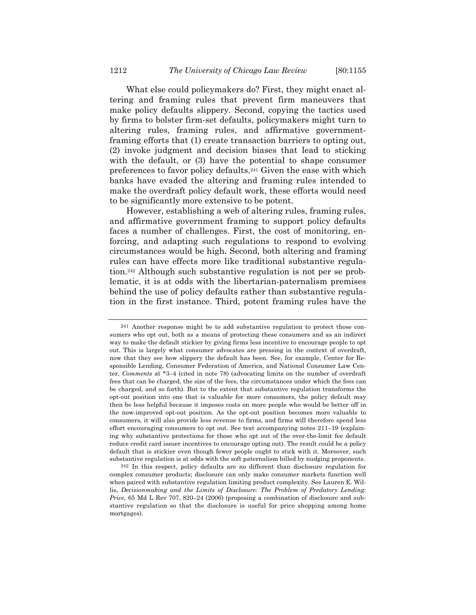What else could policymakers do? First, they might enact altering and framing rules that prevent firm maneuvers that make policy defaults slippery. Second, copying the tactics used by firms to bolster firm-set defaults, policymakers might turn to altering rules, framing rules, and affirmative governmentframing efforts that (1) create transaction barriers to opting out, (2) invoke judgment and decision biases that lead to sticking with the default, or (3) have the potential to shape consumer preferences to favor policy defaults.241 Given the ease with which banks have evaded the altering and framing rules intended to make the overdraft policy default work, these efforts would need to be significantly more extensive to be potent.

However, establishing a web of altering rules, framing rules, and affirmative government framing to support policy defaults faces a number of challenges. First, the cost of monitoring, enforcing, and adapting such regulations to respond to evolving circumstances would be high. Second, both altering and framing rules can have effects more like traditional substantive regulation.242 Although such substantive regulation is not per se problematic, it is at odds with the libertarian-paternalism premises behind the use of policy defaults rather than substantive regulation in the first instance. Third, potent framing rules have the

<sup>241</sup> Another response might be to add substantive regulation to protect those consumers who opt out, both as a means of protecting these consumers and as an indirect way to make the default stickier by giving firms less incentive to encourage people to opt out. This is largely what consumer advocates are pressing in the context of overdraft, now that they see how slippery the default has been. See, for example, Center for Responsible Lending, Consumer Federation of America, and National Consumer Law Center, *Comments* at \*3–4 (cited in note 78) (advocating limits on the number of overdraft fees that can be charged, the size of the fees, the circumstances under which the fees can be charged, and so forth). But to the extent that substantive regulation transforms the opt-out position into one that is valuable for more consumers, the policy default may then be less helpful because it imposes costs on more people who would be better off in the now-improved opt-out position. As the opt-out position becomes more valuable to consumers, it will also provide less revenue to firms, and firms will therefore spend less effort encouraging consumers to opt out. See text accompanying notes 211–19 (explaining why substantive protections for those who opt out of the over-the-limit fee default reduce credit card issuer incentives to encourage opting out). The result could be a policy default that is stickier even though fewer people ought to stick with it. Moreover, such substantive regulation is at odds with the soft paternalism billed by nudging proponents.

<sup>242</sup> In this respect, policy defaults are no different than disclosure regulation for complex consumer products; disclosure can only make consumer markets function well when paired with substantive regulation limiting product complexity. See Lauren E. Willis, *Decisionmaking and the Limits of Disclosure: The Problem of Predatory Lending: Price*, 65 Md L Rev 707, 820–24 (2006) (proposing a combination of disclosure and substantive regulation so that the disclosure is useful for price shopping among home mortgages).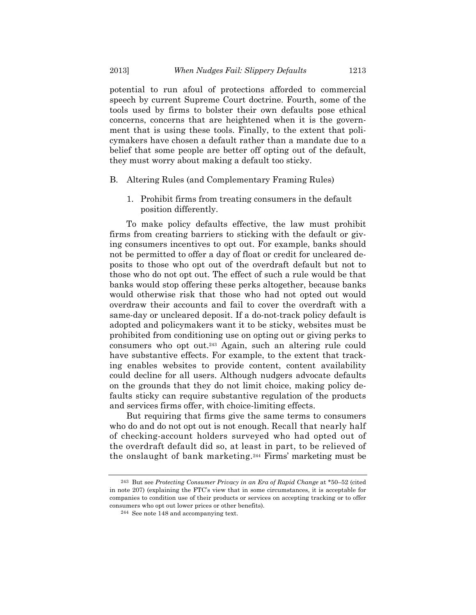potential to run afoul of protections afforded to commercial speech by current Supreme Court doctrine. Fourth, some of the tools used by firms to bolster their own defaults pose ethical concerns, concerns that are heightened when it is the government that is using these tools. Finally, to the extent that policymakers have chosen a default rather than a mandate due to a belief that some people are better off opting out of the default, they must worry about making a default too sticky.

- B. Altering Rules (and Complementary Framing Rules)
	- 1. Prohibit firms from treating consumers in the default position differently.

To make policy defaults effective, the law must prohibit firms from creating barriers to sticking with the default or giving consumers incentives to opt out. For example, banks should not be permitted to offer a day of float or credit for uncleared deposits to those who opt out of the overdraft default but not to those who do not opt out. The effect of such a rule would be that banks would stop offering these perks altogether, because banks would otherwise risk that those who had not opted out would overdraw their accounts and fail to cover the overdraft with a same-day or uncleared deposit. If a do-not-track policy default is adopted and policymakers want it to be sticky, websites must be prohibited from conditioning use on opting out or giving perks to consumers who opt out.243 Again, such an altering rule could have substantive effects. For example, to the extent that tracking enables websites to provide content, content availability could decline for all users. Although nudgers advocate defaults on the grounds that they do not limit choice, making policy defaults sticky can require substantive regulation of the products and services firms offer, with choice-limiting effects.

But requiring that firms give the same terms to consumers who do and do not opt out is not enough. Recall that nearly half of checking-account holders surveyed who had opted out of the overdraft default did so, at least in part, to be relieved of the onslaught of bank marketing.244 Firms' marketing must be

<sup>243</sup> But see *Protecting Consumer Privacy in an Era of Rapid Change* at \*50–52 (cited in note 207) (explaining the FTC's view that in some circumstances, it is acceptable for companies to condition use of their products or services on accepting tracking or to offer consumers who opt out lower prices or other benefits).

<sup>244</sup> See note 148 and accompanying text.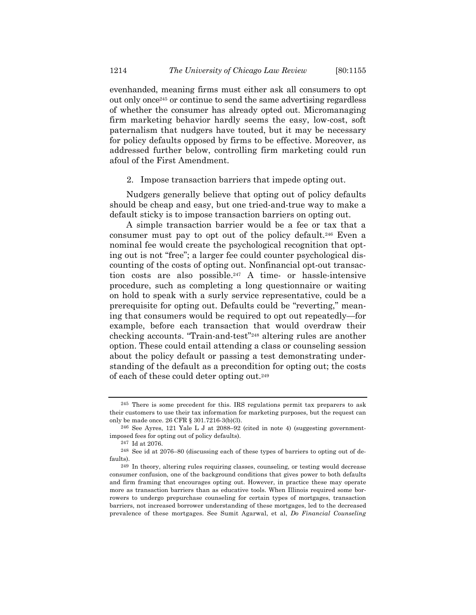evenhanded, meaning firms must either ask all consumers to opt out only once245 or continue to send the same advertising regardless of whether the consumer has already opted out. Micromanaging firm marketing behavior hardly seems the easy, low-cost, soft paternalism that nudgers have touted, but it may be necessary for policy defaults opposed by firms to be effective. Moreover, as addressed further below, controlling firm marketing could run afoul of the First Amendment.

2. Impose transaction barriers that impede opting out.

Nudgers generally believe that opting out of policy defaults should be cheap and easy, but one tried-and-true way to make a default sticky is to impose transaction barriers on opting out.

A simple transaction barrier would be a fee or tax that a consumer must pay to opt out of the policy default.246 Even a nominal fee would create the psychological recognition that opting out is not "free"; a larger fee could counter psychological discounting of the costs of opting out. Nonfinancial opt-out transaction costs are also possible.247 A time- or hassle-intensive procedure, such as completing a long questionnaire or waiting on hold to speak with a surly service representative, could be a prerequisite for opting out. Defaults could be "reverting," meaning that consumers would be required to opt out repeatedly—for example, before each transaction that would overdraw their checking accounts. "Train-and-test"248 altering rules are another option. These could entail attending a class or counseling session about the policy default or passing a test demonstrating understanding of the default as a precondition for opting out; the costs of each of these could deter opting out.249

<sup>245</sup> There is some precedent for this. IRS regulations permit tax preparers to ask their customers to use their tax information for marketing purposes, but the request can only be made once. 26 CFR § 301.7216-3(b)(3).

<sup>246</sup> See Ayres, 121 Yale L J at 2088–92 (cited in note 4) (suggesting governmentimposed fees for opting out of policy defaults).

<sup>247</sup> Id at 2076.

<sup>248</sup> See id at 2076–80 (discussing each of these types of barriers to opting out of defaults).

<sup>249</sup> In theory, altering rules requiring classes, counseling, or testing would decrease consumer confusion, one of the background conditions that gives power to both defaults and firm framing that encourages opting out. However, in practice these may operate more as transaction barriers than as educative tools. When Illinois required some borrowers to undergo prepurchase counseling for certain types of mortgages, transaction barriers, not increased borrower understanding of these mortgages, led to the decreased prevalence of these mortgages. See Sumit Agarwal, et al, *Do Financial Counseling*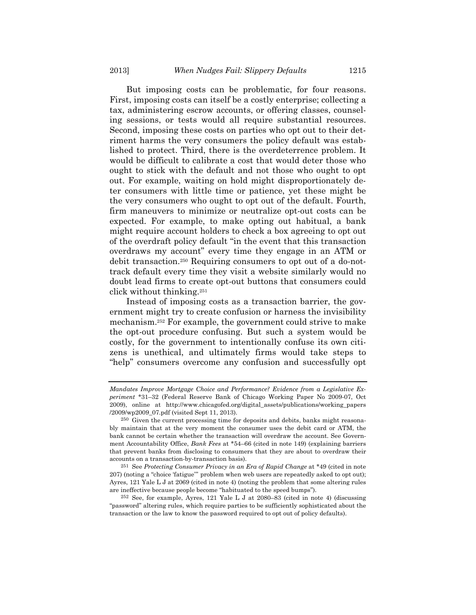But imposing costs can be problematic, for four reasons. First, imposing costs can itself be a costly enterprise; collecting a tax, administering escrow accounts, or offering classes, counseling sessions, or tests would all require substantial resources. Second, imposing these costs on parties who opt out to their detriment harms the very consumers the policy default was established to protect. Third, there is the overdeterrence problem. It would be difficult to calibrate a cost that would deter those who ought to stick with the default and not those who ought to opt out. For example, waiting on hold might disproportionately deter consumers with little time or patience, yet these might be the very consumers who ought to opt out of the default. Fourth, firm maneuvers to minimize or neutralize opt-out costs can be expected. For example, to make opting out habitual, a bank might require account holders to check a box agreeing to opt out of the overdraft policy default "in the event that this transaction overdraws my account" every time they engage in an ATM or debit transaction.250 Requiring consumers to opt out of a do-nottrack default every time they visit a website similarly would no doubt lead firms to create opt-out buttons that consumers could click without thinking.251

Instead of imposing costs as a transaction barrier, the government might try to create confusion or harness the invisibility mechanism.252 For example, the government could strive to make the opt-out procedure confusing. But such a system would be costly, for the government to intentionally confuse its own citizens is unethical, and ultimately firms would take steps to "help" consumers overcome any confusion and successfully opt

*Mandates Improve Mortgage Choice and Performance? Evidence from a Legislative Experiment* \*31–32 (Federal Reserve Bank of Chicago Working Paper No 2009-07, Oct 2009), online at http://www.chicagofed.org/digital\_assets/publications/working\_papers /2009/wp2009\_07.pdf (visited Sept 11, 2013).

<sup>250</sup> Given the current processing time for deposits and debits, banks might reasonably maintain that at the very moment the consumer uses the debit card or ATM, the bank cannot be certain whether the transaction will overdraw the account. See Government Accountability Office, *Bank Fees* at \*54–66 (cited in note 149) (explaining barriers that prevent banks from disclosing to consumers that they are about to overdraw their accounts on a transaction-by-transaction basis).

<sup>251</sup> See *Protecting Consumer Privacy in an Era of Rapid Change* at \*49 (cited in note 207) (noting a "choice 'fatigue'" problem when web users are repeatedly asked to opt out); Ayres, 121 Yale L J at 2069 (cited in note 4) (noting the problem that some altering rules are ineffective because people become "habituated to the speed bumps").

<sup>252</sup> See, for example, Ayres, 121 Yale L J at 2080–83 (cited in note 4) (discussing "password" altering rules, which require parties to be sufficiently sophisticated about the transaction or the law to know the password required to opt out of policy defaults).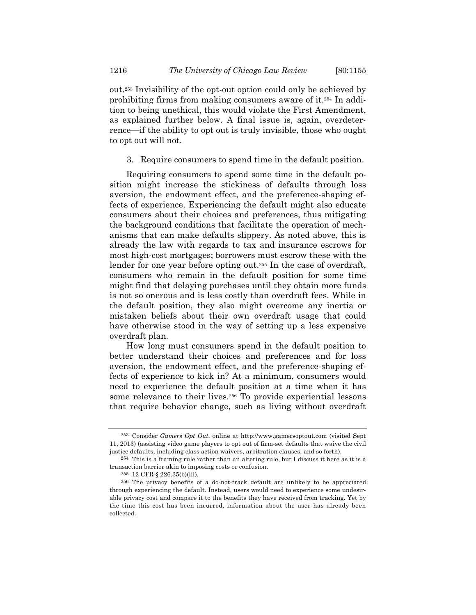out.253 Invisibility of the opt-out option could only be achieved by prohibiting firms from making consumers aware of it.254 In addition to being unethical, this would violate the First Amendment, as explained further below. A final issue is, again, overdeterrence—if the ability to opt out is truly invisible, those who ought to opt out will not.

3. Require consumers to spend time in the default position.

Requiring consumers to spend some time in the default position might increase the stickiness of defaults through loss aversion, the endowment effect, and the preference-shaping effects of experience. Experiencing the default might also educate consumers about their choices and preferences, thus mitigating the background conditions that facilitate the operation of mechanisms that can make defaults slippery. As noted above, this is already the law with regards to tax and insurance escrows for most high-cost mortgages; borrowers must escrow these with the lender for one year before opting out.255 In the case of overdraft, consumers who remain in the default position for some time might find that delaying purchases until they obtain more funds is not so onerous and is less costly than overdraft fees. While in the default position, they also might overcome any inertia or mistaken beliefs about their own overdraft usage that could have otherwise stood in the way of setting up a less expensive overdraft plan.

How long must consumers spend in the default position to better understand their choices and preferences and for loss aversion, the endowment effect, and the preference-shaping effects of experience to kick in? At a minimum, consumers would need to experience the default position at a time when it has some relevance to their lives.<sup>256</sup> To provide experiential lessons that require behavior change, such as living without overdraft

<sup>253</sup> Consider *Gamers Opt Out*, online at http://www.gamersoptout.com (visited Sept 11, 2013) (assisting video game players to opt out of firm-set defaults that waive the civil justice defaults, including class action waivers, arbitration clauses, and so forth).

<sup>254</sup> This is a framing rule rather than an altering rule, but I discuss it here as it is a transaction barrier akin to imposing costs or confusion.

<sup>255 12</sup> CFR § 226.35(b)(iii).

<sup>256</sup> The privacy benefits of a do-not-track default are unlikely to be appreciated through experiencing the default. Instead, users would need to experience some undesirable privacy cost and compare it to the benefits they have received from tracking. Yet by the time this cost has been incurred, information about the user has already been collected.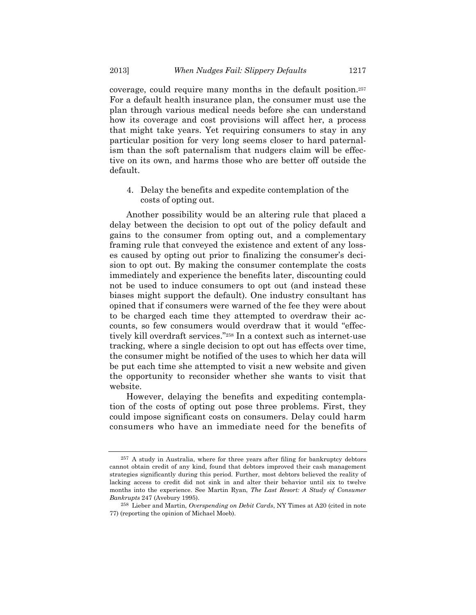coverage, could require many months in the default position.257 For a default health insurance plan, the consumer must use the plan through various medical needs before she can understand how its coverage and cost provisions will affect her, a process that might take years. Yet requiring consumers to stay in any particular position for very long seems closer to hard paternalism than the soft paternalism that nudgers claim will be effective on its own, and harms those who are better off outside the default.

4. Delay the benefits and expedite contemplation of the costs of opting out.

Another possibility would be an altering rule that placed a delay between the decision to opt out of the policy default and gains to the consumer from opting out, and a complementary framing rule that conveyed the existence and extent of any losses caused by opting out prior to finalizing the consumer's decision to opt out. By making the consumer contemplate the costs immediately and experience the benefits later, discounting could not be used to induce consumers to opt out (and instead these biases might support the default). One industry consultant has opined that if consumers were warned of the fee they were about to be charged each time they attempted to overdraw their accounts, so few consumers would overdraw that it would "effectively kill overdraft services."258 In a context such as internet-use tracking, where a single decision to opt out has effects over time, the consumer might be notified of the uses to which her data will be put each time she attempted to visit a new website and given the opportunity to reconsider whether she wants to visit that website.

However, delaying the benefits and expediting contemplation of the costs of opting out pose three problems. First, they could impose significant costs on consumers. Delay could harm consumers who have an immediate need for the benefits of

<sup>257</sup> A study in Australia, where for three years after filing for bankruptcy debtors cannot obtain credit of any kind, found that debtors improved their cash management strategies significantly during this period. Further, most debtors believed the reality of lacking access to credit did not sink in and alter their behavior until six to twelve months into the experience. See Martin Ryan, *The Last Resort: A Study of Consumer Bankrupts* 247 (Avebury 1995).

<sup>258</sup> Lieber and Martin, *Overspending on Debit Cards*, NY Times at A20 (cited in note 77) (reporting the opinion of Michael Moeb).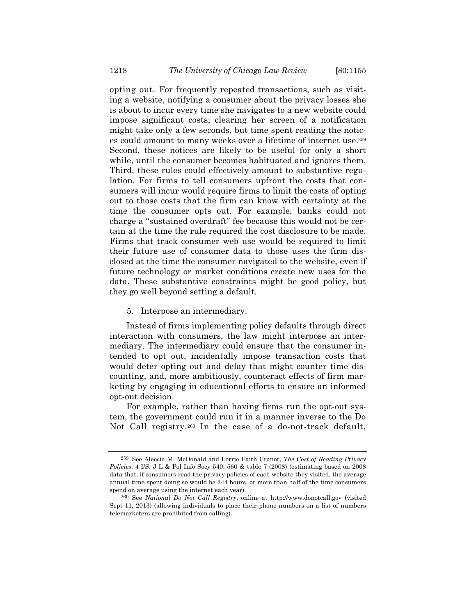opting out. For frequently repeated transactions, such as visiting a website, notifying a consumer about the privacy losses she is about to incur every time she navigates to a new website could impose significant costs; clearing her screen of a notification might take only a few seconds, but time spent reading the notices could amount to many weeks over a lifetime of internet use.259 Second, these notices are likely to be useful for only a short while, until the consumer becomes habituated and ignores them. Third, these rules could effectively amount to substantive regulation. For firms to tell consumers upfront the costs that consumers will incur would require firms to limit the costs of opting out to those costs that the firm can know with certainty at the time the consumer opts out. For example, banks could not charge a "sustained overdraft" fee because this would not be certain at the time the rule required the cost disclosure to be made. Firms that track consumer web use would be required to limit their future use of consumer data to those uses the firm disclosed at the time the consumer navigated to the website, even if future technology or market conditions create new uses for the data. These substantive constraints might be good policy, but they go well beyond setting a default.

5. Interpose an intermediary.

Instead of firms implementing policy defaults through direct interaction with consumers, the law might interpose an intermediary. The intermediary could ensure that the consumer intended to opt out, incidentally impose transaction costs that would deter opting out and delay that might counter time discounting, and, more ambitiously, counteract effects of firm marketing by engaging in educational efforts to ensure an informed opt-out decision.

For example, rather than having firms run the opt-out system, the government could run it in a manner inverse to the Do Not Call registry.260 In the case of a do-not-track default,

<sup>259</sup> See Aleecia M. McDonald and Lorrie Faith Cranor, *The Cost of Reading Privacy Policies*, 4 I/S: J L & Pol Info Socy 540, 560 & table 7 (2008) (estimating based on 2008 data that, if consumers read the privacy policies of each website they visited, the average annual time spent doing so would be 244 hours, or more than half of the time consumers spend on average using the internet each year).

<sup>260</sup> See *National Do Not Call Registry*, online at http://www.donotcall.gov (visited Sept 11, 2013) (allowing individuals to place their phone numbers on a list of numbers telemarketers are prohibited from calling).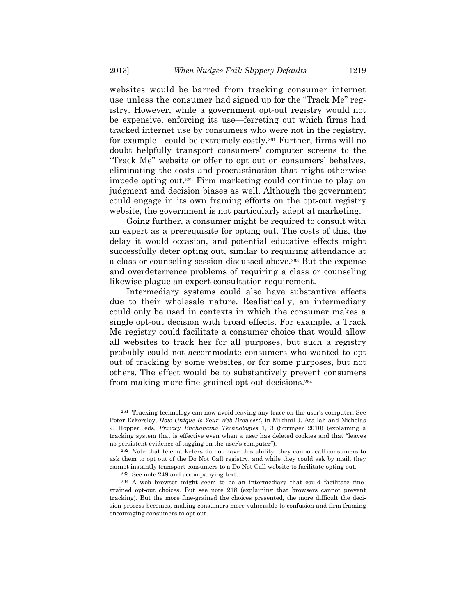websites would be barred from tracking consumer internet use unless the consumer had signed up for the "Track Me" registry. However, while a government opt-out registry would not be expensive, enforcing its use—ferreting out which firms had tracked internet use by consumers who were not in the registry, for example—could be extremely costly.261 Further, firms will no doubt helpfully transport consumers' computer screens to the "Track Me" website or offer to opt out on consumers' behalves, eliminating the costs and procrastination that might otherwise impede opting out.262 Firm marketing could continue to play on judgment and decision biases as well. Although the government could engage in its own framing efforts on the opt-out registry website, the government is not particularly adept at marketing.

Going further, a consumer might be required to consult with an expert as a prerequisite for opting out. The costs of this, the delay it would occasion, and potential educative effects might successfully deter opting out, similar to requiring attendance at a class or counseling session discussed above.263 But the expense and overdeterrence problems of requiring a class or counseling likewise plague an expert-consultation requirement.

Intermediary systems could also have substantive effects due to their wholesale nature. Realistically, an intermediary could only be used in contexts in which the consumer makes a single opt-out decision with broad effects. For example, a Track Me registry could facilitate a consumer choice that would allow all websites to track her for all purposes, but such a registry probably could not accommodate consumers who wanted to opt out of tracking by some websites, or for some purposes, but not others. The effect would be to substantively prevent consumers from making more fine-grained opt-out decisions.264

<sup>261</sup> Tracking technology can now avoid leaving any trace on the user's computer. See Peter Eckersley, *How Unique Is Your Web Browser?*, in Mikhail J. Atallah and Nicholas J. Hopper, eds, *Privacy Enchancing Technologies* 1, 3 (Springer 2010) (explaining a tracking system that is effective even when a user has deleted cookies and that "leaves no persistent evidence of tagging on the user's computer").

<sup>262</sup> Note that telemarketers do not have this ability; they cannot call consumers to ask them to opt out of the Do Not Call registry, and while they could ask by mail, they cannot instantly transport consumers to a Do Not Call website to facilitate opting out.

<sup>263</sup> See note 249 and accompanying text.

<sup>264</sup> A web browser might seem to be an intermediary that could facilitate finegrained opt-out choices. But see note 218 (explaining that browsers cannot prevent tracking). But the more fine-grained the choices presented, the more difficult the decision process becomes, making consumers more vulnerable to confusion and firm framing encouraging consumers to opt out.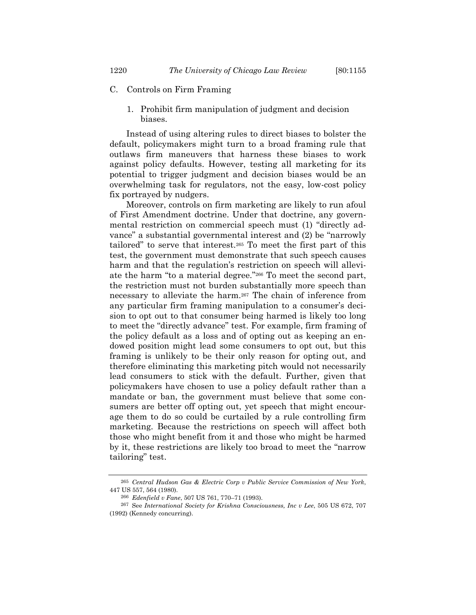- C. Controls on Firm Framing
	- 1. Prohibit firm manipulation of judgment and decision biases.

Instead of using altering rules to direct biases to bolster the default, policymakers might turn to a broad framing rule that outlaws firm maneuvers that harness these biases to work against policy defaults. However, testing all marketing for its potential to trigger judgment and decision biases would be an overwhelming task for regulators, not the easy, low-cost policy fix portrayed by nudgers.

Moreover, controls on firm marketing are likely to run afoul of First Amendment doctrine. Under that doctrine, any governmental restriction on commercial speech must (1) "directly advance" a substantial governmental interest and (2) be "narrowly tailored" to serve that interest.265 To meet the first part of this test, the government must demonstrate that such speech causes harm and that the regulation's restriction on speech will alleviate the harm "to a material degree."266 To meet the second part, the restriction must not burden substantially more speech than necessary to alleviate the harm.267 The chain of inference from any particular firm framing manipulation to a consumer's decision to opt out to that consumer being harmed is likely too long to meet the "directly advance" test. For example, firm framing of the policy default as a loss and of opting out as keeping an endowed position might lead some consumers to opt out, but this framing is unlikely to be their only reason for opting out, and therefore eliminating this marketing pitch would not necessarily lead consumers to stick with the default. Further, given that policymakers have chosen to use a policy default rather than a mandate or ban, the government must believe that some consumers are better off opting out, yet speech that might encourage them to do so could be curtailed by a rule controlling firm marketing. Because the restrictions on speech will affect both those who might benefit from it and those who might be harmed by it, these restrictions are likely too broad to meet the "narrow tailoring" test.

<sup>265</sup> *Central Hudson Gas & Electric Corp v Public Service Commission of New York*, 447 US 557, 564 (1980).

<sup>266</sup> *Edenfield v Fane*, 507 US 761, 770–71 (1993).

<sup>267</sup> See *International Society for Krishna Consciousness, Inc v Lee*, 505 US 672, 707 (1992) (Kennedy concurring).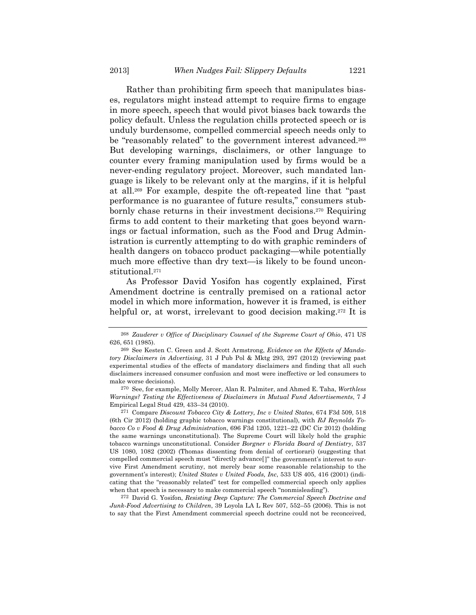Rather than prohibiting firm speech that manipulates biases, regulators might instead attempt to require firms to engage in more speech, speech that would pivot biases back towards the policy default. Unless the regulation chills protected speech or is unduly burdensome, compelled commercial speech needs only to be "reasonably related" to the government interest advanced.<sup>268</sup> But developing warnings, disclaimers, or other language to counter every framing manipulation used by firms would be a never-ending regulatory project. Moreover, such mandated language is likely to be relevant only at the margins, if it is helpful at all.269 For example, despite the oft-repeated line that "past performance is no guarantee of future results," consumers stubbornly chase returns in their investment decisions.270 Requiring firms to add content to their marketing that goes beyond warnings or factual information, such as the Food and Drug Administration is currently attempting to do with graphic reminders of health dangers on tobacco product packaging—while potentially much more effective than dry text—is likely to be found unconstitutional.271

As Professor David Yosifon has cogently explained, First Amendment doctrine is centrally premised on a rational actor model in which more information, however it is framed, is either helpful or, at worst, irrelevant to good decision making.<sup>272</sup> It is

<sup>268</sup> *Zauderer v Office of Disciplinary Counsel of the Supreme Court of Ohio*, 471 US 626, 651 (1985).

<sup>269</sup> See Kesten C. Green and J. Scott Armstrong, *Evidence on the Effects of Mandatory Disclaimers in Advertising*, 31 J Pub Pol & Mktg 293, 297 (2012) (reviewing past experimental studies of the effects of mandatory disclaimers and finding that all such disclaimers increased consumer confusion and most were ineffective or led consumers to make worse decisions).

<sup>270</sup> See, for example, Molly Mercer, Alan R. Palmiter, and Ahmed E. Taha, *Worthless Warnings? Testing the Effectiveness of Disclaimers in Mutual Fund Advertisements*, 7 J Empirical Legal Stud 429, 433–34 (2010).

<sup>271</sup> Compare *Discount Tobacco City & Lottery, Inc v United States*, 674 F3d 509, 518 (6th Cir 2012) (holding graphic tobacco warnings constitutional), with *RJ Reynolds Tobacco Co v Food & Drug Administration*, 696 F3d 1205, 1221–22 (DC Cir 2012) (holding the same warnings unconstitutional). The Supreme Court will likely hold the graphic tobacco warnings unconstitutional. Consider *Borgner v Florida Board of Dentistry*, 537 US 1080, 1082 (2002) (Thomas dissenting from denial of certiorari) (suggesting that compelled commercial speech must "directly advance[]" the government's interest to survive First Amendment scrutiny, not merely bear some reasonable relationship to the government's interest); *United States v United Foods, Inc*, 533 US 405, 416 (2001) (indicating that the "reasonably related" test for compelled commercial speech only applies when that speech is necessary to make commercial speech "nonmisleading").

<sup>272</sup> David G. Yosifon, *Resisting Deep Capture: The Commercial Speech Doctrine and Junk-Food Advertising to Children*, 39 Loyola LA L Rev 507, 552–55 (2006). This is not to say that the First Amendment commercial speech doctrine could not be reconceived,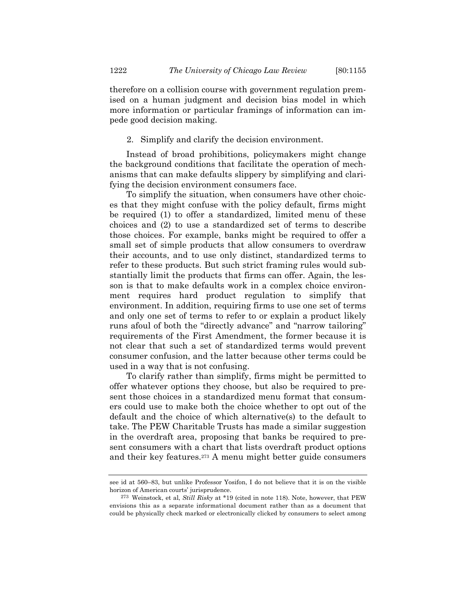therefore on a collision course with government regulation premised on a human judgment and decision bias model in which more information or particular framings of information can impede good decision making.

#### 2. Simplify and clarify the decision environment.

Instead of broad prohibitions, policymakers might change the background conditions that facilitate the operation of mechanisms that can make defaults slippery by simplifying and clarifying the decision environment consumers face.

To simplify the situation, when consumers have other choices that they might confuse with the policy default, firms might be required (1) to offer a standardized, limited menu of these choices and (2) to use a standardized set of terms to describe those choices. For example, banks might be required to offer a small set of simple products that allow consumers to overdraw their accounts, and to use only distinct, standardized terms to refer to these products. But such strict framing rules would substantially limit the products that firms can offer. Again, the lesson is that to make defaults work in a complex choice environment requires hard product regulation to simplify that environment. In addition, requiring firms to use one set of terms and only one set of terms to refer to or explain a product likely runs afoul of both the "directly advance" and "narrow tailoring" requirements of the First Amendment, the former because it is not clear that such a set of standardized terms would prevent consumer confusion, and the latter because other terms could be used in a way that is not confusing.

To clarify rather than simplify, firms might be permitted to offer whatever options they choose, but also be required to present those choices in a standardized menu format that consumers could use to make both the choice whether to opt out of the default and the choice of which alternative(s) to the default to take. The PEW Charitable Trusts has made a similar suggestion in the overdraft area, proposing that banks be required to present consumers with a chart that lists overdraft product options and their key features.273 A menu might better guide consumers

see id at 560–83, but unlike Professor Yosifon, I do not believe that it is on the visible horizon of American courts' jurisprudence.

<sup>273</sup> Weinstock, et al, *Still Risky* at \*19 (cited in note 118). Note, however, that PEW envisions this as a separate informational document rather than as a document that could be physically check marked or electronically clicked by consumers to select among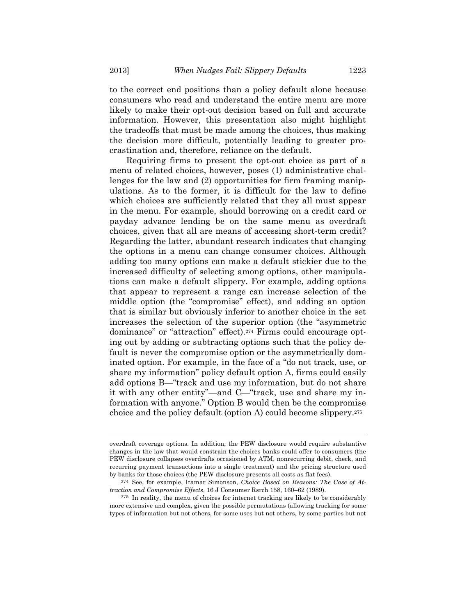to the correct end positions than a policy default alone because consumers who read and understand the entire menu are more likely to make their opt-out decision based on full and accurate information. However, this presentation also might highlight the tradeoffs that must be made among the choices, thus making the decision more difficult, potentially leading to greater procrastination and, therefore, reliance on the default.

Requiring firms to present the opt-out choice as part of a menu of related choices, however, poses (1) administrative challenges for the law and (2) opportunities for firm framing manipulations. As to the former, it is difficult for the law to define which choices are sufficiently related that they all must appear in the menu. For example, should borrowing on a credit card or payday advance lending be on the same menu as overdraft choices, given that all are means of accessing short-term credit? Regarding the latter, abundant research indicates that changing the options in a menu can change consumer choices. Although adding too many options can make a default stickier due to the increased difficulty of selecting among options, other manipulations can make a default slippery. For example, adding options that appear to represent a range can increase selection of the middle option (the "compromise" effect), and adding an option that is similar but obviously inferior to another choice in the set increases the selection of the superior option (the "asymmetric dominance" or "attraction" effect).274 Firms could encourage opting out by adding or subtracting options such that the policy default is never the compromise option or the asymmetrically dominated option. For example, in the face of a "do not track, use, or share my information" policy default option A, firms could easily add options B—"track and use my information, but do not share it with any other entity"—and C—"track, use and share my information with anyone." Option B would then be the compromise choice and the policy default (option A) could become slippery.275

overdraft coverage options. In addition, the PEW disclosure would require substantive changes in the law that would constrain the choices banks could offer to consumers (the PEW disclosure collapses overdrafts occasioned by ATM, nonrecurring debit, check, and recurring payment transactions into a single treatment) and the pricing structure used by banks for those choices (the PEW disclosure presents all costs as flat fees).

<sup>274</sup> See, for example, Itamar Simonson, *Choice Based on Reasons: The Case of Attraction and Compromise Effects*, 16 J Consumer Rsrch 158, 160–62 (1989).

<sup>275</sup> In reality, the menu of choices for internet tracking are likely to be considerably more extensive and complex, given the possible permutations (allowing tracking for some types of information but not others, for some uses but not others, by some parties but not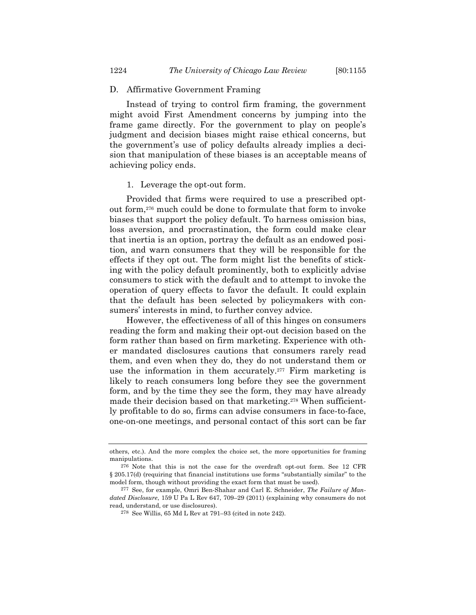#### D. Affirmative Government Framing

Instead of trying to control firm framing, the government might avoid First Amendment concerns by jumping into the frame game directly. For the government to play on people's judgment and decision biases might raise ethical concerns, but the government's use of policy defaults already implies a decision that manipulation of these biases is an acceptable means of achieving policy ends.

### 1. Leverage the opt-out form.

Provided that firms were required to use a prescribed optout form,276 much could be done to formulate that form to invoke biases that support the policy default. To harness omission bias, loss aversion, and procrastination, the form could make clear that inertia is an option, portray the default as an endowed position, and warn consumers that they will be responsible for the effects if they opt out. The form might list the benefits of sticking with the policy default prominently, both to explicitly advise consumers to stick with the default and to attempt to invoke the operation of query effects to favor the default. It could explain that the default has been selected by policymakers with consumers' interests in mind, to further convey advice.

However, the effectiveness of all of this hinges on consumers reading the form and making their opt-out decision based on the form rather than based on firm marketing. Experience with other mandated disclosures cautions that consumers rarely read them, and even when they do, they do not understand them or use the information in them accurately.277 Firm marketing is likely to reach consumers long before they see the government form, and by the time they see the form, they may have already made their decision based on that marketing.<sup>278</sup> When sufficiently profitable to do so, firms can advise consumers in face-to-face, one-on-one meetings, and personal contact of this sort can be far

others, etc.). And the more complex the choice set, the more opportunities for framing manipulations.

<sup>276</sup> Note that this is not the case for the overdraft opt-out form. See 12 CFR § 205.17(d) (requiring that financial institutions use forms "substantially similar" to the model form, though without providing the exact form that must be used).

<sup>277</sup> See, for example, Omri Ben-Shahar and Carl E. Schneider, *The Failure of Mandated Disclosure*, 159 U Pa L Rev 647, 709–29 (2011) (explaining why consumers do not read, understand, or use disclosures).

<sup>278</sup> See Willis, 65 Md L Rev at 791–93 (cited in note 242).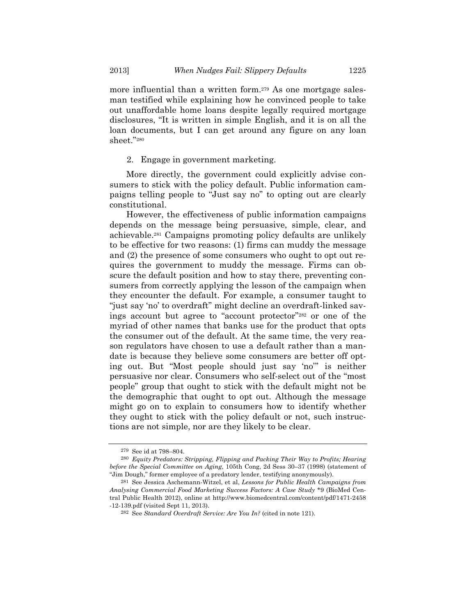more influential than a written form.<sup>279</sup> As one mortgage salesman testified while explaining how he convinced people to take out unaffordable home loans despite legally required mortgage disclosures, "It is written in simple English, and it is on all the loan documents, but I can get around any figure on any loan sheet."280

2. Engage in government marketing.

More directly, the government could explicitly advise consumers to stick with the policy default. Public information campaigns telling people to "Just say no" to opting out are clearly constitutional.

However, the effectiveness of public information campaigns depends on the message being persuasive, simple, clear, and achievable.281 Campaigns promoting policy defaults are unlikely to be effective for two reasons: (1) firms can muddy the message and (2) the presence of some consumers who ought to opt out requires the government to muddy the message. Firms can obscure the default position and how to stay there, preventing consumers from correctly applying the lesson of the campaign when they encounter the default. For example, a consumer taught to "just say 'no' to overdraft" might decline an overdraft-linked savings account but agree to "account protector"282 or one of the myriad of other names that banks use for the product that opts the consumer out of the default. At the same time, the very reason regulators have chosen to use a default rather than a mandate is because they believe some consumers are better off opting out. But "Most people should just say 'no'" is neither persuasive nor clear. Consumers who self-select out of the "most people" group that ought to stick with the default might not be the demographic that ought to opt out. Although the message might go on to explain to consumers how to identify whether they ought to stick with the policy default or not, such instructions are not simple, nor are they likely to be clear.

<sup>279</sup> See id at 798–804.

<sup>280</sup> *Equity Predators: Stripping, Flipping and Packing Their Way to Profits; Hearing before the Special Committee on Aging*, 105th Cong, 2d Sess 30–37 (1998) (statement of "Jim Dough," former employee of a predatory lender, testifying anonymously).

<sup>281</sup> See Jessica Aschemann-Witzel, et al, *Lessons for Public Health Campaigns from Analysing Commercial Food Marketing Success Factors: A Case Study* \*9 (BioMed Central Public Health 2012), online at http://www.biomedcentral.com/content/pdf/1471-2458 -12-139.pdf (visited Sept 11, 2013).

<sup>282</sup> See *Standard Overdraft Service: Are You In?* (cited in note 121).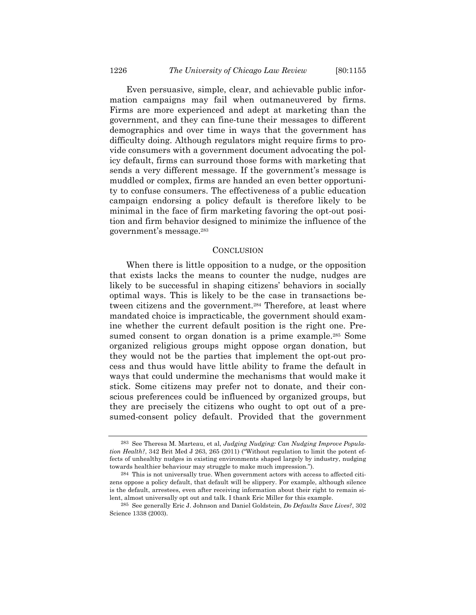Even persuasive, simple, clear, and achievable public information campaigns may fail when outmaneuvered by firms. Firms are more experienced and adept at marketing than the government, and they can fine-tune their messages to different demographics and over time in ways that the government has difficulty doing. Although regulators might require firms to provide consumers with a government document advocating the policy default, firms can surround those forms with marketing that sends a very different message. If the government's message is muddled or complex, firms are handed an even better opportunity to confuse consumers. The effectiveness of a public education campaign endorsing a policy default is therefore likely to be minimal in the face of firm marketing favoring the opt-out position and firm behavior designed to minimize the influence of the government's message.283

## **CONCLUSION**

When there is little opposition to a nudge, or the opposition that exists lacks the means to counter the nudge, nudges are likely to be successful in shaping citizens' behaviors in socially optimal ways. This is likely to be the case in transactions between citizens and the government.<sup>284</sup> Therefore, at least where mandated choice is impracticable, the government should examine whether the current default position is the right one. Presumed consent to organ donation is a prime example.<sup>285</sup> Some organized religious groups might oppose organ donation, but they would not be the parties that implement the opt-out process and thus would have little ability to frame the default in ways that could undermine the mechanisms that would make it stick. Some citizens may prefer not to donate, and their conscious preferences could be influenced by organized groups, but they are precisely the citizens who ought to opt out of a presumed-consent policy default. Provided that the government

<sup>283</sup> See Theresa M. Marteau, et al, *Judging Nudging: Can Nudging Improve Population Health?*, 342 Brit Med J 263, 265 (2011) ("Without regulation to limit the potent effects of unhealthy nudges in existing environments shaped largely by industry, nudging towards healthier behaviour may struggle to make much impression.").

<sup>284</sup> This is not universally true. When government actors with access to affected citizens oppose a policy default, that default will be slippery. For example, although silence is the default, arrestees, even after receiving information about their right to remain silent, almost universally opt out and talk. I thank Eric Miller for this example.

<sup>285</sup> See generally Eric J. Johnson and Daniel Goldstein, *Do Defaults Save Lives?*, 302 Science 1338 (2003).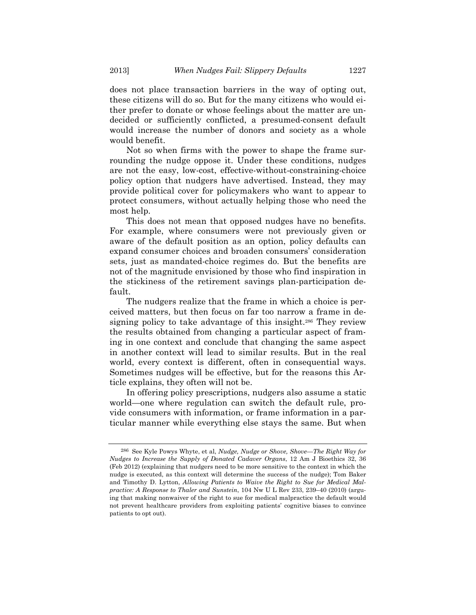does not place transaction barriers in the way of opting out, these citizens will do so. But for the many citizens who would either prefer to donate or whose feelings about the matter are undecided or sufficiently conflicted, a presumed-consent default would increase the number of donors and society as a whole would benefit.

Not so when firms with the power to shape the frame surrounding the nudge oppose it. Under these conditions, nudges are not the easy, low-cost, effective-without-constraining-choice policy option that nudgers have advertised. Instead, they may provide political cover for policymakers who want to appear to protect consumers, without actually helping those who need the most help.

This does not mean that opposed nudges have no benefits. For example, where consumers were not previously given or aware of the default position as an option, policy defaults can expand consumer choices and broaden consumers' consideration sets, just as mandated-choice regimes do. But the benefits are not of the magnitude envisioned by those who find inspiration in the stickiness of the retirement savings plan-participation default.

The nudgers realize that the frame in which a choice is perceived matters, but then focus on far too narrow a frame in designing policy to take advantage of this insight.<sup>286</sup> They review the results obtained from changing a particular aspect of framing in one context and conclude that changing the same aspect in another context will lead to similar results. But in the real world, every context is different, often in consequential ways. Sometimes nudges will be effective, but for the reasons this Article explains, they often will not be.

In offering policy prescriptions, nudgers also assume a static world—one where regulation can switch the default rule, provide consumers with information, or frame information in a particular manner while everything else stays the same. But when

<sup>286</sup> See Kyle Powys Whyte, et al, *Nudge, Nudge or Shove, Shove—The Right Way for Nudges to Increase the Supply of Donated Cadaver Organs*, 12 Am J Bioethics 32, 36 (Feb 2012) (explaining that nudgers need to be more sensitive to the context in which the nudge is executed, as this context will determine the success of the nudge); Tom Baker and Timothy D. Lytton, *Allowing Patients to Waive the Right to Sue for Medical Malpractice: A Response to Thaler and Sunstein*, 104 Nw U L Rev 233, 239–40 (2010) (arguing that making nonwaiver of the right to sue for medical malpractice the default would not prevent healthcare providers from exploiting patients' cognitive biases to convince patients to opt out).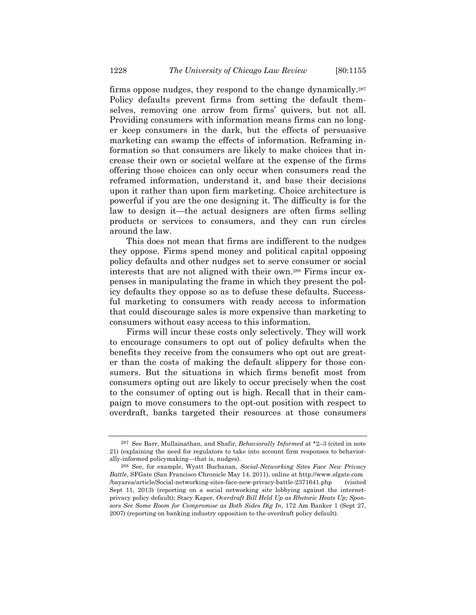firms oppose nudges, they respond to the change dynamically.<sup>287</sup> Policy defaults prevent firms from setting the default themselves, removing one arrow from firms' quivers, but not all. Providing consumers with information means firms can no longer keep consumers in the dark, but the effects of persuasive marketing can swamp the effects of information. Reframing information so that consumers are likely to make choices that increase their own or societal welfare at the expense of the firms offering those choices can only occur when consumers read the reframed information, understand it, and base their decisions upon it rather than upon firm marketing. Choice architecture is powerful if you are the one designing it. The difficulty is for the law to design it—the actual designers are often firms selling products or services to consumers, and they can run circles around the law.

This does not mean that firms are indifferent to the nudges they oppose. Firms spend money and political capital opposing policy defaults and other nudges set to serve consumer or social interests that are not aligned with their own.288 Firms incur expenses in manipulating the frame in which they present the policy defaults they oppose so as to defuse these defaults. Successful marketing to consumers with ready access to information that could discourage sales is more expensive than marketing to consumers without easy access to this information.

Firms will incur these costs only selectively. They will work to encourage consumers to opt out of policy defaults when the benefits they receive from the consumers who opt out are greater than the costs of making the default slippery for those consumers. But the situations in which firms benefit most from consumers opting out are likely to occur precisely when the cost to the consumer of opting out is high. Recall that in their campaign to move consumers to the opt-out position with respect to overdraft, banks targeted their resources at those consumers

<sup>287</sup> See Barr, Mullainathan, and Shafir, *Behaviorally Informed* at \*2–3 (cited in note 21) (explaining the need for regulators to take into account firm responses to behaviorally-informed policymaking—that is, nudges).

<sup>288</sup> See, for example, Wyatt Buchanan, *Social-Networking Sites Face New Privacy Battle*, SFGate (San Francisco Chronicle May 14, 2011), online at http://www.sfgate.com /bayarea/article/Social-networking-sites-face-new-privacy-battle-2371641.php (visited Sept 11, 2013) (reporting on a social networking site lobbying against the internetprivacy policy default); Stacy Kaper, *Overdraft Bill Held Up as Rhetoric Heats Up; Sponsors See Some Room for Compromise as Both Sides Dig In*, 172 Am Banker 1 (Sept 27, 2007) (reporting on banking industry opposition to the overdraft policy default).